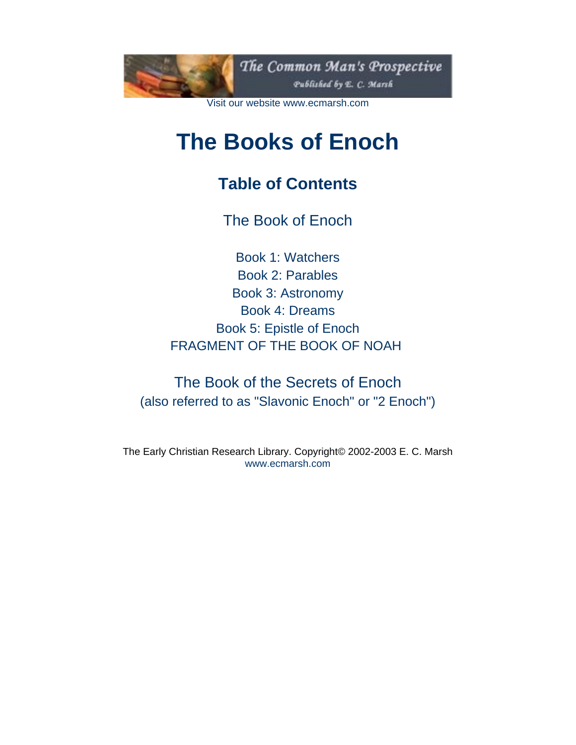The Common Man's Prospective Published by E. C. Marsh

[Visit our website www.ecmarsh.com](http://www.ecmarsh.com/)

# **The Books of Enoch**

#### **Table of Contents**

[The Book of Enoch](#page-1-0)

[Book 1: Watchers](#page-1-0) [Book 2: Parables](#page-1-0) [Book 3: Astronomy](#page-1-0) [Book 4: Dreams](#page-1-0) [Book 5: Epistle of Enoch](#page-1-0) [FRAGMENT OF THE BOOK OF NOAH](#page-1-0)

[The Book of the Secrets of Enoch](#page-100-0) [\(also referred to as "Slavonic Enoch" or "2 Enoch"\)](#page-100-0)

The Early Christian Research Library. Copyright© 2002-2003 E. C. Marsh [www.ecmarsh.com](http://www.ecmarsh.com/)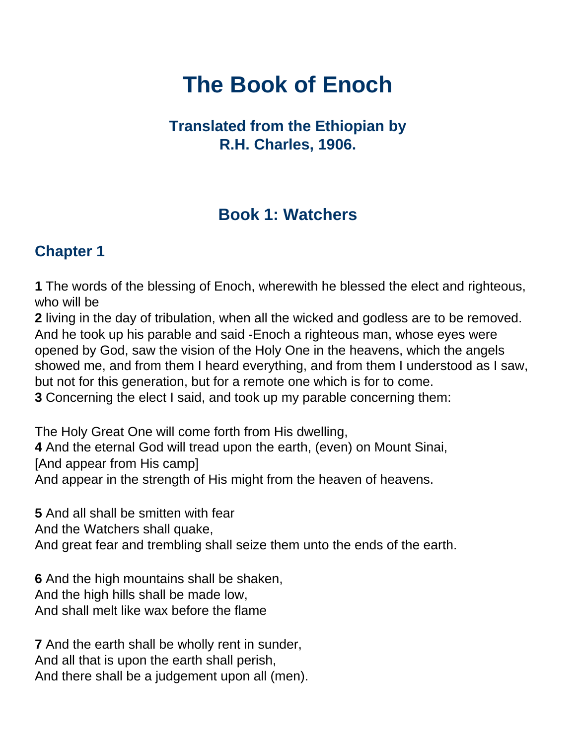# <span id="page-1-0"></span>**The Book of Enoch**

#### **Translated from the Ethiopian by R.H. Charles, 1906.**

# **Book 1: Watchers**

### **Chapter 1**

**1** The words of the blessing of Enoch, wherewith he blessed the elect and righteous, who will be

**2** living in the day of tribulation, when all the wicked and godless are to be removed. And he took up his parable and said -Enoch a righteous man, whose eyes were opened by God, saw the vision of the Holy One in the heavens, which the angels showed me, and from them I heard everything, and from them I understood as I saw, but not for this generation, but for a remote one which is for to come. **3** Concerning the elect I said, and took up my parable concerning them:

The Holy Great One will come forth from His dwelling, **4** And the eternal God will tread upon the earth, (even) on Mount Sinai, [And appear from His camp] And appear in the strength of His might from the heaven of heavens.

**5** And all shall be smitten with fear And the Watchers shall quake, And great fear and trembling shall seize them unto the ends of the earth.

**6** And the high mountains shall be shaken, And the high hills shall be made low, And shall melt like wax before the flame

**7** And the earth shall be wholly rent in sunder, And all that is upon the earth shall perish, And there shall be a judgement upon all (men).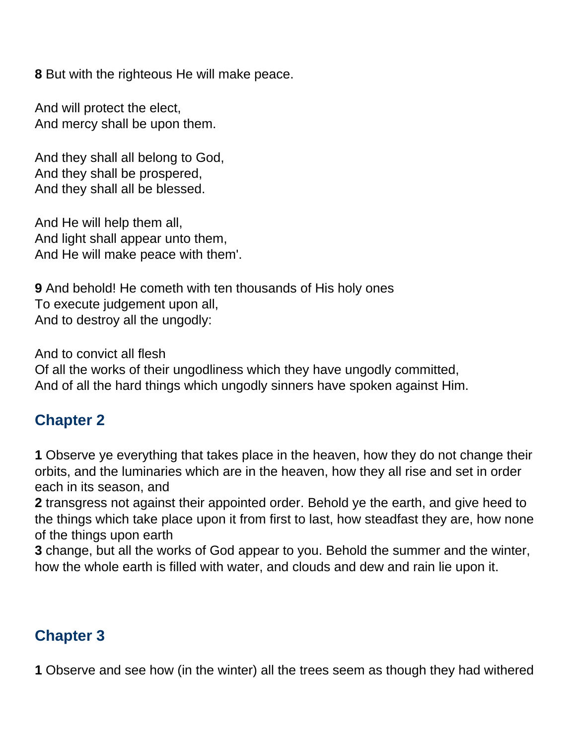**8** But with the righteous He will make peace.

And will protect the elect, And mercy shall be upon them.

And they shall all belong to God, And they shall be prospered, And they shall all be blessed.

And He will help them all, And light shall appear unto them, And He will make peace with them'.

**9** And behold! He cometh with ten thousands of His holy ones To execute judgement upon all, And to destroy all the ungodly:

And to convict all flesh

Of all the works of their ungodliness which they have ungodly committed, And of all the hard things which ungodly sinners have spoken against Him.

#### **Chapter 2**

**1** Observe ye everything that takes place in the heaven, how they do not change their orbits, and the luminaries which are in the heaven, how they all rise and set in order each in its season, and

**2** transgress not against their appointed order. Behold ye the earth, and give heed to the things which take place upon it from first to last, how steadfast they are, how none of the things upon earth

**3** change, but all the works of God appear to you. Behold the summer and the winter, how the whole earth is filled with water, and clouds and dew and rain lie upon it.

#### **Chapter 3**

**1** Observe and see how (in the winter) all the trees seem as though they had withered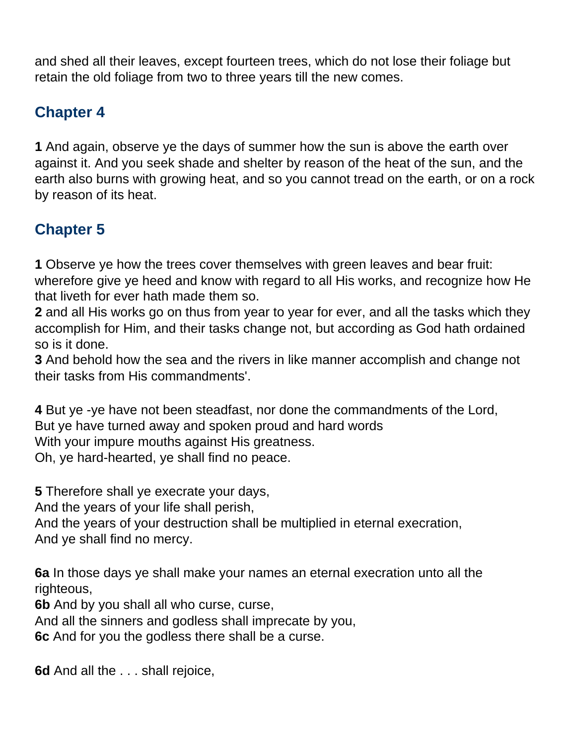and shed all their leaves, except fourteen trees, which do not lose their foliage but retain the old foliage from two to three years till the new comes.

### **Chapter 4**

**1** And again, observe ye the days of summer how the sun is above the earth over against it. And you seek shade and shelter by reason of the heat of the sun, and the earth also burns with growing heat, and so you cannot tread on the earth, or on a rock by reason of its heat.

# **Chapter 5**

**1** Observe ye how the trees cover themselves with green leaves and bear fruit: wherefore give ye heed and know with regard to all His works, and recognize how He that liveth for ever hath made them so.

**2** and all His works go on thus from year to year for ever, and all the tasks which they accomplish for Him, and their tasks change not, but according as God hath ordained so is it done.

**3** And behold how the sea and the rivers in like manner accomplish and change not their tasks from His commandments'.

**4** But ye -ye have not been steadfast, nor done the commandments of the Lord, But ye have turned away and spoken proud and hard words With your impure mouths against His greatness. Oh, ye hard-hearted, ye shall find no peace.

**5** Therefore shall ye execrate your days,

And the years of your life shall perish,

And the years of your destruction shall be multiplied in eternal execration,

And ye shall find no mercy.

**6a** In those days ye shall make your names an eternal execration unto all the righteous,

**6b** And by you shall all who curse, curse,

And all the sinners and godless shall imprecate by you,

**6c** And for you the godless there shall be a curse.

**6d** And all the . . . shall rejoice,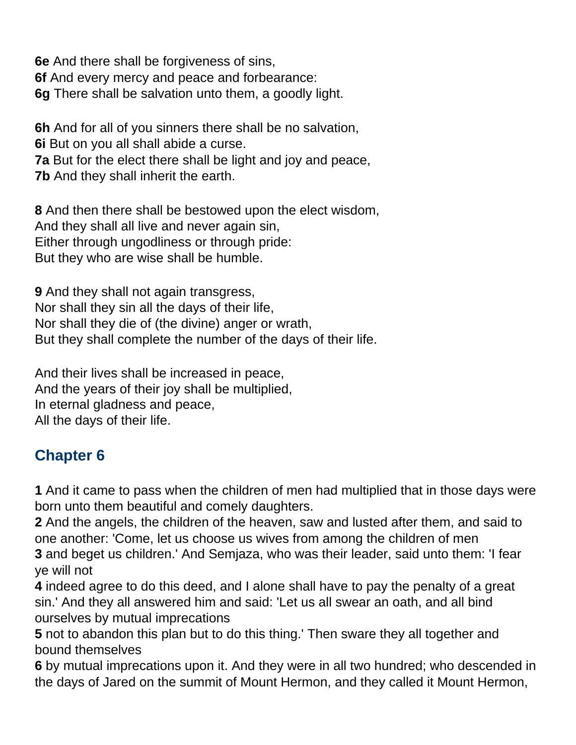**6e** And there shall be forgiveness of sins,

**6f** And every mercy and peace and forbearance:

**6g** There shall be salvation unto them, a goodly light.

**6h** And for all of you sinners there shall be no salvation,

**6i** But on you all shall abide a curse.

**7a** But for the elect there shall be light and joy and peace,

**7b** And they shall inherit the earth.

**8** And then there shall be bestowed upon the elect wisdom, And they shall all live and never again sin, Either through ungodliness or through pride: But they who are wise shall be humble.

**9** And they shall not again transgress, Nor shall they sin all the days of their life, Nor shall they die of (the divine) anger or wrath, But they shall complete the number of the days of their life.

And their lives shall be increased in peace, And the years of their joy shall be multiplied, In eternal gladness and peace, All the days of their life.

#### **Chapter 6**

**1** And it came to pass when the children of men had multiplied that in those days were born unto them beautiful and comely daughters.

**2** And the angels, the children of the heaven, saw and lusted after them, and said to one another: 'Come, let us choose us wives from among the children of men **3** and beget us children.' And Semjaza, who was their leader, said unto them: 'I fear ye will not

**4** indeed agree to do this deed, and I alone shall have to pay the penalty of a great sin.' And they all answered him and said: 'Let us all swear an oath, and all bind ourselves by mutual imprecations

**5** not to abandon this plan but to do this thing.' Then sware they all together and bound themselves

**6** by mutual imprecations upon it. And they were in all two hundred; who descended in the days of Jared on the summit of Mount Hermon, and they called it Mount Hermon,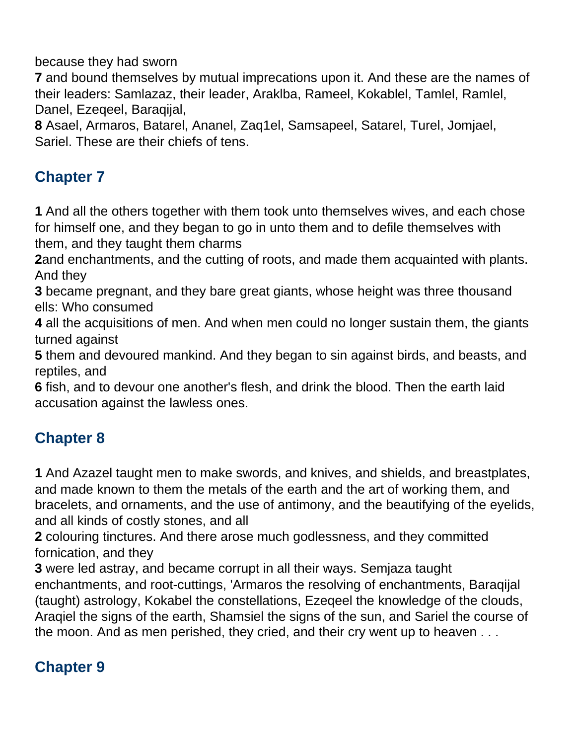because they had sworn

**7** and bound themselves by mutual imprecations upon it. And these are the names of their leaders: Samlazaz, their leader, Araklba, Rameel, Kokablel, Tamlel, Ramlel, Danel, Ezeqeel, Baraqijal,

**8** Asael, Armaros, Batarel, Ananel, Zaq1el, Samsapeel, Satarel, Turel, Jomjael, Sariel. These are their chiefs of tens.

### **Chapter 7**

**1** And all the others together with them took unto themselves wives, and each chose for himself one, and they began to go in unto them and to defile themselves with them, and they taught them charms

**2**and enchantments, and the cutting of roots, and made them acquainted with plants. And they

**3** became pregnant, and they bare great giants, whose height was three thousand ells: Who consumed

**4** all the acquisitions of men. And when men could no longer sustain them, the giants turned against

**5** them and devoured mankind. And they began to sin against birds, and beasts, and reptiles, and

**6** fish, and to devour one another's flesh, and drink the blood. Then the earth laid accusation against the lawless ones.

# **Chapter 8**

**1** And Azazel taught men to make swords, and knives, and shields, and breastplates, and made known to them the metals of the earth and the art of working them, and bracelets, and ornaments, and the use of antimony, and the beautifying of the eyelids, and all kinds of costly stones, and all

**2** colouring tinctures. And there arose much godlessness, and they committed fornication, and they

**3** were led astray, and became corrupt in all their ways. Semjaza taught enchantments, and root-cuttings, 'Armaros the resolving of enchantments, Baraqijal (taught) astrology, Kokabel the constellations, Ezeqeel the knowledge of the clouds, Araqiel the signs of the earth, Shamsiel the signs of the sun, and Sariel the course of the moon. And as men perished, they cried, and their cry went up to heaven . . .

### **Chapter 9**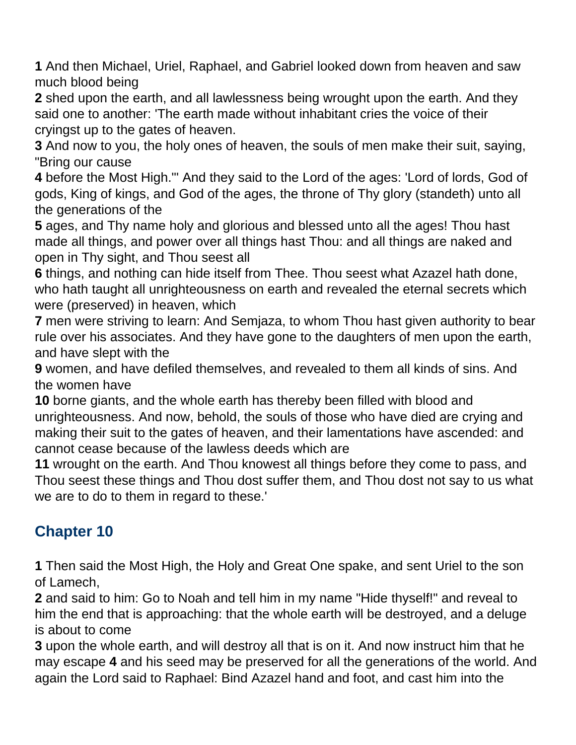**1** And then Michael, Uriel, Raphael, and Gabriel looked down from heaven and saw much blood being

**2** shed upon the earth, and all lawlessness being wrought upon the earth. And they said one to another: 'The earth made without inhabitant cries the voice of their cryingst up to the gates of heaven.

**3** And now to you, the holy ones of heaven, the souls of men make their suit, saying, "Bring our cause

**4** before the Most High."' And they said to the Lord of the ages: 'Lord of lords, God of gods, King of kings, and God of the ages, the throne of Thy glory (standeth) unto all the generations of the

**5** ages, and Thy name holy and glorious and blessed unto all the ages! Thou hast made all things, and power over all things hast Thou: and all things are naked and open in Thy sight, and Thou seest all

**6** things, and nothing can hide itself from Thee. Thou seest what Azazel hath done, who hath taught all unrighteousness on earth and revealed the eternal secrets which were (preserved) in heaven, which

**7** men were striving to learn: And Semjaza, to whom Thou hast given authority to bear rule over his associates. And they have gone to the daughters of men upon the earth, and have slept with the

**9** women, and have defiled themselves, and revealed to them all kinds of sins. And the women have

**10** borne giants, and the whole earth has thereby been filled with blood and unrighteousness. And now, behold, the souls of those who have died are crying and making their suit to the gates of heaven, and their lamentations have ascended: and cannot cease because of the lawless deeds which are

**11** wrought on the earth. And Thou knowest all things before they come to pass, and Thou seest these things and Thou dost suffer them, and Thou dost not say to us what we are to do to them in regard to these.'

# **Chapter 10**

**1** Then said the Most High, the Holy and Great One spake, and sent Uriel to the son of Lamech,

**2** and said to him: Go to Noah and tell him in my name "Hide thyself!" and reveal to him the end that is approaching: that the whole earth will be destroyed, and a deluge is about to come

**3** upon the whole earth, and will destroy all that is on it. And now instruct him that he may escape **4** and his seed may be preserved for all the generations of the world. And again the Lord said to Raphael: Bind Azazel hand and foot, and cast him into the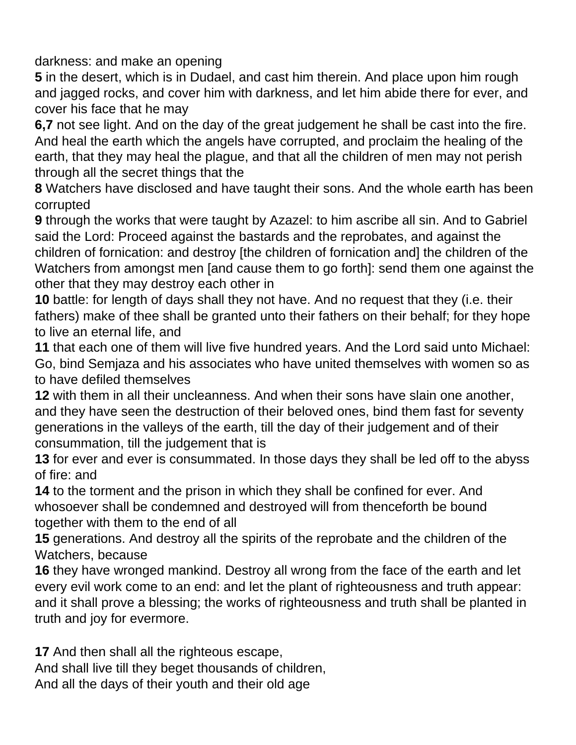darkness: and make an opening

**5** in the desert, which is in Dudael, and cast him therein. And place upon him rough and jagged rocks, and cover him with darkness, and let him abide there for ever, and cover his face that he may

**6,7** not see light. And on the day of the great judgement he shall be cast into the fire. And heal the earth which the angels have corrupted, and proclaim the healing of the earth, that they may heal the plague, and that all the children of men may not perish through all the secret things that the

**8** Watchers have disclosed and have taught their sons. And the whole earth has been corrupted

**9** through the works that were taught by Azazel: to him ascribe all sin. And to Gabriel said the Lord: Proceed against the bastards and the reprobates, and against the children of fornication: and destroy [the children of fornication and] the children of the Watchers from amongst men [and cause them to go forth]: send them one against the other that they may destroy each other in

**10** battle: for length of days shall they not have. And no request that they (i.e. their fathers) make of thee shall be granted unto their fathers on their behalf; for they hope to live an eternal life, and

**11** that each one of them will live five hundred years. And the Lord said unto Michael: Go, bind Semjaza and his associates who have united themselves with women so as to have defiled themselves

**12** with them in all their uncleanness. And when their sons have slain one another, and they have seen the destruction of their beloved ones, bind them fast for seventy generations in the valleys of the earth, till the day of their judgement and of their consummation, till the judgement that is

**13** for ever and ever is consummated. In those days they shall be led off to the abyss of fire: and

**14** to the torment and the prison in which they shall be confined for ever. And whosoever shall be condemned and destroyed will from thenceforth be bound together with them to the end of all

**15** generations. And destroy all the spirits of the reprobate and the children of the Watchers, because

**16** they have wronged mankind. Destroy all wrong from the face of the earth and let every evil work come to an end: and let the plant of righteousness and truth appear: and it shall prove a blessing; the works of righteousness and truth shall be planted in truth and joy for evermore.

**17** And then shall all the righteous escape, And shall live till they beget thousands of children, And all the days of their youth and their old age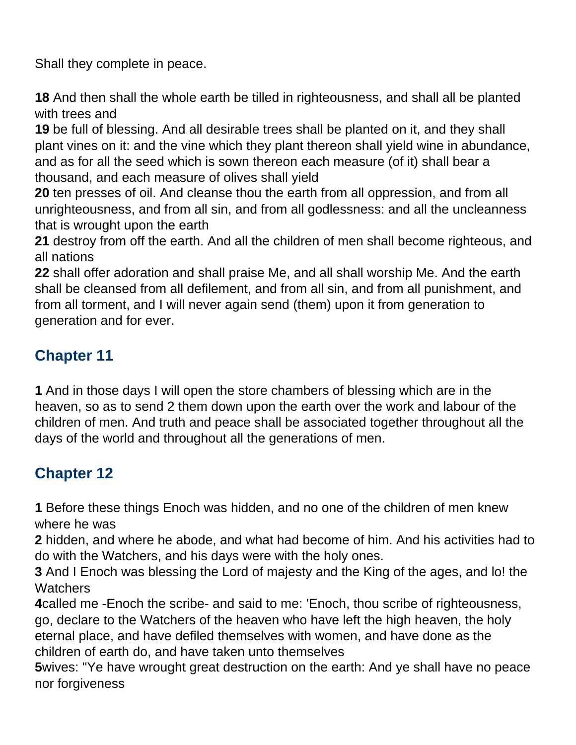Shall they complete in peace.

**18** And then shall the whole earth be tilled in righteousness, and shall all be planted with trees and

**19** be full of blessing. And all desirable trees shall be planted on it, and they shall plant vines on it: and the vine which they plant thereon shall yield wine in abundance, and as for all the seed which is sown thereon each measure (of it) shall bear a thousand, and each measure of olives shall yield

**20** ten presses of oil. And cleanse thou the earth from all oppression, and from all unrighteousness, and from all sin, and from all godlessness: and all the uncleanness that is wrought upon the earth

**21** destroy from off the earth. And all the children of men shall become righteous, and all nations

**22** shall offer adoration and shall praise Me, and all shall worship Me. And the earth shall be cleansed from all defilement, and from all sin, and from all punishment, and from all torment, and I will never again send (them) upon it from generation to generation and for ever.

# **Chapter 11**

**1** And in those days I will open the store chambers of blessing which are in the heaven, so as to send 2 them down upon the earth over the work and labour of the children of men. And truth and peace shall be associated together throughout all the days of the world and throughout all the generations of men.

### **Chapter 12**

**1** Before these things Enoch was hidden, and no one of the children of men knew where he was

**2** hidden, and where he abode, and what had become of him. And his activities had to do with the Watchers, and his days were with the holy ones.

**3** And I Enoch was blessing the Lord of majesty and the King of the ages, and lo! the **Watchers** 

**4**called me -Enoch the scribe- and said to me: 'Enoch, thou scribe of righteousness, go, declare to the Watchers of the heaven who have left the high heaven, the holy eternal place, and have defiled themselves with women, and have done as the children of earth do, and have taken unto themselves

**5**wives: "Ye have wrought great destruction on the earth: And ye shall have no peace nor forgiveness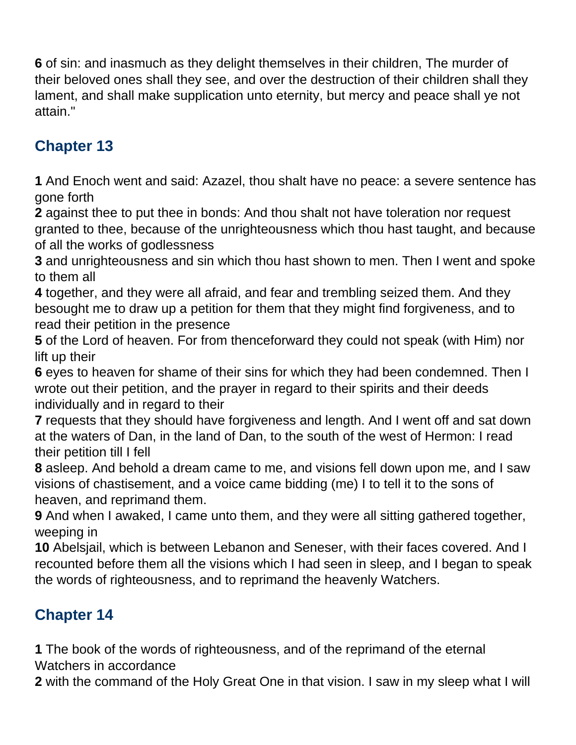**6** of sin: and inasmuch as they delight themselves in their children, The murder of their beloved ones shall they see, and over the destruction of their children shall they lament, and shall make supplication unto eternity, but mercy and peace shall ye not attain."

# **Chapter 13**

**1** And Enoch went and said: Azazel, thou shalt have no peace: a severe sentence has gone forth

**2** against thee to put thee in bonds: And thou shalt not have toleration nor request granted to thee, because of the unrighteousness which thou hast taught, and because of all the works of godlessness

**3** and unrighteousness and sin which thou hast shown to men. Then I went and spoke to them all

**4** together, and they were all afraid, and fear and trembling seized them. And they besought me to draw up a petition for them that they might find forgiveness, and to read their petition in the presence

**5** of the Lord of heaven. For from thenceforward they could not speak (with Him) nor lift up their

**6** eyes to heaven for shame of their sins for which they had been condemned. Then I wrote out their petition, and the prayer in regard to their spirits and their deeds individually and in regard to their

**7** requests that they should have forgiveness and length. And I went off and sat down at the waters of Dan, in the land of Dan, to the south of the west of Hermon: I read their petition till I fell

**8** asleep. And behold a dream came to me, and visions fell down upon me, and I saw visions of chastisement, and a voice came bidding (me) I to tell it to the sons of heaven, and reprimand them.

**9** And when I awaked, I came unto them, and they were all sitting gathered together, weeping in

**10** Abelsjail, which is between Lebanon and Seneser, with their faces covered. And I recounted before them all the visions which I had seen in sleep, and I began to speak the words of righteousness, and to reprimand the heavenly Watchers.

# **Chapter 14**

**1** The book of the words of righteousness, and of the reprimand of the eternal Watchers in accordance

**2** with the command of the Holy Great One in that vision. I saw in my sleep what I will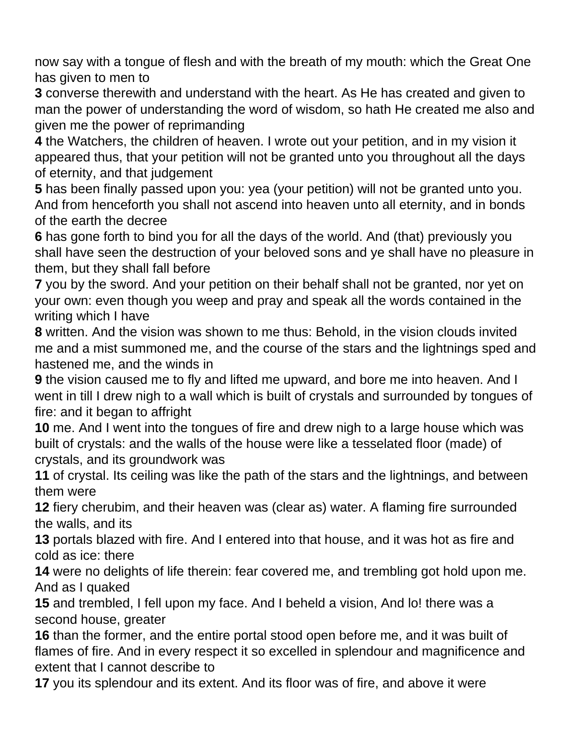now say with a tongue of flesh and with the breath of my mouth: which the Great One has given to men to

**3** converse therewith and understand with the heart. As He has created and given to man the power of understanding the word of wisdom, so hath He created me also and given me the power of reprimanding

**4** the Watchers, the children of heaven. I wrote out your petition, and in my vision it appeared thus, that your petition will not be granted unto you throughout all the days of eternity, and that judgement

**5** has been finally passed upon you: yea (your petition) will not be granted unto you. And from henceforth you shall not ascend into heaven unto all eternity, and in bonds of the earth the decree

**6** has gone forth to bind you for all the days of the world. And (that) previously you shall have seen the destruction of your beloved sons and ye shall have no pleasure in them, but they shall fall before

**7** you by the sword. And your petition on their behalf shall not be granted, nor yet on your own: even though you weep and pray and speak all the words contained in the writing which I have

**8** written. And the vision was shown to me thus: Behold, in the vision clouds invited me and a mist summoned me, and the course of the stars and the lightnings sped and hastened me, and the winds in

**9** the vision caused me to fly and lifted me upward, and bore me into heaven. And I went in till I drew nigh to a wall which is built of crystals and surrounded by tongues of fire: and it began to affright

**10** me. And I went into the tongues of fire and drew nigh to a large house which was built of crystals: and the walls of the house were like a tesselated floor (made) of crystals, and its groundwork was

**11** of crystal. Its ceiling was like the path of the stars and the lightnings, and between them were

**12** fiery cherubim, and their heaven was (clear as) water. A flaming fire surrounded the walls, and its

**13** portals blazed with fire. And I entered into that house, and it was hot as fire and cold as ice: there

**14** were no delights of life therein: fear covered me, and trembling got hold upon me. And as I quaked

**15** and trembled, I fell upon my face. And I beheld a vision, And lo! there was a second house, greater

**16** than the former, and the entire portal stood open before me, and it was built of flames of fire. And in every respect it so excelled in splendour and magnificence and extent that I cannot describe to

**17** you its splendour and its extent. And its floor was of fire, and above it were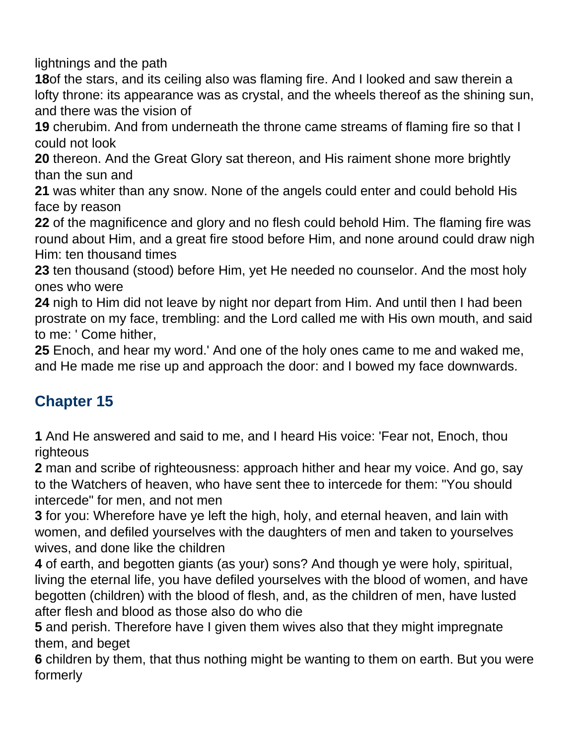lightnings and the path

**18**of the stars, and its ceiling also was flaming fire. And I looked and saw therein a lofty throne: its appearance was as crystal, and the wheels thereof as the shining sun, and there was the vision of

**19** cherubim. And from underneath the throne came streams of flaming fire so that I could not look

**20** thereon. And the Great Glory sat thereon, and His raiment shone more brightly than the sun and

**21** was whiter than any snow. None of the angels could enter and could behold His face by reason

**22** of the magnificence and glory and no flesh could behold Him. The flaming fire was round about Him, and a great fire stood before Him, and none around could draw nigh Him: ten thousand times

**23** ten thousand (stood) before Him, yet He needed no counselor. And the most holy ones who were

**24** nigh to Him did not leave by night nor depart from Him. And until then I had been prostrate on my face, trembling: and the Lord called me with His own mouth, and said to me: ' Come hither,

**25** Enoch, and hear my word.' And one of the holy ones came to me and waked me, and He made me rise up and approach the door: and I bowed my face downwards.

# **Chapter 15**

**1** And He answered and said to me, and I heard His voice: 'Fear not, Enoch, thou righteous

**2** man and scribe of righteousness: approach hither and hear my voice. And go, say to the Watchers of heaven, who have sent thee to intercede for them: "You should intercede" for men, and not men

**3** for you: Wherefore have ye left the high, holy, and eternal heaven, and lain with women, and defiled yourselves with the daughters of men and taken to yourselves wives, and done like the children

**4** of earth, and begotten giants (as your) sons? And though ye were holy, spiritual, living the eternal life, you have defiled yourselves with the blood of women, and have begotten (children) with the blood of flesh, and, as the children of men, have lusted after flesh and blood as those also do who die

**5** and perish. Therefore have I given them wives also that they might impregnate them, and beget

**6** children by them, that thus nothing might be wanting to them on earth. But you were formerly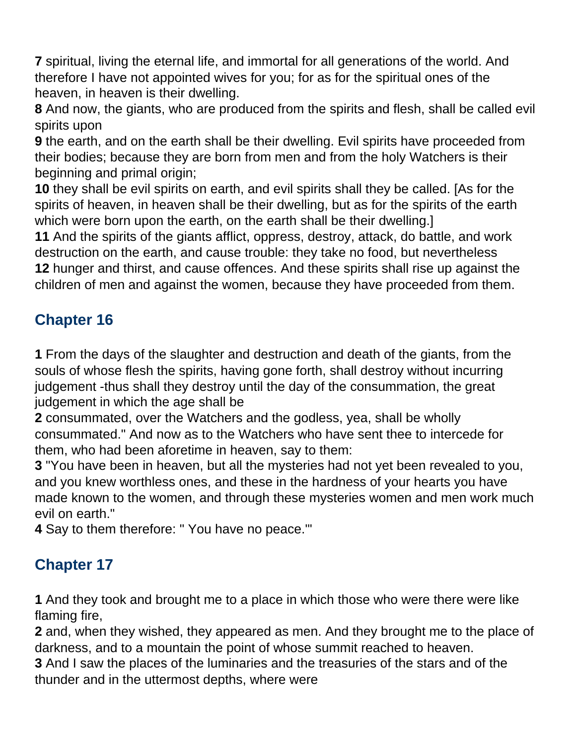**7** spiritual, living the eternal life, and immortal for all generations of the world. And therefore I have not appointed wives for you; for as for the spiritual ones of the heaven, in heaven is their dwelling.

**8** And now, the giants, who are produced from the spirits and flesh, shall be called evil spirits upon

**9** the earth, and on the earth shall be their dwelling. Evil spirits have proceeded from their bodies; because they are born from men and from the holy Watchers is their beginning and primal origin;

**10** they shall be evil spirits on earth, and evil spirits shall they be called. [As for the spirits of heaven, in heaven shall be their dwelling, but as for the spirits of the earth which were born upon the earth, on the earth shall be their dwelling.]

**11** And the spirits of the giants afflict, oppress, destroy, attack, do battle, and work destruction on the earth, and cause trouble: they take no food, but nevertheless **12** hunger and thirst, and cause offences. And these spirits shall rise up against the children of men and against the women, because they have proceeded from them.

# **Chapter 16**

**1** From the days of the slaughter and destruction and death of the giants, from the souls of whose flesh the spirits, having gone forth, shall destroy without incurring judgement -thus shall they destroy until the day of the consummation, the great judgement in which the age shall be

**2** consummated, over the Watchers and the godless, yea, shall be wholly consummated." And now as to the Watchers who have sent thee to intercede for them, who had been aforetime in heaven, say to them:

**3** "You have been in heaven, but all the mysteries had not yet been revealed to you, and you knew worthless ones, and these in the hardness of your hearts you have made known to the women, and through these mysteries women and men work much evil on earth."

**4** Say to them therefore: " You have no peace."'

# **Chapter 17**

**1** And they took and brought me to a place in which those who were there were like flaming fire,

**2** and, when they wished, they appeared as men. And they brought me to the place of darkness, and to a mountain the point of whose summit reached to heaven.

**3** And I saw the places of the luminaries and the treasuries of the stars and of the thunder and in the uttermost depths, where were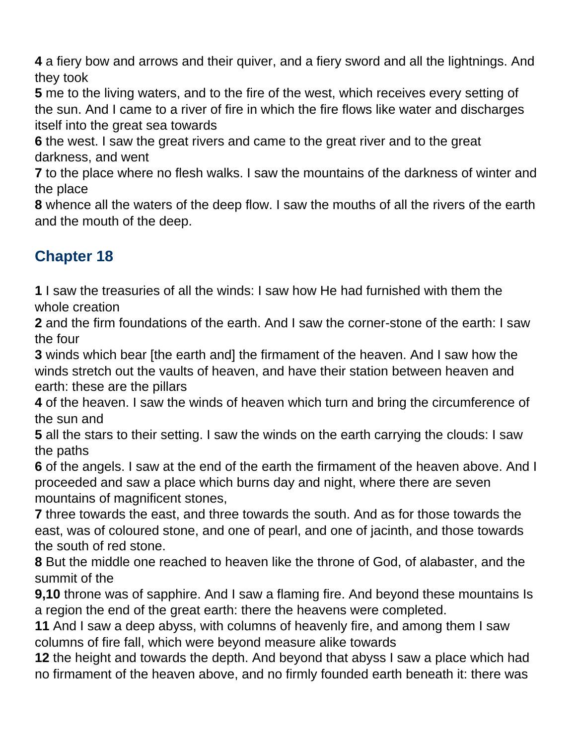**4** a fiery bow and arrows and their quiver, and a fiery sword and all the lightnings. And they took

**5** me to the living waters, and to the fire of the west, which receives every setting of the sun. And I came to a river of fire in which the fire flows like water and discharges itself into the great sea towards

**6** the west. I saw the great rivers and came to the great river and to the great darkness, and went

**7** to the place where no flesh walks. I saw the mountains of the darkness of winter and the place

**8** whence all the waters of the deep flow. I saw the mouths of all the rivers of the earth and the mouth of the deep.

# **Chapter 18**

**1** I saw the treasuries of all the winds: I saw how He had furnished with them the whole creation

**2** and the firm foundations of the earth. And I saw the corner-stone of the earth: I saw the four

**3** winds which bear [the earth and] the firmament of the heaven. And I saw how the winds stretch out the vaults of heaven, and have their station between heaven and earth: these are the pillars

**4** of the heaven. I saw the winds of heaven which turn and bring the circumference of the sun and

**5** all the stars to their setting. I saw the winds on the earth carrying the clouds: I saw the paths

**6** of the angels. I saw at the end of the earth the firmament of the heaven above. And I proceeded and saw a place which burns day and night, where there are seven mountains of magnificent stones,

**7** three towards the east, and three towards the south. And as for those towards the east, was of coloured stone, and one of pearl, and one of jacinth, and those towards the south of red stone.

**8** But the middle one reached to heaven like the throne of God, of alabaster, and the summit of the

**9,10** throne was of sapphire. And I saw a flaming fire. And beyond these mountains Is a region the end of the great earth: there the heavens were completed.

**11** And I saw a deep abyss, with columns of heavenly fire, and among them I saw columns of fire fall, which were beyond measure alike towards

**12** the height and towards the depth. And beyond that abyss I saw a place which had no firmament of the heaven above, and no firmly founded earth beneath it: there was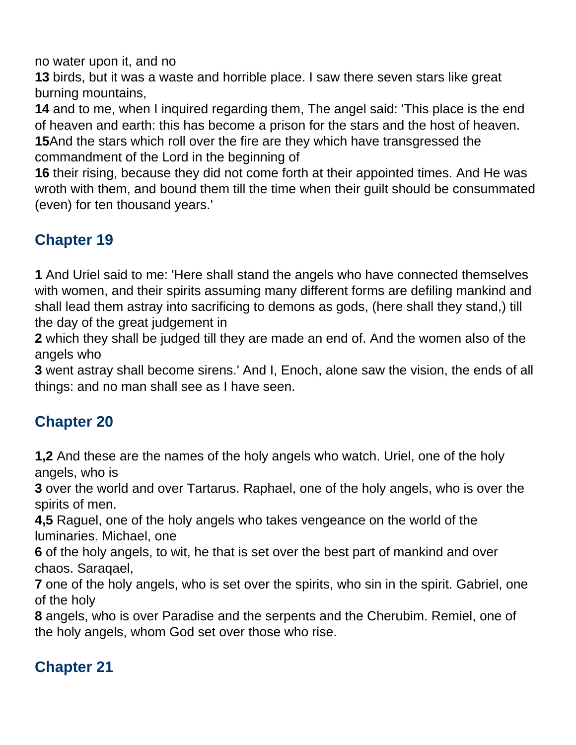no water upon it, and no

**13** birds, but it was a waste and horrible place. I saw there seven stars like great burning mountains,

**14** and to me, when I inquired regarding them, The angel said: 'This place is the end of heaven and earth: this has become a prison for the stars and the host of heaven. **15**And the stars which roll over the fire are they which have transgressed the commandment of the Lord in the beginning of

**16** their rising, because they did not come forth at their appointed times. And He was wroth with them, and bound them till the time when their guilt should be consummated (even) for ten thousand years.'

# **Chapter 19**

**1** And Uriel said to me: 'Here shall stand the angels who have connected themselves with women, and their spirits assuming many different forms are defiling mankind and shall lead them astray into sacrificing to demons as gods, (here shall they stand,) till the day of the great judgement in

**2** which they shall be judged till they are made an end of. And the women also of the angels who

**3** went astray shall become sirens.' And I, Enoch, alone saw the vision, the ends of all things: and no man shall see as I have seen.

# **Chapter 20**

**1,2** And these are the names of the holy angels who watch. Uriel, one of the holy angels, who is

**3** over the world and over Tartarus. Raphael, one of the holy angels, who is over the spirits of men.

**4,5** Raguel, one of the holy angels who takes vengeance on the world of the luminaries. Michael, one

**6** of the holy angels, to wit, he that is set over the best part of mankind and over chaos. Saraqael,

**7** one of the holy angels, who is set over the spirits, who sin in the spirit. Gabriel, one of the holy

**8** angels, who is over Paradise and the serpents and the Cherubim. Remiel, one of the holy angels, whom God set over those who rise.

# **Chapter 21**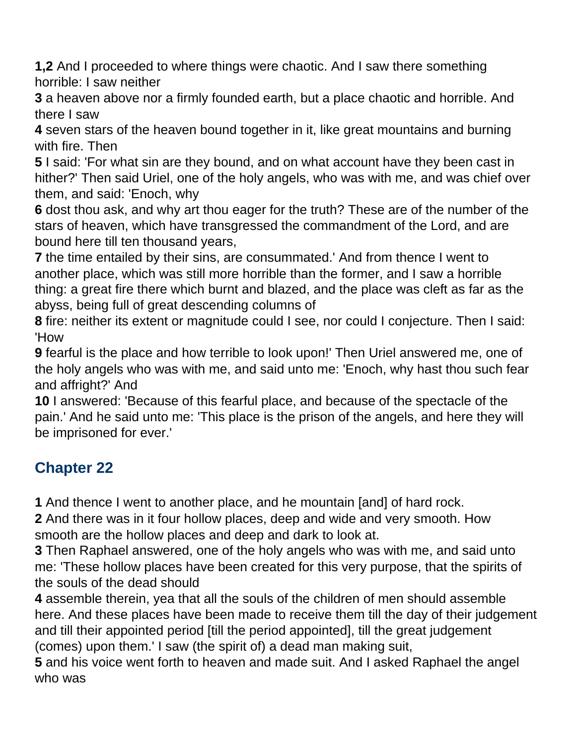**1,2** And I proceeded to where things were chaotic. And I saw there something horrible: I saw neither

**3** a heaven above nor a firmly founded earth, but a place chaotic and horrible. And there I saw

**4** seven stars of the heaven bound together in it, like great mountains and burning with fire. Then

**5** I said: 'For what sin are they bound, and on what account have they been cast in hither?' Then said Uriel, one of the holy angels, who was with me, and was chief over them, and said: 'Enoch, why

**6** dost thou ask, and why art thou eager for the truth? These are of the number of the stars of heaven, which have transgressed the commandment of the Lord, and are bound here till ten thousand years,

**7** the time entailed by their sins, are consummated.' And from thence I went to another place, which was still more horrible than the former, and I saw a horrible thing: a great fire there which burnt and blazed, and the place was cleft as far as the abyss, being full of great descending columns of

**8** fire: neither its extent or magnitude could I see, nor could I conjecture. Then I said: 'How

**9** fearful is the place and how terrible to look upon!' Then Uriel answered me, one of the holy angels who was with me, and said unto me: 'Enoch, why hast thou such fear and affright?' And

**10** I answered: 'Because of this fearful place, and because of the spectacle of the pain.' And he said unto me: 'This place is the prison of the angels, and here they will be imprisoned for ever.'

# **Chapter 22**

**1** And thence I went to another place, and he mountain [and] of hard rock.

**2** And there was in it four hollow places, deep and wide and very smooth. How smooth are the hollow places and deep and dark to look at.

**3** Then Raphael answered, one of the holy angels who was with me, and said unto me: 'These hollow places have been created for this very purpose, that the spirits of the souls of the dead should

**4** assemble therein, yea that all the souls of the children of men should assemble here. And these places have been made to receive them till the day of their judgement and till their appointed period [till the period appointed], till the great judgement (comes) upon them.' I saw (the spirit of) a dead man making suit,

**5** and his voice went forth to heaven and made suit. And I asked Raphael the angel who was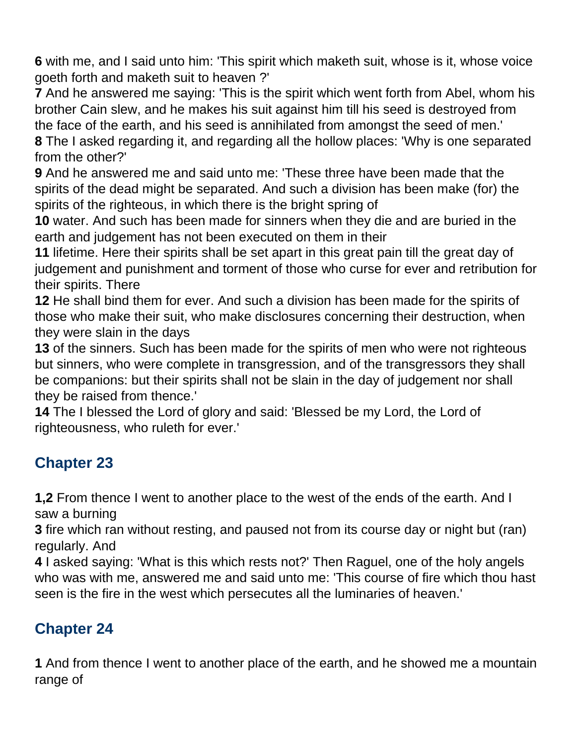**6** with me, and I said unto him: 'This spirit which maketh suit, whose is it, whose voice goeth forth and maketh suit to heaven ?'

**7** And he answered me saying: 'This is the spirit which went forth from Abel, whom his brother Cain slew, and he makes his suit against him till his seed is destroyed from the face of the earth, and his seed is annihilated from amongst the seed of men.' **8** The I asked regarding it, and regarding all the hollow places: 'Why is one separated from the other?'

**9** And he answered me and said unto me: 'These three have been made that the spirits of the dead might be separated. And such a division has been make (for) the spirits of the righteous, in which there is the bright spring of

**10** water. And such has been made for sinners when they die and are buried in the earth and judgement has not been executed on them in their

**11** lifetime. Here their spirits shall be set apart in this great pain till the great day of judgement and punishment and torment of those who curse for ever and retribution for their spirits. There

**12** He shall bind them for ever. And such a division has been made for the spirits of those who make their suit, who make disclosures concerning their destruction, when they were slain in the days

**13** of the sinners. Such has been made for the spirits of men who were not righteous but sinners, who were complete in transgression, and of the transgressors they shall be companions: but their spirits shall not be slain in the day of judgement nor shall they be raised from thence.'

**14** The I blessed the Lord of glory and said: 'Blessed be my Lord, the Lord of righteousness, who ruleth for ever.'

# **Chapter 23**

**1,2** From thence I went to another place to the west of the ends of the earth. And I saw a burning

**3** fire which ran without resting, and paused not from its course day or night but (ran) regularly. And

**4** I asked saying: 'What is this which rests not?' Then Raguel, one of the holy angels who was with me, answered me and said unto me: 'This course of fire which thou hast seen is the fire in the west which persecutes all the luminaries of heaven.'

#### **Chapter 24**

**1** And from thence I went to another place of the earth, and he showed me a mountain range of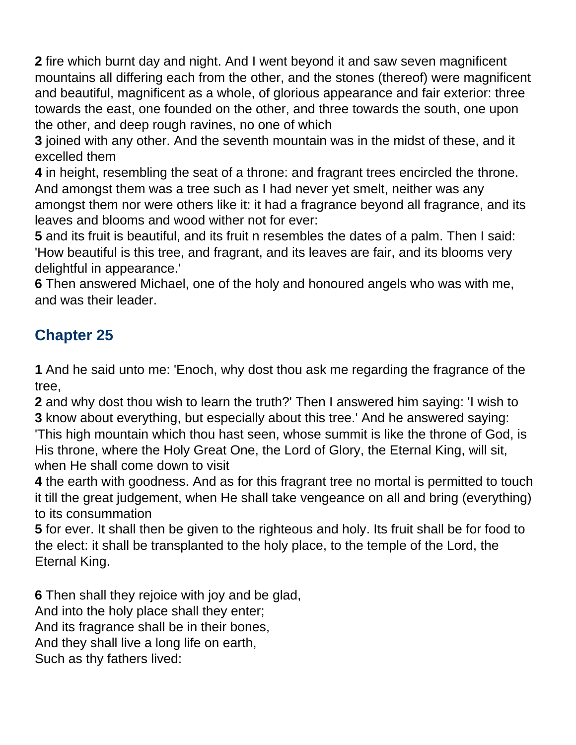**2** fire which burnt day and night. And I went beyond it and saw seven magnificent mountains all differing each from the other, and the stones (thereof) were magnificent and beautiful, magnificent as a whole, of glorious appearance and fair exterior: three towards the east, one founded on the other, and three towards the south, one upon the other, and deep rough ravines, no one of which

**3** joined with any other. And the seventh mountain was in the midst of these, and it excelled them

**4** in height, resembling the seat of a throne: and fragrant trees encircled the throne. And amongst them was a tree such as I had never yet smelt, neither was any amongst them nor were others like it: it had a fragrance beyond all fragrance, and its leaves and blooms and wood wither not for ever:

**5** and its fruit is beautiful, and its fruit n resembles the dates of a palm. Then I said: 'How beautiful is this tree, and fragrant, and its leaves are fair, and its blooms very delightful in appearance.'

**6** Then answered Michael, one of the holy and honoured angels who was with me, and was their leader.

### **Chapter 25**

**1** And he said unto me: 'Enoch, why dost thou ask me regarding the fragrance of the tree,

**2** and why dost thou wish to learn the truth?' Then I answered him saying: 'I wish to **3** know about everything, but especially about this tree.' And he answered saying: 'This high mountain which thou hast seen, whose summit is like the throne of God, is His throne, where the Holy Great One, the Lord of Glory, the Eternal King, will sit, when He shall come down to visit

**4** the earth with goodness. And as for this fragrant tree no mortal is permitted to touch it till the great judgement, when He shall take vengeance on all and bring (everything) to its consummation

**5** for ever. It shall then be given to the righteous and holy. Its fruit shall be for food to the elect: it shall be transplanted to the holy place, to the temple of the Lord, the Eternal King.

**6** Then shall they rejoice with joy and be glad,

And into the holy place shall they enter;

And its fragrance shall be in their bones,

And they shall live a long life on earth,

Such as thy fathers lived: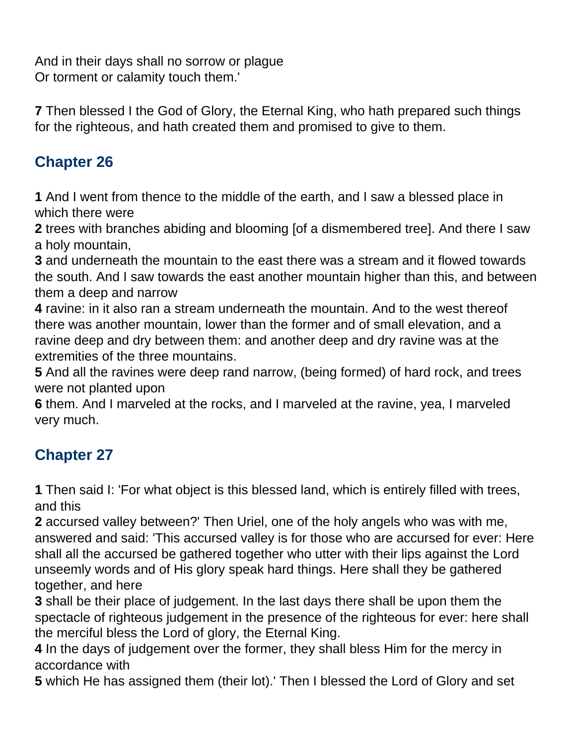And in their days shall no sorrow or plague Or torment or calamity touch them.'

**7** Then blessed I the God of Glory, the Eternal King, who hath prepared such things for the righteous, and hath created them and promised to give to them.

# **Chapter 26**

**1** And I went from thence to the middle of the earth, and I saw a blessed place in which there were

**2** trees with branches abiding and blooming [of a dismembered tree]. And there I saw a holy mountain,

**3** and underneath the mountain to the east there was a stream and it flowed towards the south. And I saw towards the east another mountain higher than this, and between them a deep and narrow

**4** ravine: in it also ran a stream underneath the mountain. And to the west thereof there was another mountain, lower than the former and of small elevation, and a ravine deep and dry between them: and another deep and dry ravine was at the extremities of the three mountains.

**5** And all the ravines were deep rand narrow, (being formed) of hard rock, and trees were not planted upon

**6** them. And I marveled at the rocks, and I marveled at the ravine, yea, I marveled very much.

# **Chapter 27**

**1** Then said I: 'For what object is this blessed land, which is entirely filled with trees, and this

**2** accursed valley between?' Then Uriel, one of the holy angels who was with me, answered and said: 'This accursed valley is for those who are accursed for ever: Here shall all the accursed be gathered together who utter with their lips against the Lord unseemly words and of His glory speak hard things. Here shall they be gathered together, and here

**3** shall be their place of judgement. In the last days there shall be upon them the spectacle of righteous judgement in the presence of the righteous for ever: here shall the merciful bless the Lord of glory, the Eternal King.

**4** In the days of judgement over the former, they shall bless Him for the mercy in accordance with

**5** which He has assigned them (their lot).' Then I blessed the Lord of Glory and set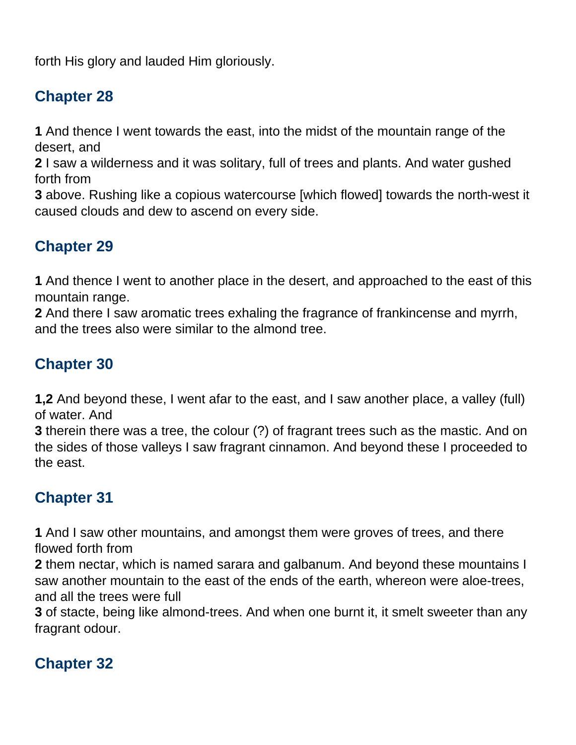forth His glory and lauded Him gloriously.

### **Chapter 28**

**1** And thence I went towards the east, into the midst of the mountain range of the desert, and

**2** I saw a wilderness and it was solitary, full of trees and plants. And water gushed forth from

**3** above. Rushing like a copious watercourse [which flowed] towards the north-west it caused clouds and dew to ascend on every side.

### **Chapter 29**

**1** And thence I went to another place in the desert, and approached to the east of this mountain range.

**2** And there I saw aromatic trees exhaling the fragrance of frankincense and myrrh, and the trees also were similar to the almond tree.

#### **Chapter 30**

**1,2** And beyond these, I went afar to the east, and I saw another place, a valley (full) of water. And

**3** therein there was a tree, the colour (?) of fragrant trees such as the mastic. And on the sides of those valleys I saw fragrant cinnamon. And beyond these I proceeded to the east.

### **Chapter 31**

**1** And I saw other mountains, and amongst them were groves of trees, and there flowed forth from

**2** them nectar, which is named sarara and galbanum. And beyond these mountains I saw another mountain to the east of the ends of the earth, whereon were aloe-trees, and all the trees were full

**3** of stacte, being like almond-trees. And when one burnt it, it smelt sweeter than any fragrant odour.

# **Chapter 32**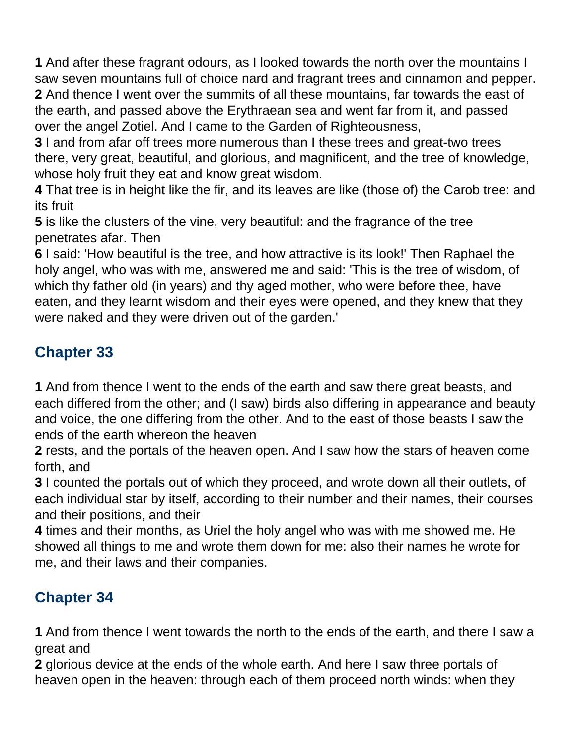**1** And after these fragrant odours, as I looked towards the north over the mountains I saw seven mountains full of choice nard and fragrant trees and cinnamon and pepper. **2** And thence I went over the summits of all these mountains, far towards the east of the earth, and passed above the Erythraean sea and went far from it, and passed over the angel Zotiel. And I came to the Garden of Righteousness,

**3** I and from afar off trees more numerous than I these trees and great-two trees there, very great, beautiful, and glorious, and magnificent, and the tree of knowledge, whose holy fruit they eat and know great wisdom.

**4** That tree is in height like the fir, and its leaves are like (those of) the Carob tree: and its fruit

**5** is like the clusters of the vine, very beautiful: and the fragrance of the tree penetrates afar. Then

**6** I said: 'How beautiful is the tree, and how attractive is its look!' Then Raphael the holy angel, who was with me, answered me and said: 'This is the tree of wisdom, of which thy father old (in years) and thy aged mother, who were before thee, have eaten, and they learnt wisdom and their eyes were opened, and they knew that they were naked and they were driven out of the garden.'

# **Chapter 33**

**1** And from thence I went to the ends of the earth and saw there great beasts, and each differed from the other; and (I saw) birds also differing in appearance and beauty and voice, the one differing from the other. And to the east of those beasts I saw the ends of the earth whereon the heaven

**2** rests, and the portals of the heaven open. And I saw how the stars of heaven come forth, and

**3** I counted the portals out of which they proceed, and wrote down all their outlets, of each individual star by itself, according to their number and their names, their courses and their positions, and their

**4** times and their months, as Uriel the holy angel who was with me showed me. He showed all things to me and wrote them down for me: also their names he wrote for me, and their laws and their companies.

### **Chapter 34**

**1** And from thence I went towards the north to the ends of the earth, and there I saw a great and

**2** glorious device at the ends of the whole earth. And here I saw three portals of heaven open in the heaven: through each of them proceed north winds: when they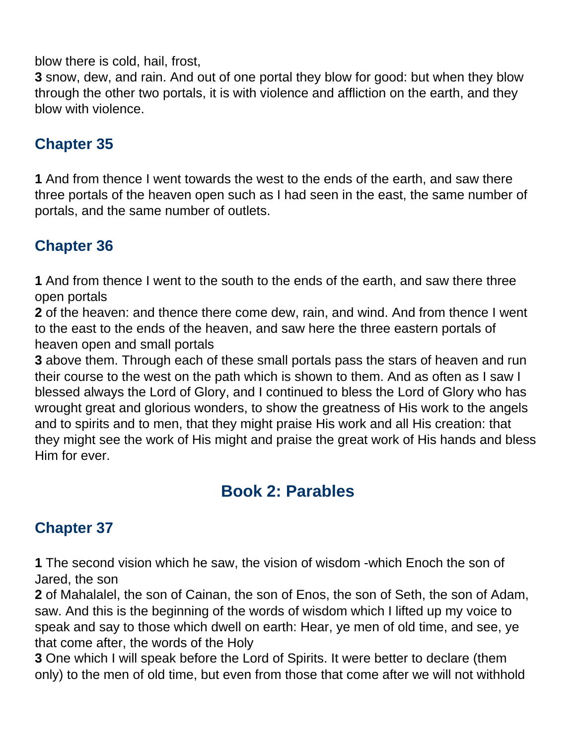blow there is cold, hail, frost,

**3** snow, dew, and rain. And out of one portal they blow for good: but when they blow through the other two portals, it is with violence and affliction on the earth, and they blow with violence.

# **Chapter 35**

**1** And from thence I went towards the west to the ends of the earth, and saw there three portals of the heaven open such as I had seen in the east, the same number of portals, and the same number of outlets.

# **Chapter 36**

**1** And from thence I went to the south to the ends of the earth, and saw there three open portals

**2** of the heaven: and thence there come dew, rain, and wind. And from thence I went to the east to the ends of the heaven, and saw here the three eastern portals of heaven open and small portals

**3** above them. Through each of these small portals pass the stars of heaven and run their course to the west on the path which is shown to them. And as often as I saw I blessed always the Lord of Glory, and I continued to bless the Lord of Glory who has wrought great and glorious wonders, to show the greatness of His work to the angels and to spirits and to men, that they might praise His work and all His creation: that they might see the work of His might and praise the great work of His hands and bless Him for ever.

# **Book 2: Parables**

# **Chapter 37**

**1** The second vision which he saw, the vision of wisdom -which Enoch the son of Jared, the son

**2** of Mahalalel, the son of Cainan, the son of Enos, the son of Seth, the son of Adam, saw. And this is the beginning of the words of wisdom which I lifted up my voice to speak and say to those which dwell on earth: Hear, ye men of old time, and see, ye that come after, the words of the Holy

**3** One which I will speak before the Lord of Spirits. It were better to declare (them only) to the men of old time, but even from those that come after we will not withhold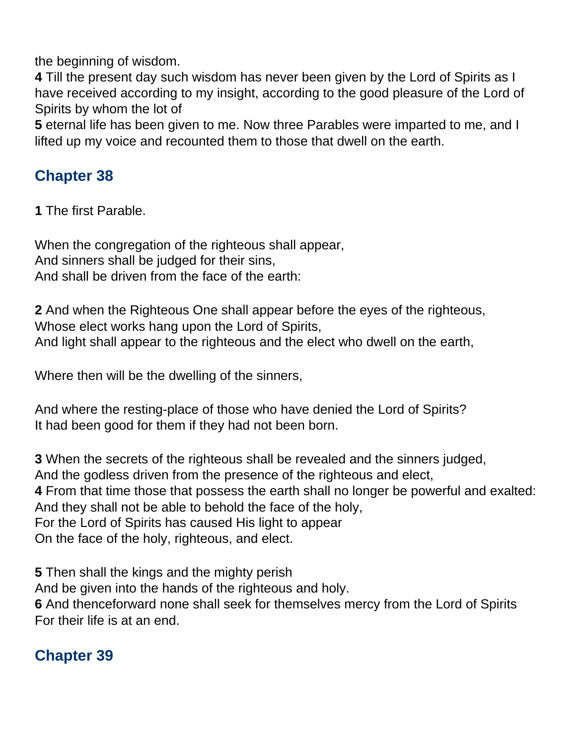the beginning of wisdom.

**4** Till the present day such wisdom has never been given by the Lord of Spirits as I have received according to my insight, according to the good pleasure of the Lord of Spirits by whom the lot of

**5** eternal life has been given to me. Now three Parables were imparted to me, and I lifted up my voice and recounted them to those that dwell on the earth.

### **Chapter 38**

**1** The first Parable.

When the congregation of the righteous shall appear, And sinners shall be judged for their sins, And shall be driven from the face of the earth:

**2** And when the Righteous One shall appear before the eyes of the righteous, Whose elect works hang upon the Lord of Spirits, And light shall appear to the righteous and the elect who dwell on the earth,

Where then will be the dwelling of the sinners,

And where the resting-place of those who have denied the Lord of Spirits? It had been good for them if they had not been born.

**3** When the secrets of the righteous shall be revealed and the sinners judged, And the godless driven from the presence of the righteous and elect, **4** From that time those that possess the earth shall no longer be powerful and exalted: And they shall not be able to behold the face of the holy, For the Lord of Spirits has caused His light to appear On the face of the holy, righteous, and elect.

**5** Then shall the kings and the mighty perish

And be given into the hands of the righteous and holy.

**6** And thenceforward none shall seek for themselves mercy from the Lord of Spirits For their life is at an end.

### **Chapter 39**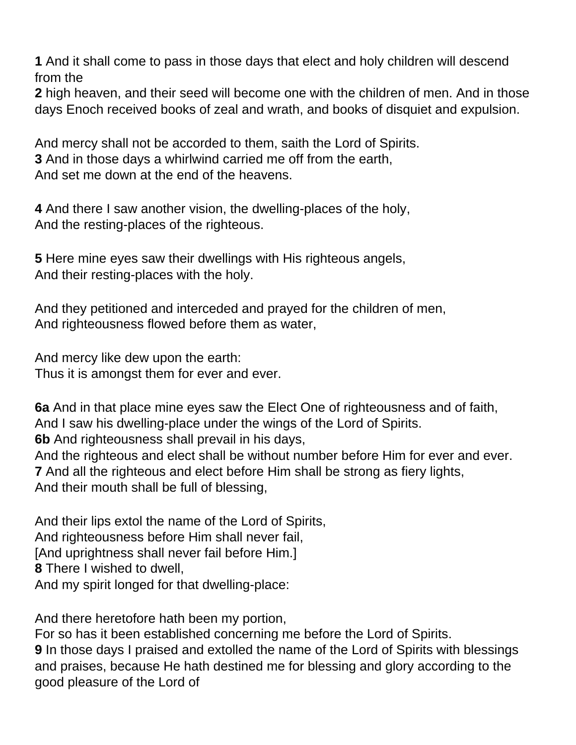**1** And it shall come to pass in those days that elect and holy children will descend from the

**2** high heaven, and their seed will become one with the children of men. And in those days Enoch received books of zeal and wrath, and books of disquiet and expulsion.

And mercy shall not be accorded to them, saith the Lord of Spirits. **3** And in those days a whirlwind carried me off from the earth, And set me down at the end of the heavens.

**4** And there I saw another vision, the dwelling-places of the holy, And the resting-places of the righteous.

**5** Here mine eyes saw their dwellings with His righteous angels, And their resting-places with the holy.

And they petitioned and interceded and prayed for the children of men, And righteousness flowed before them as water,

And mercy like dew upon the earth: Thus it is amongst them for ever and ever.

**6a** And in that place mine eyes saw the Elect One of righteousness and of faith, And I saw his dwelling-place under the wings of the Lord of Spirits. **6b** And righteousness shall prevail in his days, And the righteous and elect shall be without number before Him for ever and ever. **7** And all the righteous and elect before Him shall be strong as fiery lights, And their mouth shall be full of blessing,

And their lips extol the name of the Lord of Spirits, And righteousness before Him shall never fail, [And uprightness shall never fail before Him.] **8** There I wished to dwell, And my spirit longed for that dwelling-place:

And there heretofore hath been my portion,

For so has it been established concerning me before the Lord of Spirits.

**9** In those days I praised and extolled the name of the Lord of Spirits with blessings and praises, because He hath destined me for blessing and glory according to the good pleasure of the Lord of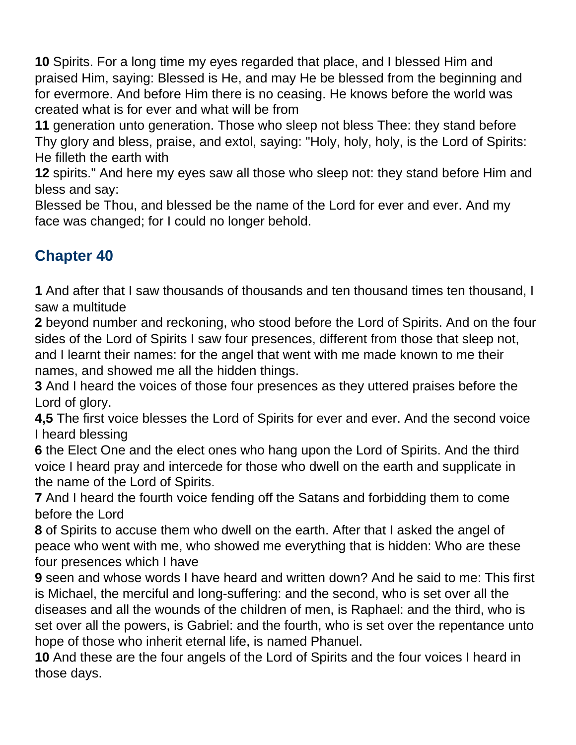**10** Spirits. For a long time my eyes regarded that place, and I blessed Him and praised Him, saying: Blessed is He, and may He be blessed from the beginning and for evermore. And before Him there is no ceasing. He knows before the world was created what is for ever and what will be from

**11** generation unto generation. Those who sleep not bless Thee: they stand before Thy glory and bless, praise, and extol, saying: "Holy, holy, holy, is the Lord of Spirits: He filleth the earth with

**12** spirits." And here my eyes saw all those who sleep not: they stand before Him and bless and say:

Blessed be Thou, and blessed be the name of the Lord for ever and ever. And my face was changed; for I could no longer behold.

# **Chapter 40**

**1** And after that I saw thousands of thousands and ten thousand times ten thousand, I saw a multitude

**2** beyond number and reckoning, who stood before the Lord of Spirits. And on the four sides of the Lord of Spirits I saw four presences, different from those that sleep not, and I learnt their names: for the angel that went with me made known to me their names, and showed me all the hidden things.

**3** And I heard the voices of those four presences as they uttered praises before the Lord of glory.

**4,5** The first voice blesses the Lord of Spirits for ever and ever. And the second voice I heard blessing

**6** the Elect One and the elect ones who hang upon the Lord of Spirits. And the third voice I heard pray and intercede for those who dwell on the earth and supplicate in the name of the Lord of Spirits.

**7** And I heard the fourth voice fending off the Satans and forbidding them to come before the Lord

**8** of Spirits to accuse them who dwell on the earth. After that I asked the angel of peace who went with me, who showed me everything that is hidden: Who are these four presences which I have

**9** seen and whose words I have heard and written down? And he said to me: This first is Michael, the merciful and long-suffering: and the second, who is set over all the diseases and all the wounds of the children of men, is Raphael: and the third, who is set over all the powers, is Gabriel: and the fourth, who is set over the repentance unto hope of those who inherit eternal life, is named Phanuel.

**10** And these are the four angels of the Lord of Spirits and the four voices I heard in those days.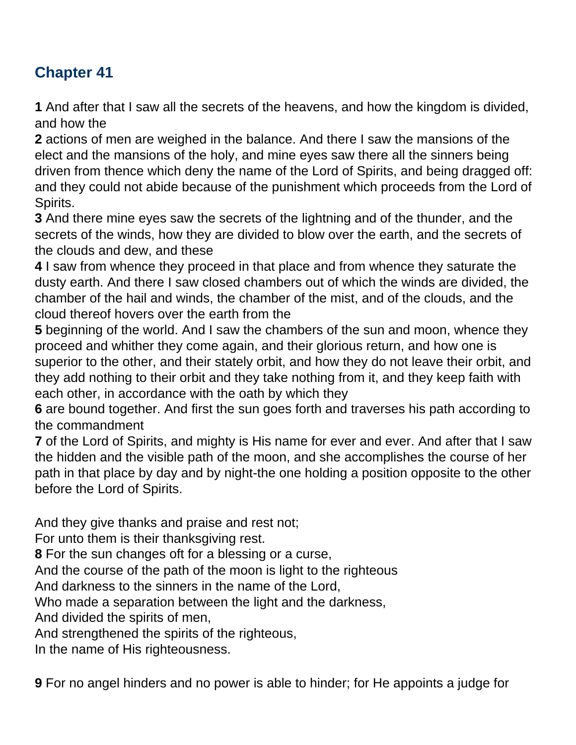# **Chapter 41**

**1** And after that I saw all the secrets of the heavens, and how the kingdom is divided, and how the

**2** actions of men are weighed in the balance. And there I saw the mansions of the elect and the mansions of the holy, and mine eyes saw there all the sinners being driven from thence which deny the name of the Lord of Spirits, and being dragged off: and they could not abide because of the punishment which proceeds from the Lord of Spirits.

**3** And there mine eyes saw the secrets of the lightning and of the thunder, and the secrets of the winds, how they are divided to blow over the earth, and the secrets of the clouds and dew, and these

**4** I saw from whence they proceed in that place and from whence they saturate the dusty earth. And there I saw closed chambers out of which the winds are divided, the chamber of the hail and winds, the chamber of the mist, and of the clouds, and the cloud thereof hovers over the earth from the

**5** beginning of the world. And I saw the chambers of the sun and moon, whence they proceed and whither they come again, and their glorious return, and how one is superior to the other, and their stately orbit, and how they do not leave their orbit, and they add nothing to their orbit and they take nothing from it, and they keep faith with each other, in accordance with the oath by which they

**6** are bound together. And first the sun goes forth and traverses his path according to the commandment

**7** of the Lord of Spirits, and mighty is His name for ever and ever. And after that I saw the hidden and the visible path of the moon, and she accomplishes the course of her path in that place by day and by night-the one holding a position opposite to the other before the Lord of Spirits.

And they give thanks and praise and rest not;

For unto them is their thanksgiving rest.

**8** For the sun changes oft for a blessing or a curse,

And the course of the path of the moon is light to the righteous

And darkness to the sinners in the name of the Lord,

Who made a separation between the light and the darkness,

And divided the spirits of men,

And strengthened the spirits of the righteous,

In the name of His righteousness.

**9** For no angel hinders and no power is able to hinder; for He appoints a judge for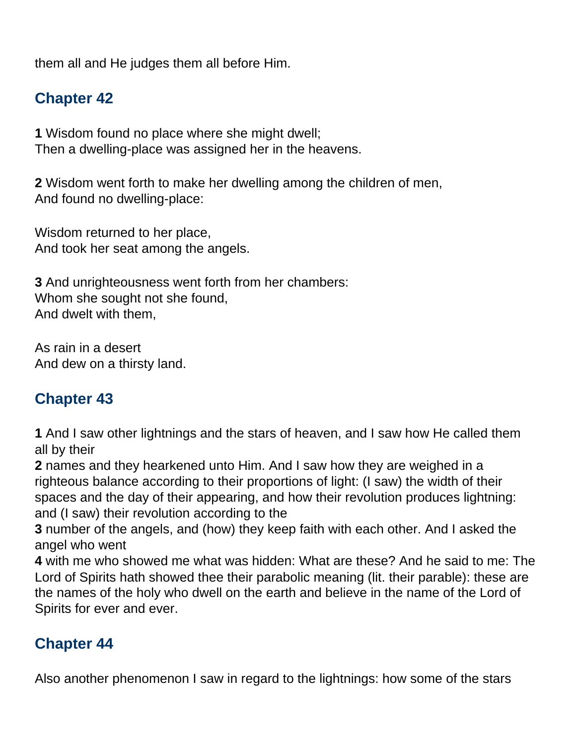them all and He judges them all before Him.

### **Chapter 42**

**1** Wisdom found no place where she might dwell; Then a dwelling-place was assigned her in the heavens.

**2** Wisdom went forth to make her dwelling among the children of men, And found no dwelling-place:

Wisdom returned to her place, And took her seat among the angels.

**3** And unrighteousness went forth from her chambers: Whom she sought not she found, And dwelt with them,

As rain in a desert And dew on a thirsty land.

# **Chapter 43**

**1** And I saw other lightnings and the stars of heaven, and I saw how He called them all by their

**2** names and they hearkened unto Him. And I saw how they are weighed in a righteous balance according to their proportions of light: (I saw) the width of their spaces and the day of their appearing, and how their revolution produces lightning: and (I saw) their revolution according to the

**3** number of the angels, and (how) they keep faith with each other. And I asked the angel who went

**4** with me who showed me what was hidden: What are these? And he said to me: The Lord of Spirits hath showed thee their parabolic meaning (lit. their parable): these are the names of the holy who dwell on the earth and believe in the name of the Lord of Spirits for ever and ever.

#### **Chapter 44**

Also another phenomenon I saw in regard to the lightnings: how some of the stars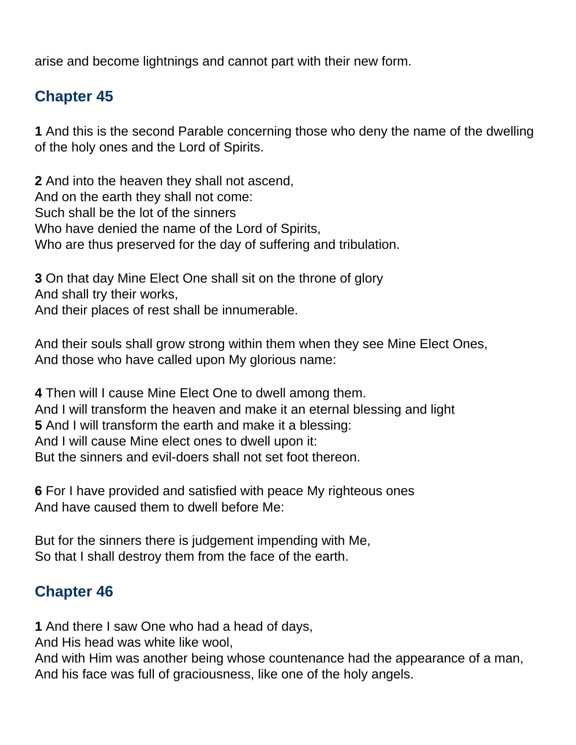arise and become lightnings and cannot part with their new form.

# **Chapter 45**

**1** And this is the second Parable concerning those who deny the name of the dwelling of the holy ones and the Lord of Spirits.

**2** And into the heaven they shall not ascend, And on the earth they shall not come: Such shall be the lot of the sinners Who have denied the name of the Lord of Spirits, Who are thus preserved for the day of suffering and tribulation.

**3** On that day Mine Elect One shall sit on the throne of glory And shall try their works, And their places of rest shall be innumerable.

And their souls shall grow strong within them when they see Mine Elect Ones, And those who have called upon My glorious name:

**4** Then will I cause Mine Elect One to dwell among them. And I will transform the heaven and make it an eternal blessing and light **5** And I will transform the earth and make it a blessing: And I will cause Mine elect ones to dwell upon it: But the sinners and evil-doers shall not set foot thereon.

**6** For I have provided and satisfied with peace My righteous ones And have caused them to dwell before Me:

But for the sinners there is judgement impending with Me, So that I shall destroy them from the face of the earth.

### **Chapter 46**

**1** And there I saw One who had a head of days,

And His head was white like wool,

And with Him was another being whose countenance had the appearance of a man, And his face was full of graciousness, like one of the holy angels.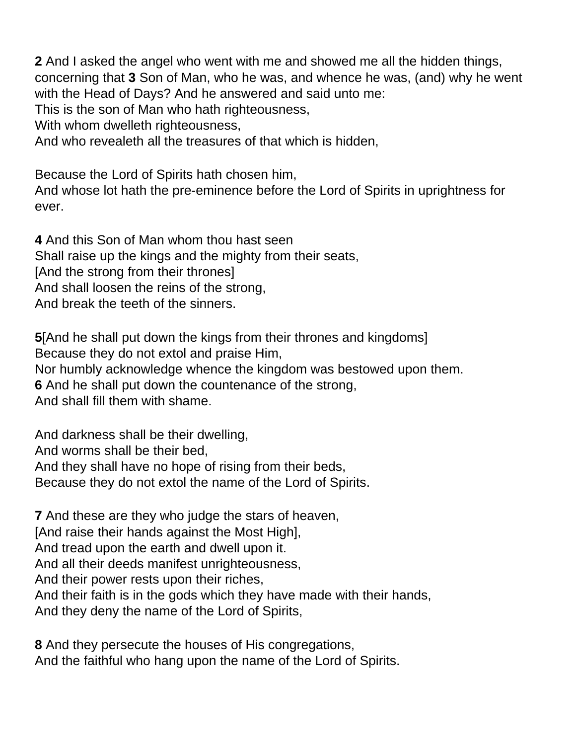**2** And I asked the angel who went with me and showed me all the hidden things, concerning that **3** Son of Man, who he was, and whence he was, (and) why he went with the Head of Days? And he answered and said unto me:

This is the son of Man who hath righteousness,

With whom dwelleth righteousness,

And who revealeth all the treasures of that which is hidden,

Because the Lord of Spirits hath chosen him,

And whose lot hath the pre-eminence before the Lord of Spirits in uprightness for ever.

**4** And this Son of Man whom thou hast seen Shall raise up the kings and the mighty from their seats, [And the strong from their thrones] And shall loosen the reins of the strong, And break the teeth of the sinners.

**5**[And he shall put down the kings from their thrones and kingdoms] Because they do not extol and praise Him, Nor humbly acknowledge whence the kingdom was bestowed upon them. **6** And he shall put down the countenance of the strong, And shall fill them with shame.

And darkness shall be their dwelling,

And worms shall be their bed,

And they shall have no hope of rising from their beds,

Because they do not extol the name of the Lord of Spirits.

**7** And these are they who judge the stars of heaven, [And raise their hands against the Most High], And tread upon the earth and dwell upon it. And all their deeds manifest unrighteousness, And their power rests upon their riches,

And their faith is in the gods which they have made with their hands,

And they deny the name of the Lord of Spirits,

**8** And they persecute the houses of His congregations, And the faithful who hang upon the name of the Lord of Spirits.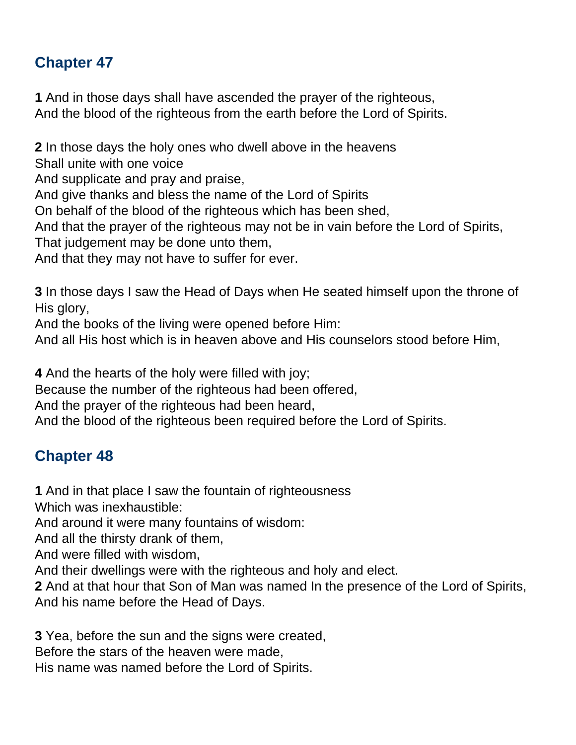### **Chapter 47**

**1** And in those days shall have ascended the prayer of the righteous, And the blood of the righteous from the earth before the Lord of Spirits.

**2** In those days the holy ones who dwell above in the heavens

Shall unite with one voice

And supplicate and pray and praise,

And give thanks and bless the name of the Lord of Spirits

On behalf of the blood of the righteous which has been shed,

And that the prayer of the righteous may not be in vain before the Lord of Spirits,

That judgement may be done unto them,

And that they may not have to suffer for ever.

**3** In those days I saw the Head of Days when He seated himself upon the throne of His glory,

And the books of the living were opened before Him:

And all His host which is in heaven above and His counselors stood before Him,

**4** And the hearts of the holy were filled with joy;

Because the number of the righteous had been offered,

And the prayer of the righteous had been heard,

And the blood of the righteous been required before the Lord of Spirits.

#### **Chapter 48**

**1** And in that place I saw the fountain of righteousness

Which was inexhaustible:

And around it were many fountains of wisdom:

And all the thirsty drank of them,

And were filled with wisdom,

And their dwellings were with the righteous and holy and elect.

**2** And at that hour that Son of Man was named In the presence of the Lord of Spirits, And his name before the Head of Days.

**3** Yea, before the sun and the signs were created,

Before the stars of the heaven were made,

His name was named before the Lord of Spirits.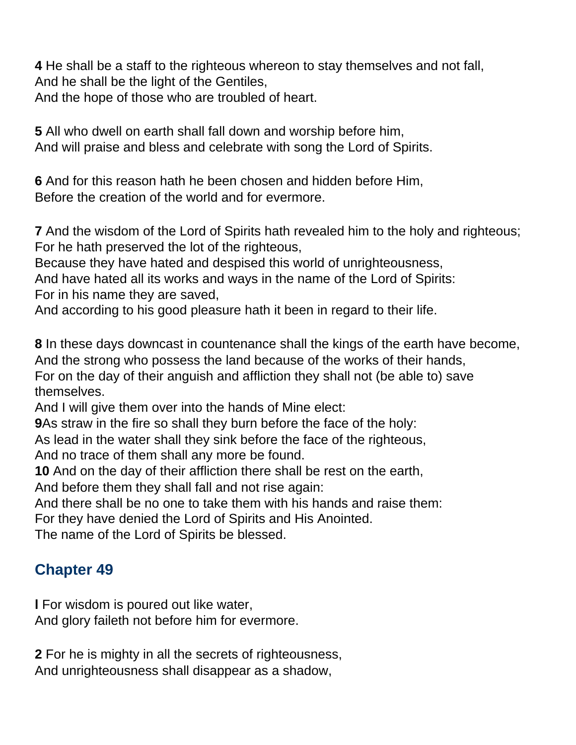**4** He shall be a staff to the righteous whereon to stay themselves and not fall, And he shall be the light of the Gentiles,

And the hope of those who are troubled of heart.

**5** All who dwell on earth shall fall down and worship before him, And will praise and bless and celebrate with song the Lord of Spirits.

**6** And for this reason hath he been chosen and hidden before Him, Before the creation of the world and for evermore.

**7** And the wisdom of the Lord of Spirits hath revealed him to the holy and righteous; For he hath preserved the lot of the righteous,

Because they have hated and despised this world of unrighteousness,

And have hated all its works and ways in the name of the Lord of Spirits: For in his name they are saved,

And according to his good pleasure hath it been in regard to their life.

**8** In these days downcast in countenance shall the kings of the earth have become, And the strong who possess the land because of the works of their hands, For on the day of their anguish and affliction they shall not (be able to) save themselves.

And I will give them over into the hands of Mine elect:

**9**As straw in the fire so shall they burn before the face of the holy:

As lead in the water shall they sink before the face of the righteous,

And no trace of them shall any more be found.

**10** And on the day of their affliction there shall be rest on the earth,

And before them they shall fall and not rise again:

And there shall be no one to take them with his hands and raise them:

For they have denied the Lord of Spirits and His Anointed.

The name of the Lord of Spirits be blessed.

### **Chapter 49**

**l** For wisdom is poured out like water,

And glory faileth not before him for evermore.

**2** For he is mighty in all the secrets of righteousness, And unrighteousness shall disappear as a shadow,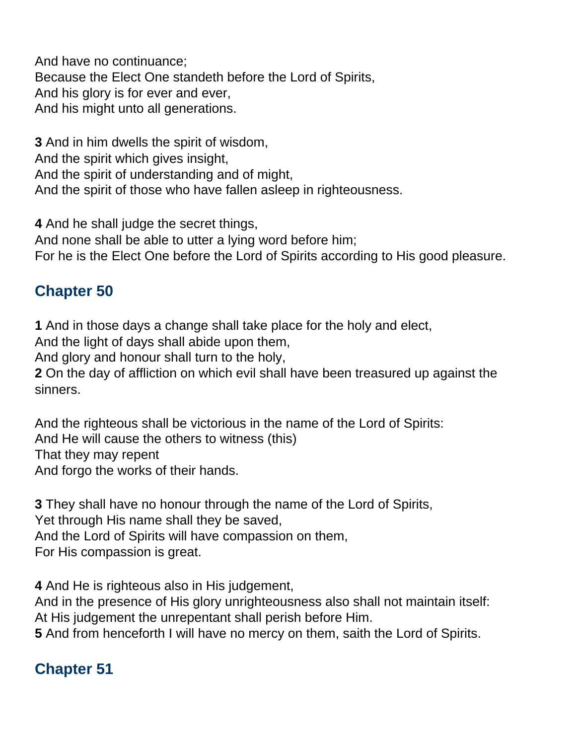And have no continuance; Because the Elect One standeth before the Lord of Spirits, And his glory is for ever and ever, And his might unto all generations.

**3** And in him dwells the spirit of wisdom, And the spirit which gives insight, And the spirit of understanding and of might, And the spirit of those who have fallen asleep in righteousness.

**4** And he shall judge the secret things,

And none shall be able to utter a lying word before him; For he is the Elect One before the Lord of Spirits according to His good pleasure.

### **Chapter 50**

**1** And in those days a change shall take place for the holy and elect,

And the light of days shall abide upon them,

And glory and honour shall turn to the holy,

**2** On the day of affliction on which evil shall have been treasured up against the sinners.

And the righteous shall be victorious in the name of the Lord of Spirits: And He will cause the others to witness (this) That they may repent And forgo the works of their hands.

**3** They shall have no honour through the name of the Lord of Spirits, Yet through His name shall they be saved, And the Lord of Spirits will have compassion on them, For His compassion is great.

**4** And He is righteous also in His judgement, And in the presence of His glory unrighteousness also shall not maintain itself: At His judgement the unrepentant shall perish before Him. **5** And from henceforth I will have no mercy on them, saith the Lord of Spirits.

# **Chapter 51**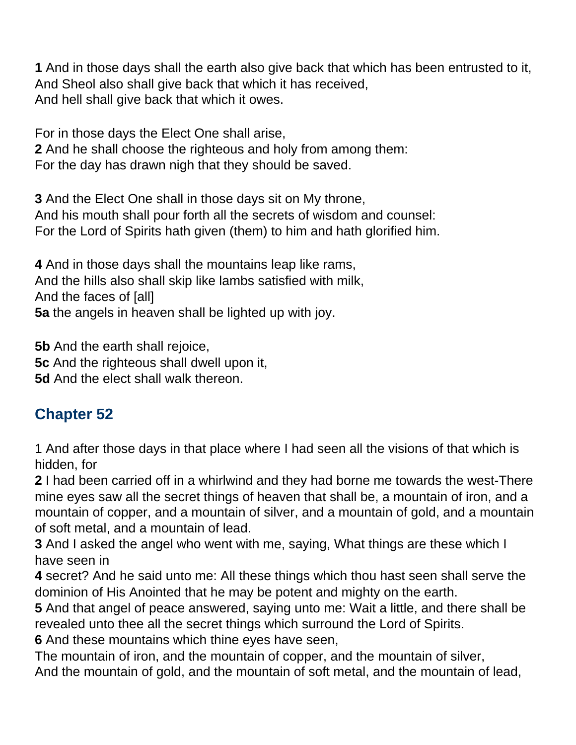**1** And in those days shall the earth also give back that which has been entrusted to it, And Sheol also shall give back that which it has received, And hell shall give back that which it owes.

For in those days the Elect One shall arise, **2** And he shall choose the righteous and holy from among them: For the day has drawn nigh that they should be saved.

**3** And the Elect One shall in those days sit on My throne, And his mouth shall pour forth all the secrets of wisdom and counsel: For the Lord of Spirits hath given (them) to him and hath glorified him.

**4** And in those days shall the mountains leap like rams, And the hills also shall skip like lambs satisfied with milk, And the faces of [all] **5a** the angels in heaven shall be lighted up with joy.

**5b** And the earth shall rejoice,

**5c** And the righteous shall dwell upon it,

**5d** And the elect shall walk thereon.

# **Chapter 52**

1 And after those days in that place where I had seen all the visions of that which is hidden, for

**2** I had been carried off in a whirlwind and they had borne me towards the west-There mine eyes saw all the secret things of heaven that shall be, a mountain of iron, and a mountain of copper, and a mountain of silver, and a mountain of gold, and a mountain of soft metal, and a mountain of lead.

**3** And I asked the angel who went with me, saying, What things are these which I have seen in

**4** secret? And he said unto me: All these things which thou hast seen shall serve the dominion of His Anointed that he may be potent and mighty on the earth.

**5** And that angel of peace answered, saying unto me: Wait a little, and there shall be revealed unto thee all the secret things which surround the Lord of Spirits.

**6** And these mountains which thine eyes have seen,

The mountain of iron, and the mountain of copper, and the mountain of silver, And the mountain of gold, and the mountain of soft metal, and the mountain of lead,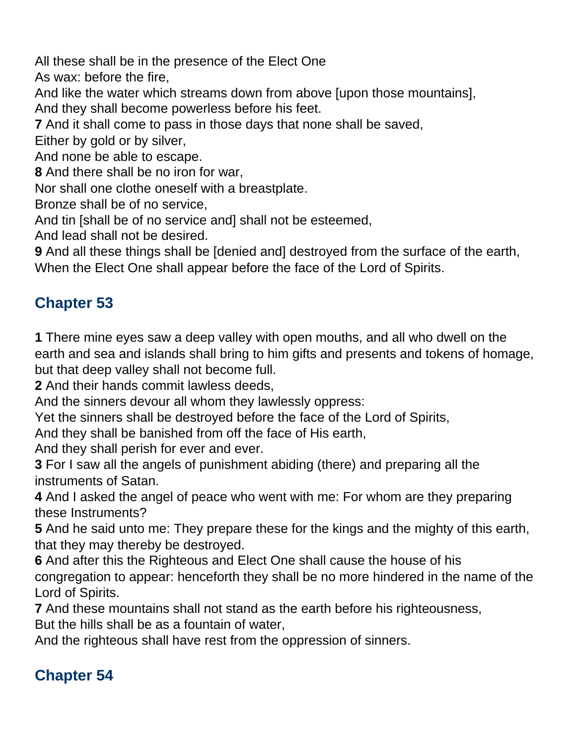All these shall be in the presence of the Elect One

As wax: before the fire,

And like the water which streams down from above [upon those mountains],

And they shall become powerless before his feet.

**7** And it shall come to pass in those days that none shall be saved,

Either by gold or by silver,

And none be able to escape.

**8** And there shall be no iron for war,

Nor shall one clothe oneself with a breastplate.

Bronze shall be of no service,

And tin [shall be of no service and] shall not be esteemed,

And lead shall not be desired.

**9** And all these things shall be [denied and] destroyed from the surface of the earth, When the Elect One shall appear before the face of the Lord of Spirits.

# **Chapter 53**

**1** There mine eyes saw a deep valley with open mouths, and all who dwell on the earth and sea and islands shall bring to him gifts and presents and tokens of homage, but that deep valley shall not become full.

**2** And their hands commit lawless deeds,

And the sinners devour all whom they lawlessly oppress:

Yet the sinners shall be destroyed before the face of the Lord of Spirits,

And they shall be banished from off the face of His earth,

And they shall perish for ever and ever.

**3** For I saw all the angels of punishment abiding (there) and preparing all the instruments of Satan.

**4** And I asked the angel of peace who went with me: For whom are they preparing these Instruments?

**5** And he said unto me: They prepare these for the kings and the mighty of this earth, that they may thereby be destroyed.

**6** And after this the Righteous and Elect One shall cause the house of his congregation to appear: henceforth they shall be no more hindered in the name of the Lord of Spirits.

**7** And these mountains shall not stand as the earth before his righteousness,

But the hills shall be as a fountain of water,

And the righteous shall have rest from the oppression of sinners.

### **Chapter 54**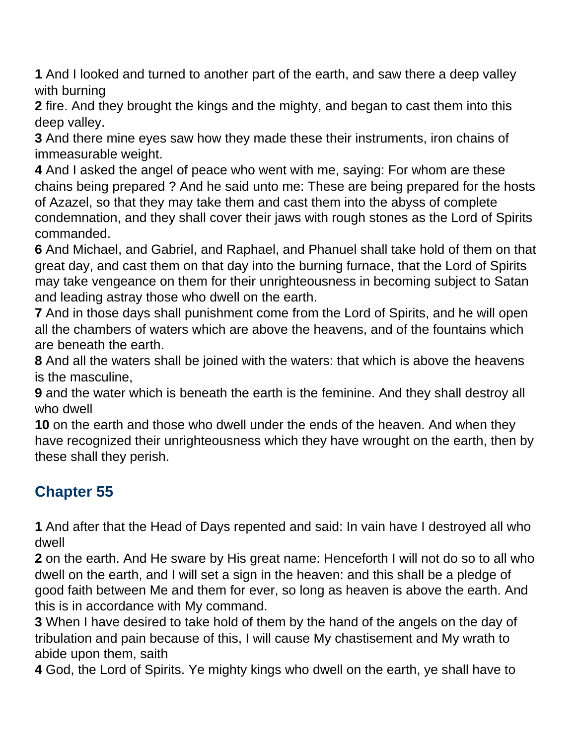**1** And I looked and turned to another part of the earth, and saw there a deep valley with burning

**2** fire. And they brought the kings and the mighty, and began to cast them into this deep valley.

**3** And there mine eyes saw how they made these their instruments, iron chains of immeasurable weight.

**4** And I asked the angel of peace who went with me, saying: For whom are these chains being prepared ? And he said unto me: These are being prepared for the hosts of Azazel, so that they may take them and cast them into the abyss of complete condemnation, and they shall cover their jaws with rough stones as the Lord of Spirits commanded.

**6** And Michael, and Gabriel, and Raphael, and Phanuel shall take hold of them on that great day, and cast them on that day into the burning furnace, that the Lord of Spirits may take vengeance on them for their unrighteousness in becoming subject to Satan and leading astray those who dwell on the earth.

**7** And in those days shall punishment come from the Lord of Spirits, and he will open all the chambers of waters which are above the heavens, and of the fountains which are beneath the earth.

**8** And all the waters shall be joined with the waters: that which is above the heavens is the masculine,

**9** and the water which is beneath the earth is the feminine. And they shall destroy all who dwell

**10** on the earth and those who dwell under the ends of the heaven. And when they have recognized their unrighteousness which they have wrought on the earth, then by these shall they perish.

# **Chapter 55**

**1** And after that the Head of Days repented and said: In vain have I destroyed all who dwell

**2** on the earth. And He sware by His great name: Henceforth I will not do so to all who dwell on the earth, and I will set a sign in the heaven: and this shall be a pledge of good faith between Me and them for ever, so long as heaven is above the earth. And this is in accordance with My command.

**3** When I have desired to take hold of them by the hand of the angels on the day of tribulation and pain because of this, I will cause My chastisement and My wrath to abide upon them, saith

**4** God, the Lord of Spirits. Ye mighty kings who dwell on the earth, ye shall have to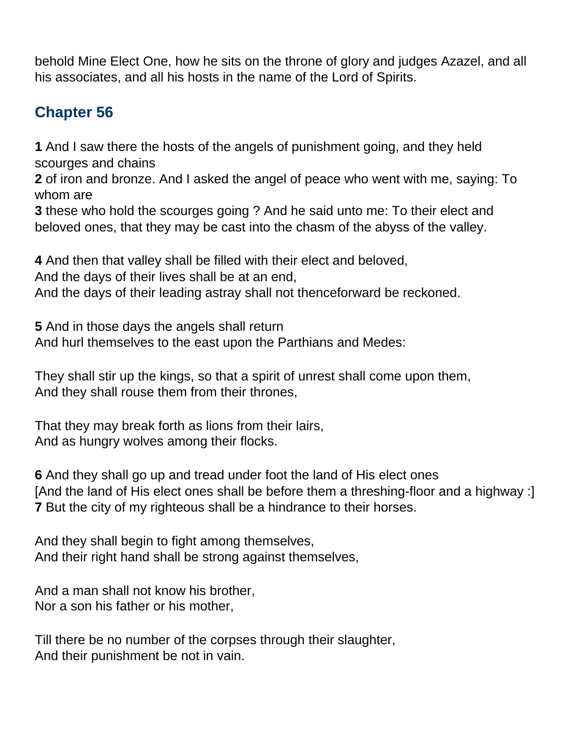behold Mine Elect One, how he sits on the throne of glory and judges Azazel, and all his associates, and all his hosts in the name of the Lord of Spirits.

# **Chapter 56**

**1** And I saw there the hosts of the angels of punishment going, and they held scourges and chains

**2** of iron and bronze. And I asked the angel of peace who went with me, saying: To whom are

**3** these who hold the scourges going ? And he said unto me: To their elect and beloved ones, that they may be cast into the chasm of the abyss of the valley.

**4** And then that valley shall be filled with their elect and beloved,

And the days of their lives shall be at an end,

And the days of their leading astray shall not thenceforward be reckoned.

**5** And in those days the angels shall return

And hurl themselves to the east upon the Parthians and Medes:

They shall stir up the kings, so that a spirit of unrest shall come upon them, And they shall rouse them from their thrones,

That they may break forth as lions from their lairs, And as hungry wolves among their flocks.

**6** And they shall go up and tread under foot the land of His elect ones [And the land of His elect ones shall be before them a threshing-floor and a highway :] **7** But the city of my righteous shall be a hindrance to their horses.

And they shall begin to fight among themselves, And their right hand shall be strong against themselves,

And a man shall not know his brother, Nor a son his father or his mother,

Till there be no number of the corpses through their slaughter, And their punishment be not in vain.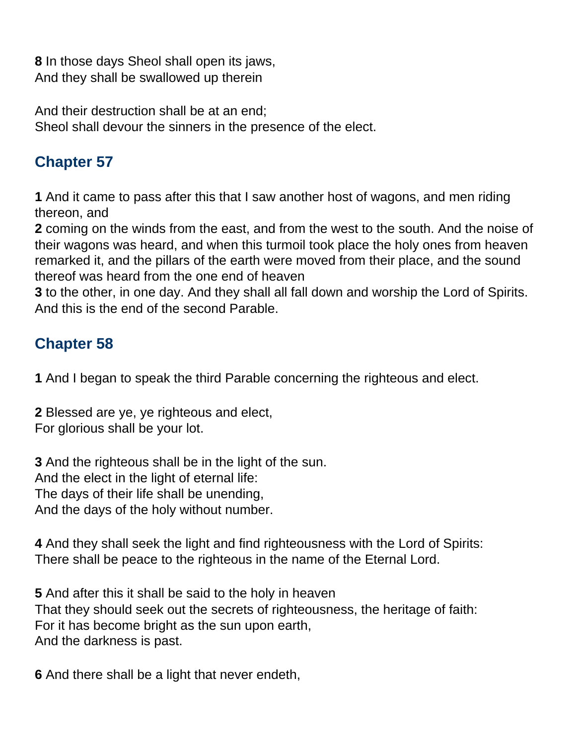**8** In those days Sheol shall open its jaws, And they shall be swallowed up therein

And their destruction shall be at an end;

Sheol shall devour the sinners in the presence of the elect.

## **Chapter 57**

**1** And it came to pass after this that I saw another host of wagons, and men riding thereon, and

**2** coming on the winds from the east, and from the west to the south. And the noise of their wagons was heard, and when this turmoil took place the holy ones from heaven remarked it, and the pillars of the earth were moved from their place, and the sound thereof was heard from the one end of heaven

**3** to the other, in one day. And they shall all fall down and worship the Lord of Spirits. And this is the end of the second Parable.

# **Chapter 58**

**1** And I began to speak the third Parable concerning the righteous and elect.

**2** Blessed are ye, ye righteous and elect, For glorious shall be your lot.

**3** And the righteous shall be in the light of the sun. And the elect in the light of eternal life: The days of their life shall be unending, And the days of the holy without number.

**4** And they shall seek the light and find righteousness with the Lord of Spirits: There shall be peace to the righteous in the name of the Eternal Lord.

**5** And after this it shall be said to the holy in heaven That they should seek out the secrets of righteousness, the heritage of faith: For it has become bright as the sun upon earth, And the darkness is past.

**6** And there shall be a light that never endeth,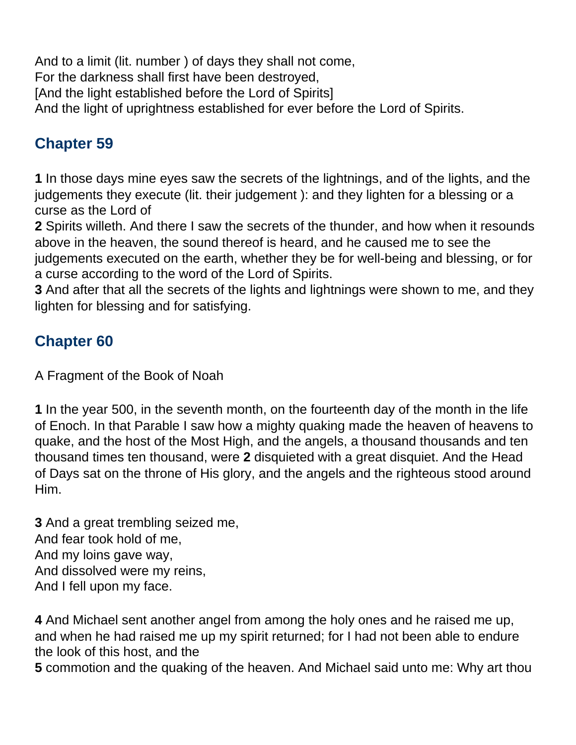And to a limit (lit. number ) of days they shall not come,

For the darkness shall first have been destroyed,

[And the light established before the Lord of Spirits]

And the light of uprightness established for ever before the Lord of Spirits.

### **Chapter 59**

**1** In those days mine eyes saw the secrets of the lightnings, and of the lights, and the judgements they execute (lit. their judgement ): and they lighten for a blessing or a curse as the Lord of

**2** Spirits willeth. And there I saw the secrets of the thunder, and how when it resounds above in the heaven, the sound thereof is heard, and he caused me to see the judgements executed on the earth, whether they be for well-being and blessing, or for a curse according to the word of the Lord of Spirits.

**3** And after that all the secrets of the lights and lightnings were shown to me, and they lighten for blessing and for satisfying.

## **Chapter 60**

A Fragment of the Book of Noah

**1** In the year 500, in the seventh month, on the fourteenth day of the month in the life of Enoch. In that Parable I saw how a mighty quaking made the heaven of heavens to quake, and the host of the Most High, and the angels, a thousand thousands and ten thousand times ten thousand, were **2** disquieted with a great disquiet. And the Head of Days sat on the throne of His glory, and the angels and the righteous stood around Him.

**3** And a great trembling seized me, And fear took hold of me, And my loins gave way, And dissolved were my reins, And I fell upon my face.

**4** And Michael sent another angel from among the holy ones and he raised me up, and when he had raised me up my spirit returned; for I had not been able to endure the look of this host, and the

**5** commotion and the quaking of the heaven. And Michael said unto me: Why art thou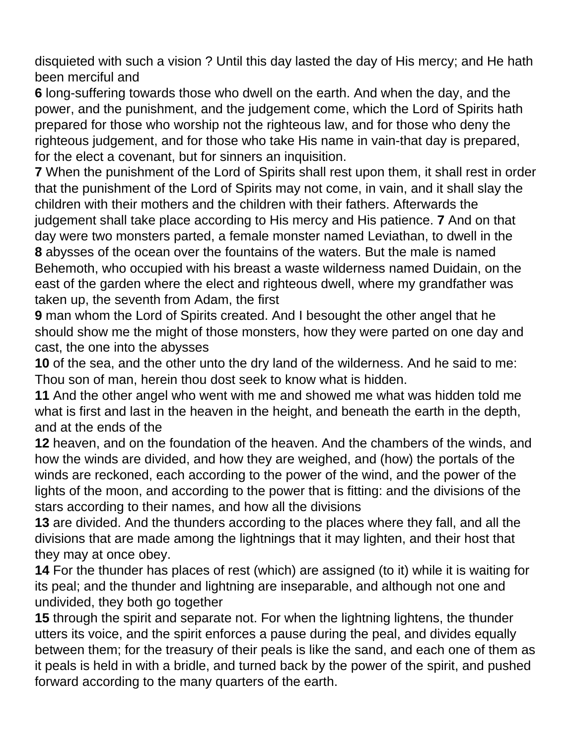disquieted with such a vision ? Until this day lasted the day of His mercy; and He hath been merciful and

**6** long-suffering towards those who dwell on the earth. And when the day, and the power, and the punishment, and the judgement come, which the Lord of Spirits hath prepared for those who worship not the righteous law, and for those who deny the righteous judgement, and for those who take His name in vain-that day is prepared, for the elect a covenant, but for sinners an inquisition.

**7** When the punishment of the Lord of Spirits shall rest upon them, it shall rest in order that the punishment of the Lord of Spirits may not come, in vain, and it shall slay the children with their mothers and the children with their fathers. Afterwards the judgement shall take place according to His mercy and His patience. **7** And on that day were two monsters parted, a female monster named Leviathan, to dwell in the **8** abysses of the ocean over the fountains of the waters. But the male is named Behemoth, who occupied with his breast a waste wilderness named Duidain, on the east of the garden where the elect and righteous dwell, where my grandfather was taken up, the seventh from Adam, the first

**9** man whom the Lord of Spirits created. And I besought the other angel that he should show me the might of those monsters, how they were parted on one day and cast, the one into the abysses

**10** of the sea, and the other unto the dry land of the wilderness. And he said to me: Thou son of man, herein thou dost seek to know what is hidden.

**11** And the other angel who went with me and showed me what was hidden told me what is first and last in the heaven in the height, and beneath the earth in the depth, and at the ends of the

**12** heaven, and on the foundation of the heaven. And the chambers of the winds, and how the winds are divided, and how they are weighed, and (how) the portals of the winds are reckoned, each according to the power of the wind, and the power of the lights of the moon, and according to the power that is fitting: and the divisions of the stars according to their names, and how all the divisions

**13** are divided. And the thunders according to the places where they fall, and all the divisions that are made among the lightnings that it may lighten, and their host that they may at once obey.

**14** For the thunder has places of rest (which) are assigned (to it) while it is waiting for its peal; and the thunder and lightning are inseparable, and although not one and undivided, they both go together

**15** through the spirit and separate not. For when the lightning lightens, the thunder utters its voice, and the spirit enforces a pause during the peal, and divides equally between them; for the treasury of their peals is like the sand, and each one of them as it peals is held in with a bridle, and turned back by the power of the spirit, and pushed forward according to the many quarters of the earth.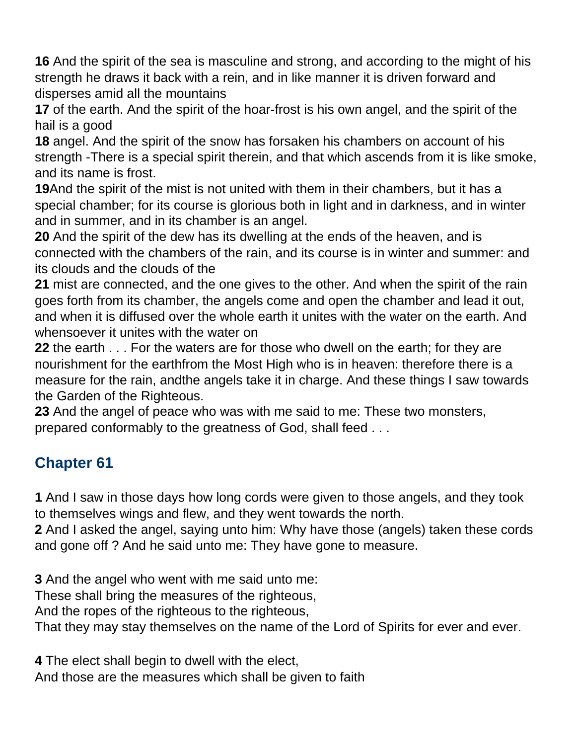**16** And the spirit of the sea is masculine and strong, and according to the might of his strength he draws it back with a rein, and in like manner it is driven forward and disperses amid all the mountains

**17** of the earth. And the spirit of the hoar-frost is his own angel, and the spirit of the hail is a good

**18** angel. And the spirit of the snow has forsaken his chambers on account of his strength -There is a special spirit therein, and that which ascends from it is like smoke, and its name is frost.

**19**And the spirit of the mist is not united with them in their chambers, but it has a special chamber; for its course is glorious both in light and in darkness, and in winter and in summer, and in its chamber is an angel.

**20** And the spirit of the dew has its dwelling at the ends of the heaven, and is connected with the chambers of the rain, and its course is in winter and summer: and its clouds and the clouds of the

**21** mist are connected, and the one gives to the other. And when the spirit of the rain goes forth from its chamber, the angels come and open the chamber and lead it out, and when it is diffused over the whole earth it unites with the water on the earth. And whensoever it unites with the water on

**22** the earth . . . For the waters are for those who dwell on the earth; for they are nourishment for the earthfrom the Most High who is in heaven: therefore there is a measure for the rain, andthe angels take it in charge. And these things I saw towards the Garden of the Righteous.

**23** And the angel of peace who was with me said to me: These two monsters, prepared conformably to the greatness of God, shall feed . . .

## **Chapter 61**

**1** And I saw in those days how long cords were given to those angels, and they took to themselves wings and flew, and they went towards the north.

**2** And I asked the angel, saying unto him: Why have those (angels) taken these cords and gone off ? And he said unto me: They have gone to measure.

**3** And the angel who went with me said unto me:

These shall bring the measures of the righteous,

And the ropes of the righteous to the righteous,

That they may stay themselves on the name of the Lord of Spirits for ever and ever.

**4** The elect shall begin to dwell with the elect,

And those are the measures which shall be given to faith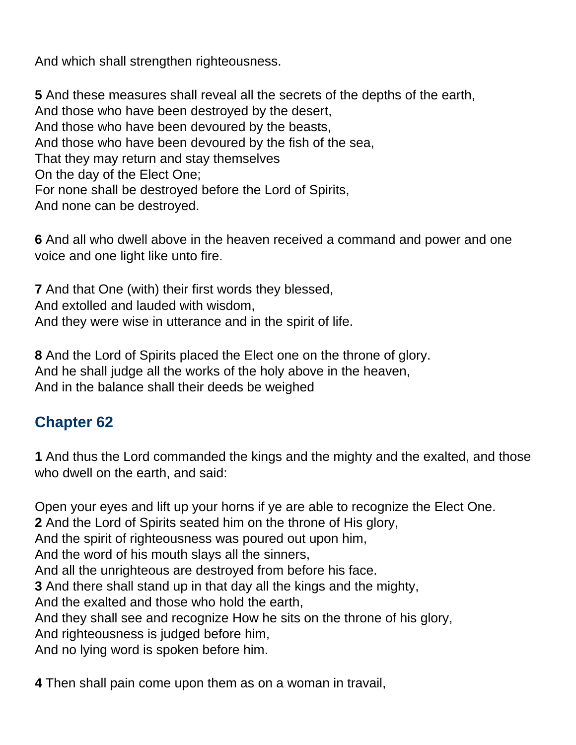And which shall strengthen righteousness.

**5** And these measures shall reveal all the secrets of the depths of the earth, And those who have been destroyed by the desert, And those who have been devoured by the beasts, And those who have been devoured by the fish of the sea, That they may return and stay themselves On the day of the Elect One; For none shall be destroyed before the Lord of Spirits, And none can be destroyed.

**6** And all who dwell above in the heaven received a command and power and one voice and one light like unto fire.

**7** And that One (with) their first words they blessed, And extolled and lauded with wisdom, And they were wise in utterance and in the spirit of life.

**8** And the Lord of Spirits placed the Elect one on the throne of glory. And he shall judge all the works of the holy above in the heaven, And in the balance shall their deeds be weighed

## **Chapter 62**

**1** And thus the Lord commanded the kings and the mighty and the exalted, and those who dwell on the earth, and said:

Open your eyes and lift up your horns if ye are able to recognize the Elect One. **2** And the Lord of Spirits seated him on the throne of His glory, And the spirit of righteousness was poured out upon him, And the word of his mouth slays all the sinners, And all the unrighteous are destroyed from before his face. **3** And there shall stand up in that day all the kings and the mighty, And the exalted and those who hold the earth, And they shall see and recognize How he sits on the throne of his glory, And righteousness is judged before him, And no lying word is spoken before him.

**4** Then shall pain come upon them as on a woman in travail,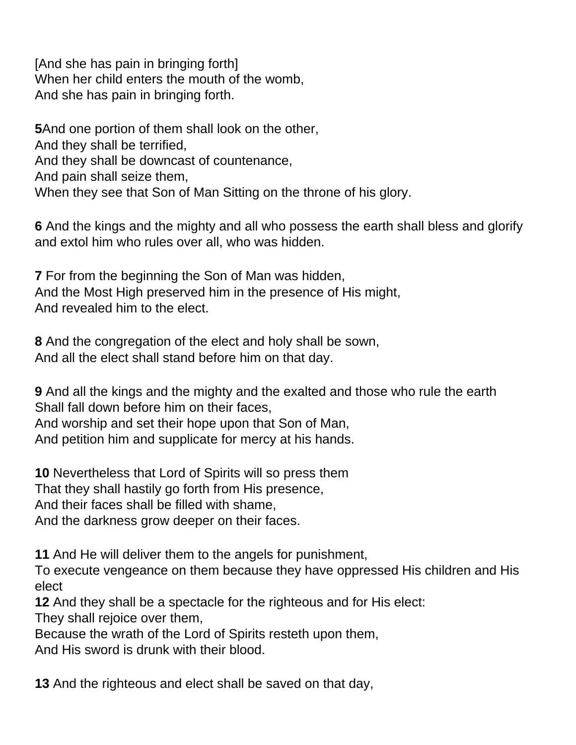[And she has pain in bringing forth] When her child enters the mouth of the womb, And she has pain in bringing forth.

**5**And one portion of them shall look on the other, And they shall be terrified, And they shall be downcast of countenance, And pain shall seize them, When they see that Son of Man Sitting on the throne of his glory.

**6** And the kings and the mighty and all who possess the earth shall bless and glorify and extol him who rules over all, who was hidden.

**7** For from the beginning the Son of Man was hidden, And the Most High preserved him in the presence of His might, And revealed him to the elect.

**8** And the congregation of the elect and holy shall be sown, And all the elect shall stand before him on that day.

**9** And all the kings and the mighty and the exalted and those who rule the earth Shall fall down before him on their faces,

And worship and set their hope upon that Son of Man,

And petition him and supplicate for mercy at his hands.

**10** Nevertheless that Lord of Spirits will so press them

That they shall hastily go forth from His presence,

And their faces shall be filled with shame,

And the darkness grow deeper on their faces.

**11** And He will deliver them to the angels for punishment,

To execute vengeance on them because they have oppressed His children and His elect

**12** And they shall be a spectacle for the righteous and for His elect:

They shall rejoice over them,

Because the wrath of the Lord of Spirits resteth upon them,

And His sword is drunk with their blood.

**13** And the righteous and elect shall be saved on that day,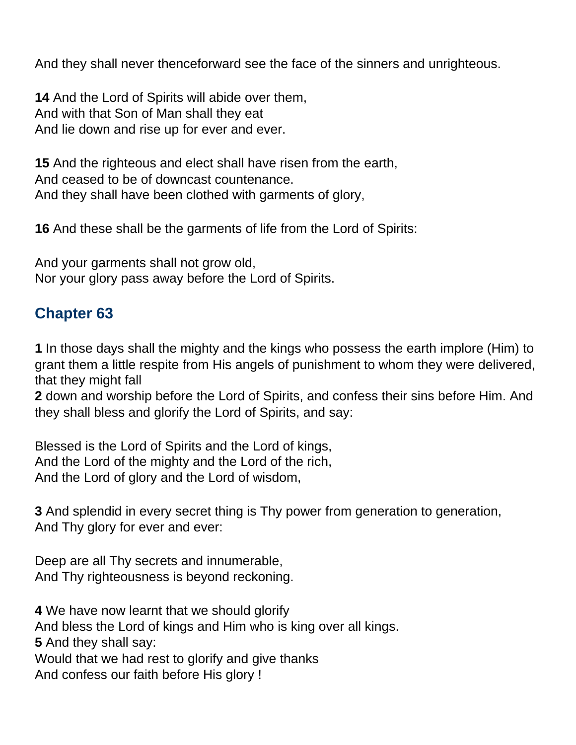And they shall never thenceforward see the face of the sinners and unrighteous.

**14** And the Lord of Spirits will abide over them, And with that Son of Man shall they eat And lie down and rise up for ever and ever.

**15** And the righteous and elect shall have risen from the earth, And ceased to be of downcast countenance. And they shall have been clothed with garments of glory,

**16** And these shall be the garments of life from the Lord of Spirits:

And your garments shall not grow old, Nor your glory pass away before the Lord of Spirits.

## **Chapter 63**

**1** In those days shall the mighty and the kings who possess the earth implore (Him) to grant them a little respite from His angels of punishment to whom they were delivered, that they might fall

**2** down and worship before the Lord of Spirits, and confess their sins before Him. And they shall bless and glorify the Lord of Spirits, and say:

Blessed is the Lord of Spirits and the Lord of kings, And the Lord of the mighty and the Lord of the rich, And the Lord of glory and the Lord of wisdom,

**3** And splendid in every secret thing is Thy power from generation to generation, And Thy glory for ever and ever:

Deep are all Thy secrets and innumerable, And Thy righteousness is beyond reckoning.

**4** We have now learnt that we should glorify And bless the Lord of kings and Him who is king over all kings. **5** And they shall say: Would that we had rest to glorify and give thanks And confess our faith before His glory !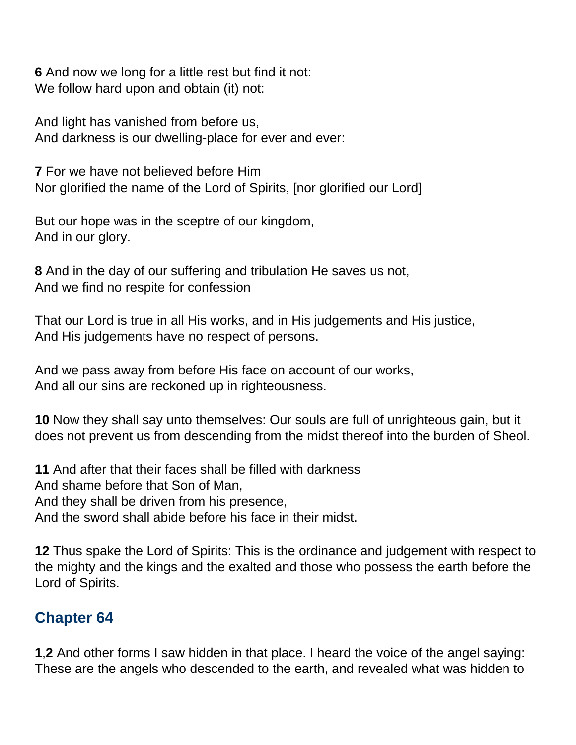**6** And now we long for a little rest but find it not: We follow hard upon and obtain (it) not:

And light has vanished from before us, And darkness is our dwelling-place for ever and ever:

**7** For we have not believed before Him Nor glorified the name of the Lord of Spirits, [nor glorified our Lord]

But our hope was in the sceptre of our kingdom, And in our glory.

**8** And in the day of our suffering and tribulation He saves us not, And we find no respite for confession

That our Lord is true in all His works, and in His judgements and His justice, And His judgements have no respect of persons.

And we pass away from before His face on account of our works, And all our sins are reckoned up in righteousness.

**10** Now they shall say unto themselves: Our souls are full of unrighteous gain, but it does not prevent us from descending from the midst thereof into the burden of Sheol.

**11** And after that their faces shall be filled with darkness And shame before that Son of Man, And they shall be driven from his presence, And the sword shall abide before his face in their midst.

**12** Thus spake the Lord of Spirits: This is the ordinance and judgement with respect to the mighty and the kings and the exalted and those who possess the earth before the Lord of Spirits.

### **Chapter 64**

**1**,**2** And other forms I saw hidden in that place. I heard the voice of the angel saying: These are the angels who descended to the earth, and revealed what was hidden to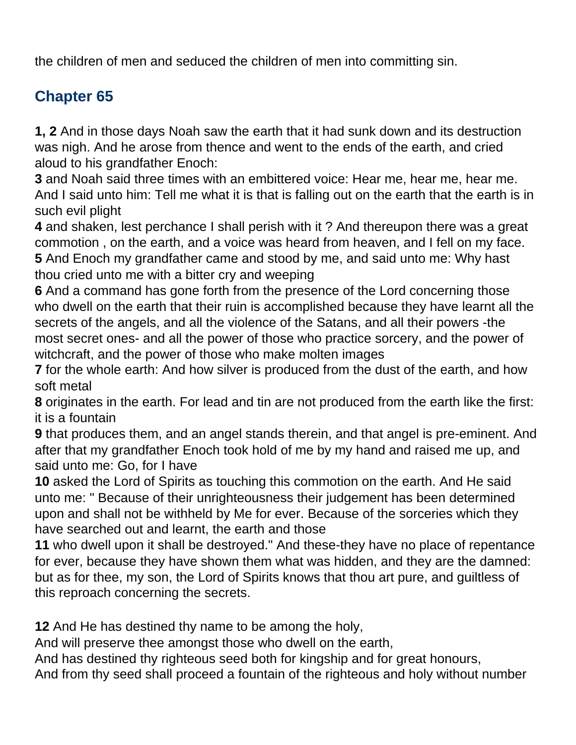the children of men and seduced the children of men into committing sin.

# **Chapter 65**

**1, 2** And in those days Noah saw the earth that it had sunk down and its destruction was nigh. And he arose from thence and went to the ends of the earth, and cried aloud to his grandfather Enoch:

**3** and Noah said three times with an embittered voice: Hear me, hear me, hear me. And I said unto him: Tell me what it is that is falling out on the earth that the earth is in such evil plight

**4** and shaken, lest perchance I shall perish with it ? And thereupon there was a great commotion , on the earth, and a voice was heard from heaven, and I fell on my face. **5** And Enoch my grandfather came and stood by me, and said unto me: Why hast thou cried unto me with a bitter cry and weeping

**6** And a command has gone forth from the presence of the Lord concerning those who dwell on the earth that their ruin is accomplished because they have learnt all the secrets of the angels, and all the violence of the Satans, and all their powers -the most secret ones- and all the power of those who practice sorcery, and the power of witchcraft, and the power of those who make molten images

**7** for the whole earth: And how silver is produced from the dust of the earth, and how soft metal

**8** originates in the earth. For lead and tin are not produced from the earth like the first: it is a fountain

**9** that produces them, and an angel stands therein, and that angel is pre-eminent. And after that my grandfather Enoch took hold of me by my hand and raised me up, and said unto me: Go, for I have

**10** asked the Lord of Spirits as touching this commotion on the earth. And He said unto me: " Because of their unrighteousness their judgement has been determined upon and shall not be withheld by Me for ever. Because of the sorceries which they have searched out and learnt, the earth and those

**11** who dwell upon it shall be destroyed." And these-they have no place of repentance for ever, because they have shown them what was hidden, and they are the damned: but as for thee, my son, the Lord of Spirits knows that thou art pure, and guiltless of this reproach concerning the secrets.

**12** And He has destined thy name to be among the holy,

And will preserve thee amongst those who dwell on the earth,

And has destined thy righteous seed both for kingship and for great honours,

And from thy seed shall proceed a fountain of the righteous and holy without number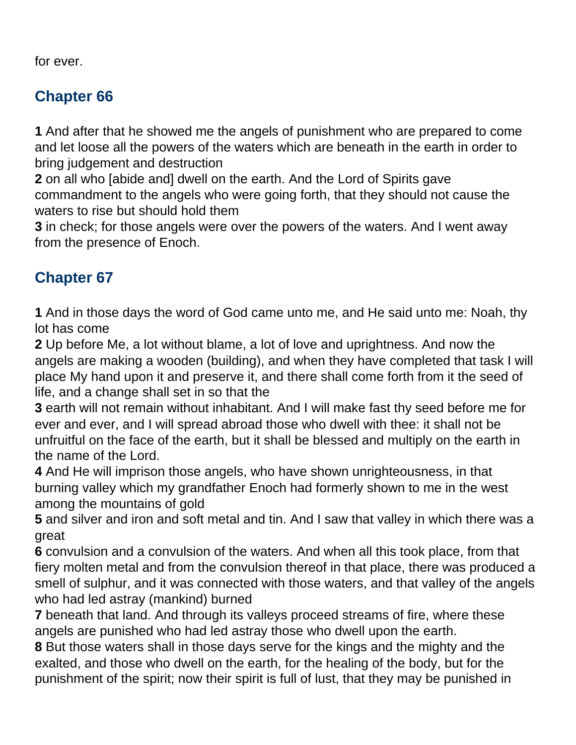for ever.

# **Chapter 66**

**1** And after that he showed me the angels of punishment who are prepared to come and let loose all the powers of the waters which are beneath in the earth in order to bring judgement and destruction

**2** on all who [abide and] dwell on the earth. And the Lord of Spirits gave commandment to the angels who were going forth, that they should not cause the waters to rise but should hold them

**3** in check; for those angels were over the powers of the waters. And I went away from the presence of Enoch.

# **Chapter 67**

**1** And in those days the word of God came unto me, and He said unto me: Noah, thy lot has come

**2** Up before Me, a lot without blame, a lot of love and uprightness. And now the angels are making a wooden (building), and when they have completed that task I will place My hand upon it and preserve it, and there shall come forth from it the seed of life, and a change shall set in so that the

**3** earth will not remain without inhabitant. And I will make fast thy seed before me for ever and ever, and I will spread abroad those who dwell with thee: it shall not be unfruitful on the face of the earth, but it shall be blessed and multiply on the earth in the name of the Lord.

**4** And He will imprison those angels, who have shown unrighteousness, in that burning valley which my grandfather Enoch had formerly shown to me in the west among the mountains of gold

**5** and silver and iron and soft metal and tin. And I saw that valley in which there was a great

**6** convulsion and a convulsion of the waters. And when all this took place, from that fiery molten metal and from the convulsion thereof in that place, there was produced a smell of sulphur, and it was connected with those waters, and that valley of the angels who had led astray (mankind) burned

**7** beneath that land. And through its valleys proceed streams of fire, where these angels are punished who had led astray those who dwell upon the earth.

**8** But those waters shall in those days serve for the kings and the mighty and the exalted, and those who dwell on the earth, for the healing of the body, but for the punishment of the spirit; now their spirit is full of lust, that they may be punished in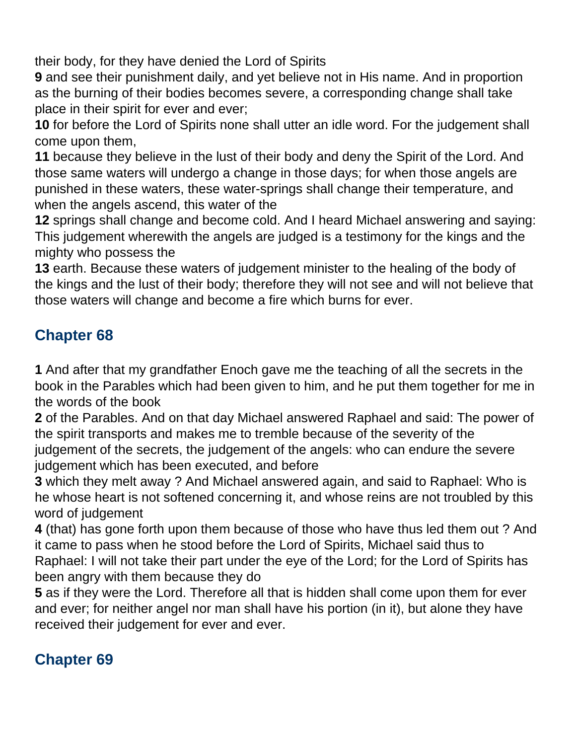their body, for they have denied the Lord of Spirits

**9** and see their punishment daily, and yet believe not in His name. And in proportion as the burning of their bodies becomes severe, a corresponding change shall take place in their spirit for ever and ever;

**10** for before the Lord of Spirits none shall utter an idle word. For the judgement shall come upon them,

**11** because they believe in the lust of their body and deny the Spirit of the Lord. And those same waters will undergo a change in those days; for when those angels are punished in these waters, these water-springs shall change their temperature, and when the angels ascend, this water of the

**12** springs shall change and become cold. And I heard Michael answering and saying: This judgement wherewith the angels are judged is a testimony for the kings and the mighty who possess the

**13** earth. Because these waters of judgement minister to the healing of the body of the kings and the lust of their body; therefore they will not see and will not believe that those waters will change and become a fire which burns for ever.

### **Chapter 68**

**1** And after that my grandfather Enoch gave me the teaching of all the secrets in the book in the Parables which had been given to him, and he put them together for me in the words of the book

**2** of the Parables. And on that day Michael answered Raphael and said: The power of the spirit transports and makes me to tremble because of the severity of the judgement of the secrets, the judgement of the angels: who can endure the severe judgement which has been executed, and before

**3** which they melt away ? And Michael answered again, and said to Raphael: Who is he whose heart is not softened concerning it, and whose reins are not troubled by this word of judgement

**4** (that) has gone forth upon them because of those who have thus led them out ? And it came to pass when he stood before the Lord of Spirits, Michael said thus to Raphael: I will not take their part under the eye of the Lord; for the Lord of Spirits has been angry with them because they do

**5** as if they were the Lord. Therefore all that is hidden shall come upon them for ever and ever; for neither angel nor man shall have his portion (in it), but alone they have received their judgement for ever and ever.

## **Chapter 69**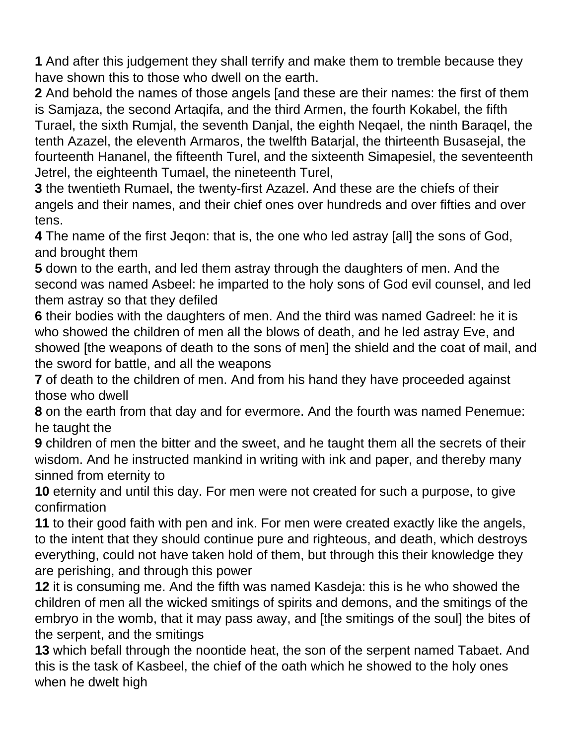**1** And after this judgement they shall terrify and make them to tremble because they have shown this to those who dwell on the earth.

**2** And behold the names of those angels [and these are their names: the first of them is Samjaza, the second Artaqifa, and the third Armen, the fourth Kokabel, the fifth Turael, the sixth Rumjal, the seventh Danjal, the eighth Neqael, the ninth Baraqel, the tenth Azazel, the eleventh Armaros, the twelfth Batarjal, the thirteenth Busasejal, the fourteenth Hananel, the fifteenth Turel, and the sixteenth Simapesiel, the seventeenth Jetrel, the eighteenth Tumael, the nineteenth Turel,

**3** the twentieth Rumael, the twenty-first Azazel. And these are the chiefs of their angels and their names, and their chief ones over hundreds and over fifties and over tens.

**4** The name of the first Jeqon: that is, the one who led astray [all] the sons of God, and brought them

**5** down to the earth, and led them astray through the daughters of men. And the second was named Asbeel: he imparted to the holy sons of God evil counsel, and led them astray so that they defiled

**6** their bodies with the daughters of men. And the third was named Gadreel: he it is who showed the children of men all the blows of death, and he led astray Eve, and showed [the weapons of death to the sons of men] the shield and the coat of mail, and the sword for battle, and all the weapons

**7** of death to the children of men. And from his hand they have proceeded against those who dwell

**8** on the earth from that day and for evermore. And the fourth was named Penemue: he taught the

**9** children of men the bitter and the sweet, and he taught them all the secrets of their wisdom. And he instructed mankind in writing with ink and paper, and thereby many sinned from eternity to

**10** eternity and until this day. For men were not created for such a purpose, to give confirmation

**11** to their good faith with pen and ink. For men were created exactly like the angels, to the intent that they should continue pure and righteous, and death, which destroys everything, could not have taken hold of them, but through this their knowledge they are perishing, and through this power

**12** it is consuming me. And the fifth was named Kasdeja: this is he who showed the children of men all the wicked smitings of spirits and demons, and the smitings of the embryo in the womb, that it may pass away, and [the smitings of the soul] the bites of the serpent, and the smitings

**13** which befall through the noontide heat, the son of the serpent named Tabaet. And this is the task of Kasbeel, the chief of the oath which he showed to the holy ones when he dwelt high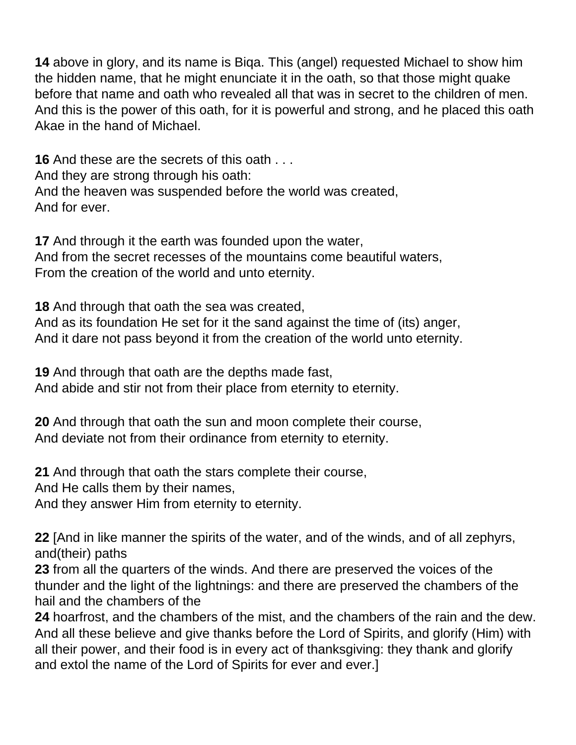**14** above in glory, and its name is Biqa. This (angel) requested Michael to show him the hidden name, that he might enunciate it in the oath, so that those might quake before that name and oath who revealed all that was in secret to the children of men. And this is the power of this oath, for it is powerful and strong, and he placed this oath Akae in the hand of Michael.

**16** And these are the secrets of this oath . . . And they are strong through his oath: And the heaven was suspended before the world was created, And for ever.

**17** And through it the earth was founded upon the water, And from the secret recesses of the mountains come beautiful waters, From the creation of the world and unto eternity.

**18** And through that oath the sea was created,

And as its foundation He set for it the sand against the time of (its) anger, And it dare not pass beyond it from the creation of the world unto eternity.

**19** And through that oath are the depths made fast, And abide and stir not from their place from eternity to eternity.

**20** And through that oath the sun and moon complete their course, And deviate not from their ordinance from eternity to eternity.

**21** And through that oath the stars complete their course,

And He calls them by their names,

And they answer Him from eternity to eternity.

**22** [And in like manner the spirits of the water, and of the winds, and of all zephyrs, and(their) paths

**23** from all the quarters of the winds. And there are preserved the voices of the thunder and the light of the lightnings: and there are preserved the chambers of the hail and the chambers of the

**24** hoarfrost, and the chambers of the mist, and the chambers of the rain and the dew. And all these believe and give thanks before the Lord of Spirits, and glorify (Him) with all their power, and their food is in every act of thanksgiving: they thank and glorify and extol the name of the Lord of Spirits for ever and ever.]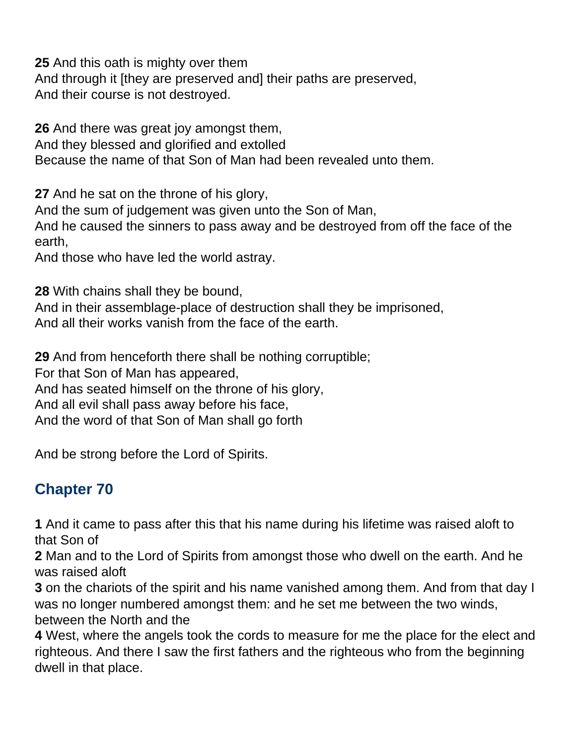**25** And this oath is mighty over them

And through it [they are preserved and] their paths are preserved, And their course is not destroyed.

**26** And there was great joy amongst them, And they blessed and glorified and extolled Because the name of that Son of Man had been revealed unto them.

**27** And he sat on the throne of his glory,

And the sum of judgement was given unto the Son of Man,

And he caused the sinners to pass away and be destroyed from off the face of the earth,

And those who have led the world astray.

**28** With chains shall they be bound,

And in their assemblage-place of destruction shall they be imprisoned, And all their works vanish from the face of the earth.

**29** And from henceforth there shall be nothing corruptible; For that Son of Man has appeared, And has seated himself on the throne of his glory, And all evil shall pass away before his face, And the word of that Son of Man shall go forth

And be strong before the Lord of Spirits.

## **Chapter 70**

**1** And it came to pass after this that his name during his lifetime was raised aloft to that Son of

**2** Man and to the Lord of Spirits from amongst those who dwell on the earth. And he was raised aloft

**3** on the chariots of the spirit and his name vanished among them. And from that day I was no longer numbered amongst them: and he set me between the two winds, between the North and the

**4** West, where the angels took the cords to measure for me the place for the elect and righteous. And there I saw the first fathers and the righteous who from the beginning dwell in that place.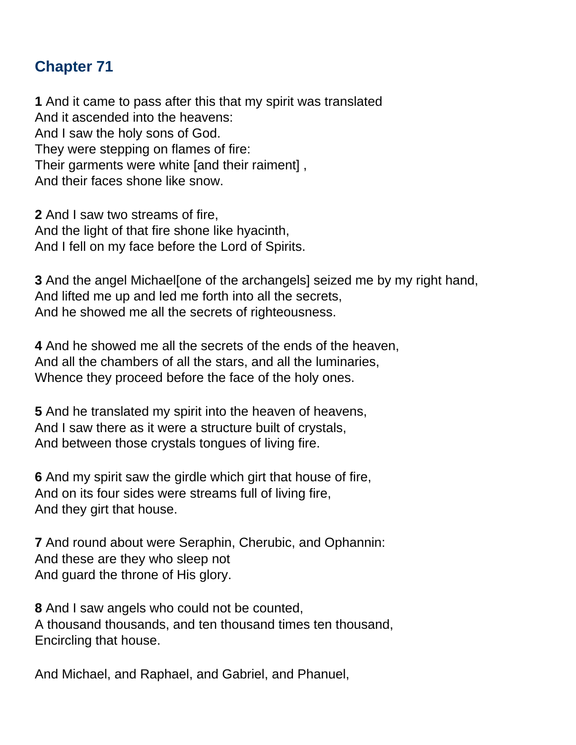#### **Chapter 71**

**1** And it came to pass after this that my spirit was translated And it ascended into the heavens: And I saw the holy sons of God. They were stepping on flames of fire: Their garments were white [and their raiment] , And their faces shone like snow.

**2** And I saw two streams of fire, And the light of that fire shone like hyacinth, And I fell on my face before the Lord of Spirits.

**3** And the angel Michael[one of the archangels] seized me by my right hand, And lifted me up and led me forth into all the secrets, And he showed me all the secrets of righteousness.

**4** And he showed me all the secrets of the ends of the heaven, And all the chambers of all the stars, and all the luminaries, Whence they proceed before the face of the holy ones.

**5** And he translated my spirit into the heaven of heavens, And I saw there as it were a structure built of crystals, And between those crystals tongues of living fire.

**6** And my spirit saw the girdle which girt that house of fire, And on its four sides were streams full of living fire, And they girt that house.

**7** And round about were Seraphin, Cherubic, and Ophannin: And these are they who sleep not And guard the throne of His glory.

**8** And I saw angels who could not be counted, A thousand thousands, and ten thousand times ten thousand, Encircling that house.

And Michael, and Raphael, and Gabriel, and Phanuel,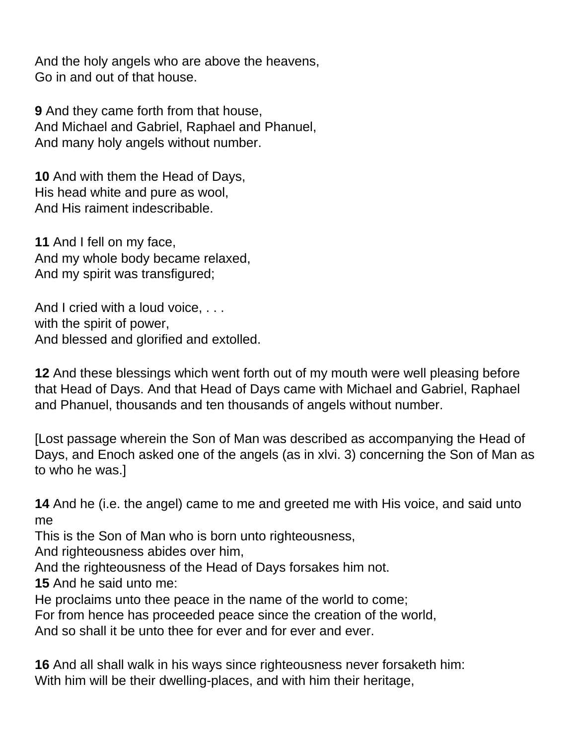And the holy angels who are above the heavens, Go in and out of that house.

**9** And they came forth from that house, And Michael and Gabriel, Raphael and Phanuel, And many holy angels without number.

**10** And with them the Head of Days, His head white and pure as wool, And His raiment indescribable.

**11** And I fell on my face, And my whole body became relaxed, And my spirit was transfigured;

And I cried with a loud voice, . . . with the spirit of power, And blessed and glorified and extolled.

**12** And these blessings which went forth out of my mouth were well pleasing before that Head of Days. And that Head of Days came with Michael and Gabriel, Raphael and Phanuel, thousands and ten thousands of angels without number.

[Lost passage wherein the Son of Man was described as accompanying the Head of Days, and Enoch asked one of the angels (as in xlvi. 3) concerning the Son of Man as to who he was.]

**14** And he (i.e. the angel) came to me and greeted me with His voice, and said unto me

This is the Son of Man who is born unto righteousness,

And righteousness abides over him,

And the righteousness of the Head of Days forsakes him not.

**15** And he said unto me:

He proclaims unto thee peace in the name of the world to come;

For from hence has proceeded peace since the creation of the world,

And so shall it be unto thee for ever and for ever and ever.

**16** And all shall walk in his ways since righteousness never forsaketh him: With him will be their dwelling-places, and with him their heritage,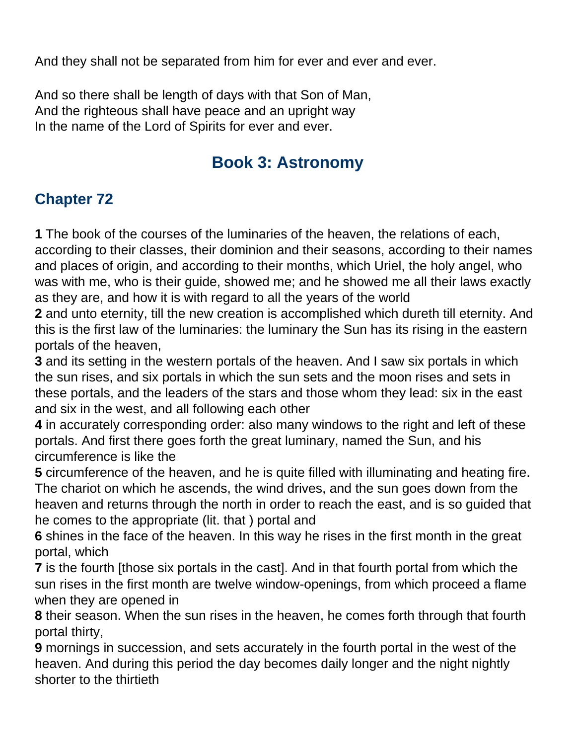And they shall not be separated from him for ever and ever and ever.

And so there shall be length of days with that Son of Man, And the righteous shall have peace and an upright way In the name of the Lord of Spirits for ever and ever.

## **Book 3: Astronomy**

### **Chapter 72**

**1** The book of the courses of the luminaries of the heaven, the relations of each, according to their classes, their dominion and their seasons, according to their names and places of origin, and according to their months, which Uriel, the holy angel, who was with me, who is their guide, showed me; and he showed me all their laws exactly as they are, and how it is with regard to all the years of the world

**2** and unto eternity, till the new creation is accomplished which dureth till eternity. And this is the first law of the luminaries: the luminary the Sun has its rising in the eastern portals of the heaven,

**3** and its setting in the western portals of the heaven. And I saw six portals in which the sun rises, and six portals in which the sun sets and the moon rises and sets in these portals, and the leaders of the stars and those whom they lead: six in the east and six in the west, and all following each other

**4** in accurately corresponding order: also many windows to the right and left of these portals. And first there goes forth the great luminary, named the Sun, and his circumference is like the

**5** circumference of the heaven, and he is quite filled with illuminating and heating fire. The chariot on which he ascends, the wind drives, and the sun goes down from the heaven and returns through the north in order to reach the east, and is so guided that he comes to the appropriate (lit. that ) portal and

**6** shines in the face of the heaven. In this way he rises in the first month in the great portal, which

**7** is the fourth [those six portals in the cast]. And in that fourth portal from which the sun rises in the first month are twelve window-openings, from which proceed a flame when they are opened in

**8** their season. When the sun rises in the heaven, he comes forth through that fourth portal thirty,

**9** mornings in succession, and sets accurately in the fourth portal in the west of the heaven. And during this period the day becomes daily longer and the night nightly shorter to the thirtieth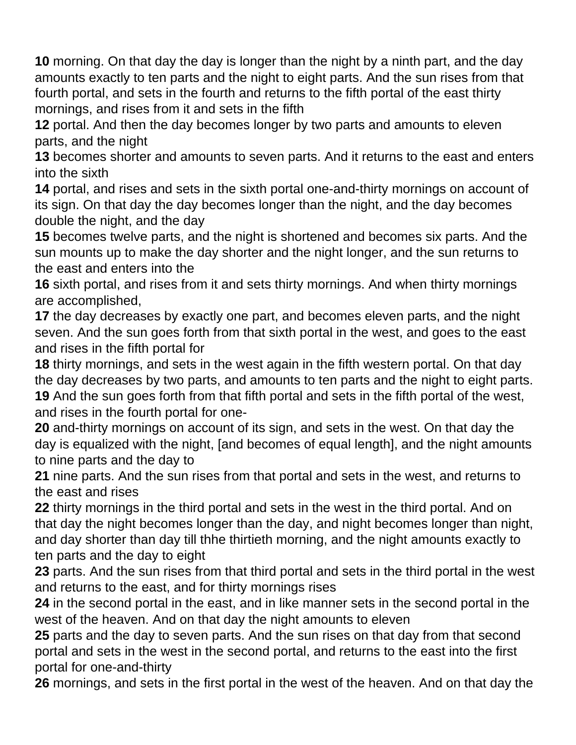**10** morning. On that day the day is longer than the night by a ninth part, and the day amounts exactly to ten parts and the night to eight parts. And the sun rises from that fourth portal, and sets in the fourth and returns to the fifth portal of the east thirty mornings, and rises from it and sets in the fifth

**12** portal. And then the day becomes longer by two parts and amounts to eleven parts, and the night

**13** becomes shorter and amounts to seven parts. And it returns to the east and enters into the sixth

**14** portal, and rises and sets in the sixth portal one-and-thirty mornings on account of its sign. On that day the day becomes longer than the night, and the day becomes double the night, and the day

**15** becomes twelve parts, and the night is shortened and becomes six parts. And the sun mounts up to make the day shorter and the night longer, and the sun returns to the east and enters into the

**16** sixth portal, and rises from it and sets thirty mornings. And when thirty mornings are accomplished,

**17** the day decreases by exactly one part, and becomes eleven parts, and the night seven. And the sun goes forth from that sixth portal in the west, and goes to the east and rises in the fifth portal for

**18** thirty mornings, and sets in the west again in the fifth western portal. On that day the day decreases by two parts, and amounts to ten parts and the night to eight parts. **19** And the sun goes forth from that fifth portal and sets in the fifth portal of the west, and rises in the fourth portal for one-

**20** and-thirty mornings on account of its sign, and sets in the west. On that day the day is equalized with the night, [and becomes of equal length], and the night amounts to nine parts and the day to

**21** nine parts. And the sun rises from that portal and sets in the west, and returns to the east and rises

**22** thirty mornings in the third portal and sets in the west in the third portal. And on that day the night becomes longer than the day, and night becomes longer than night, and day shorter than day till thhe thirtieth morning, and the night amounts exactly to ten parts and the day to eight

**23** parts. And the sun rises from that third portal and sets in the third portal in the west and returns to the east, and for thirty mornings rises

**24** in the second portal in the east, and in like manner sets in the second portal in the west of the heaven. And on that day the night amounts to eleven

**25** parts and the day to seven parts. And the sun rises on that day from that second portal and sets in the west in the second portal, and returns to the east into the first portal for one-and-thirty

**26** mornings, and sets in the first portal in the west of the heaven. And on that day the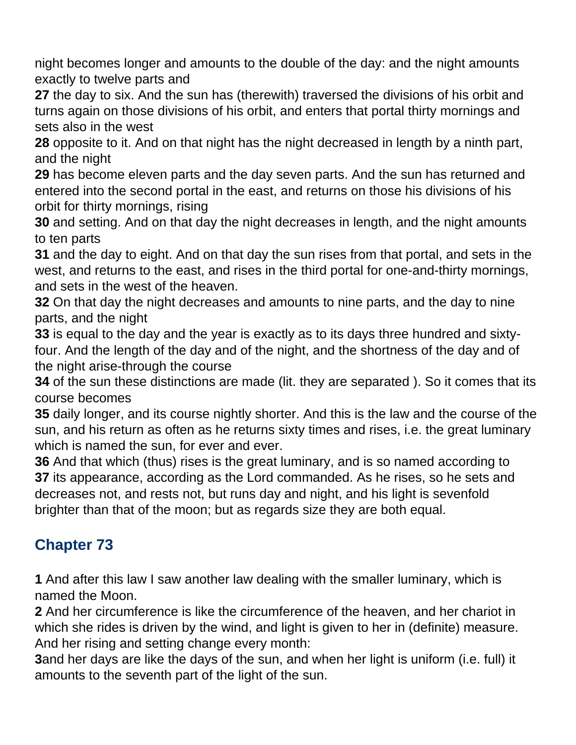night becomes longer and amounts to the double of the day: and the night amounts exactly to twelve parts and

**27** the day to six. And the sun has (therewith) traversed the divisions of his orbit and turns again on those divisions of his orbit, and enters that portal thirty mornings and sets also in the west

**28** opposite to it. And on that night has the night decreased in length by a ninth part, and the night

**29** has become eleven parts and the day seven parts. And the sun has returned and entered into the second portal in the east, and returns on those his divisions of his orbit for thirty mornings, rising

**30** and setting. And on that day the night decreases in length, and the night amounts to ten parts

**31** and the day to eight. And on that day the sun rises from that portal, and sets in the west, and returns to the east, and rises in the third portal for one-and-thirty mornings, and sets in the west of the heaven.

**32** On that day the night decreases and amounts to nine parts, and the day to nine parts, and the night

**33** is equal to the day and the year is exactly as to its days three hundred and sixtyfour. And the length of the day and of the night, and the shortness of the day and of the night arise-through the course

**34** of the sun these distinctions are made (lit. they are separated ). So it comes that its course becomes

**35** daily longer, and its course nightly shorter. And this is the law and the course of the sun, and his return as often as he returns sixty times and rises, i.e. the great luminary which is named the sun, for ever and ever.

**36** And that which (thus) rises is the great luminary, and is so named according to **37** its appearance, according as the Lord commanded. As he rises, so he sets and decreases not, and rests not, but runs day and night, and his light is sevenfold brighter than that of the moon; but as regards size they are both equal.

## **Chapter 73**

**1** And after this law I saw another law dealing with the smaller luminary, which is named the Moon.

**2** And her circumference is like the circumference of the heaven, and her chariot in which she rides is driven by the wind, and light is given to her in (definite) measure. And her rising and setting change every month:

**3**and her days are like the days of the sun, and when her light is uniform (i.e. full) it amounts to the seventh part of the light of the sun.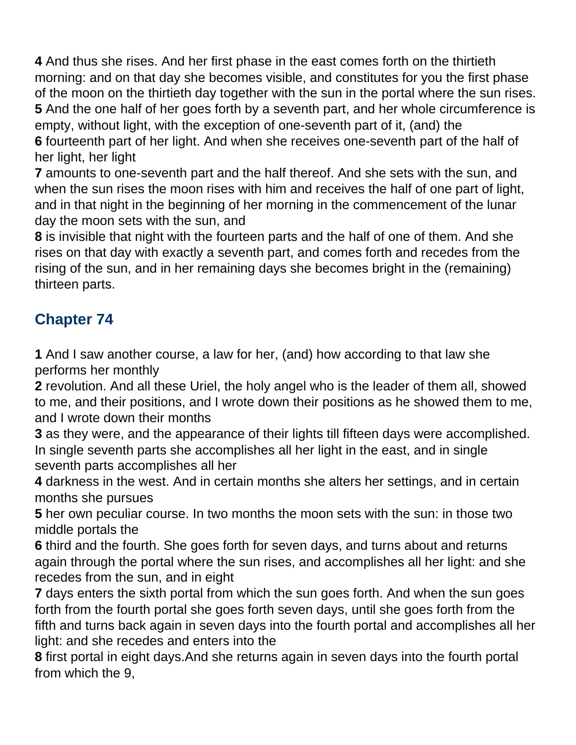**4** And thus she rises. And her first phase in the east comes forth on the thirtieth morning: and on that day she becomes visible, and constitutes for you the first phase of the moon on the thirtieth day together with the sun in the portal where the sun rises. **5** And the one half of her goes forth by a seventh part, and her whole circumference is empty, without light, with the exception of one-seventh part of it, (and) the **6** fourteenth part of her light. And when she receives one-seventh part of the half of her light, her light

**7** amounts to one-seventh part and the half thereof. And she sets with the sun, and when the sun rises the moon rises with him and receives the half of one part of light, and in that night in the beginning of her morning in the commencement of the lunar day the moon sets with the sun, and

**8** is invisible that night with the fourteen parts and the half of one of them. And she rises on that day with exactly a seventh part, and comes forth and recedes from the rising of the sun, and in her remaining days she becomes bright in the (remaining) thirteen parts.

### **Chapter 74**

**1** And I saw another course, a law for her, (and) how according to that law she performs her monthly

**2** revolution. And all these Uriel, the holy angel who is the leader of them all, showed to me, and their positions, and I wrote down their positions as he showed them to me, and I wrote down their months

**3** as they were, and the appearance of their lights till fifteen days were accomplished. In single seventh parts she accomplishes all her light in the east, and in single seventh parts accomplishes all her

**4** darkness in the west. And in certain months she alters her settings, and in certain months she pursues

**5** her own peculiar course. In two months the moon sets with the sun: in those two middle portals the

**6** third and the fourth. She goes forth for seven days, and turns about and returns again through the portal where the sun rises, and accomplishes all her light: and she recedes from the sun, and in eight

**7** days enters the sixth portal from which the sun goes forth. And when the sun goes forth from the fourth portal she goes forth seven days, until she goes forth from the fifth and turns back again in seven days into the fourth portal and accomplishes all her light: and she recedes and enters into the

**8** first portal in eight days.And she returns again in seven days into the fourth portal from which the 9,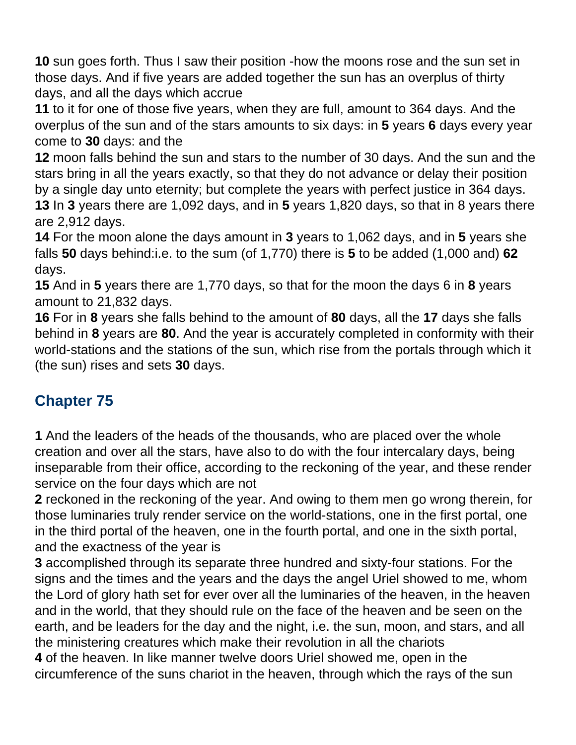**10** sun goes forth. Thus I saw their position -how the moons rose and the sun set in those days. And if five years are added together the sun has an overplus of thirty days, and all the days which accrue

**11** to it for one of those five years, when they are full, amount to 364 days. And the overplus of the sun and of the stars amounts to six days: in **5** years **6** days every year come to **30** days: and the

**12** moon falls behind the sun and stars to the number of 30 days. And the sun and the stars bring in all the years exactly, so that they do not advance or delay their position by a single day unto eternity; but complete the years with perfect justice in 364 days. **13** In **3** years there are 1,092 days, and in **5** years 1,820 days, so that in 8 years there are 2,912 days.

**14** For the moon alone the days amount in **3** years to 1,062 days, and in **5** years she falls **50** days behind:i.e. to the sum (of 1,770) there is **5** to be added (1,000 and) **62** days.

**15** And in **5** years there are 1,770 days, so that for the moon the days 6 in **8** years amount to 21,832 days.

**16** For in **8** years she falls behind to the amount of **80** days, all the **17** days she falls behind in **8** years are **80**. And the year is accurately completed in conformity with their world-stations and the stations of the sun, which rise from the portals through which it (the sun) rises and sets **30** days.

# **Chapter 75**

**1** And the leaders of the heads of the thousands, who are placed over the whole creation and over all the stars, have also to do with the four intercalary days, being inseparable from their office, according to the reckoning of the year, and these render service on the four days which are not

**2** reckoned in the reckoning of the year. And owing to them men go wrong therein, for those luminaries truly render service on the world-stations, one in the first portal, one in the third portal of the heaven, one in the fourth portal, and one in the sixth portal, and the exactness of the year is

**3** accomplished through its separate three hundred and sixty-four stations. For the signs and the times and the years and the days the angel Uriel showed to me, whom the Lord of glory hath set for ever over all the luminaries of the heaven, in the heaven and in the world, that they should rule on the face of the heaven and be seen on the earth, and be leaders for the day and the night, i.e. the sun, moon, and stars, and all the ministering creatures which make their revolution in all the chariots **4** of the heaven. In like manner twelve doors Uriel showed me, open in the circumference of the suns chariot in the heaven, through which the rays of the sun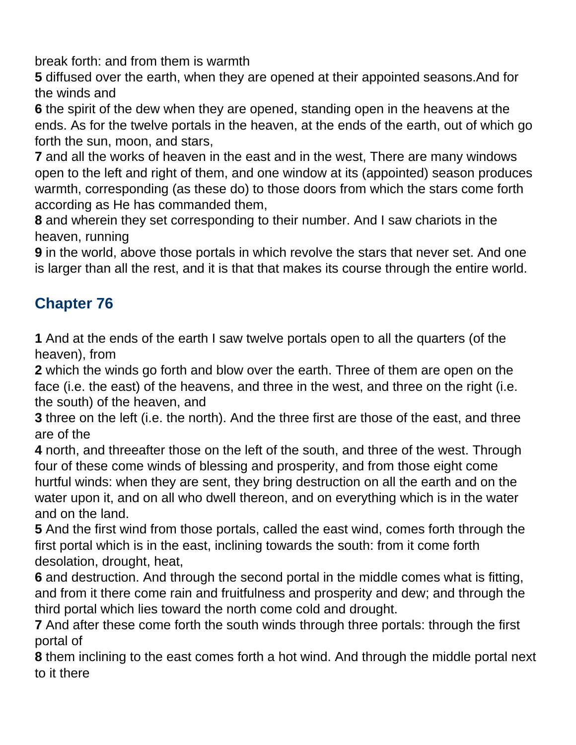break forth: and from them is warmth

**5** diffused over the earth, when they are opened at their appointed seasons.And for the winds and

**6** the spirit of the dew when they are opened, standing open in the heavens at the ends. As for the twelve portals in the heaven, at the ends of the earth, out of which go forth the sun, moon, and stars,

**7** and all the works of heaven in the east and in the west, There are many windows open to the left and right of them, and one window at its (appointed) season produces warmth, corresponding (as these do) to those doors from which the stars come forth according as He has commanded them,

**8** and wherein they set corresponding to their number. And I saw chariots in the heaven, running

**9** in the world, above those portals in which revolve the stars that never set. And one is larger than all the rest, and it is that that makes its course through the entire world.

## **Chapter 76**

**1** And at the ends of the earth I saw twelve portals open to all the quarters (of the heaven), from

**2** which the winds go forth and blow over the earth. Three of them are open on the face (i.e. the east) of the heavens, and three in the west, and three on the right (i.e. the south) of the heaven, and

**3** three on the left (i.e. the north). And the three first are those of the east, and three are of the

**4** north, and threeafter those on the left of the south, and three of the west. Through four of these come winds of blessing and prosperity, and from those eight come hurtful winds: when they are sent, they bring destruction on all the earth and on the water upon it, and on all who dwell thereon, and on everything which is in the water and on the land.

**5** And the first wind from those portals, called the east wind, comes forth through the first portal which is in the east, inclining towards the south: from it come forth desolation, drought, heat,

**6** and destruction. And through the second portal in the middle comes what is fitting, and from it there come rain and fruitfulness and prosperity and dew; and through the third portal which lies toward the north come cold and drought.

**7** And after these come forth the south winds through three portals: through the first portal of

**8** them inclining to the east comes forth a hot wind. And through the middle portal next to it there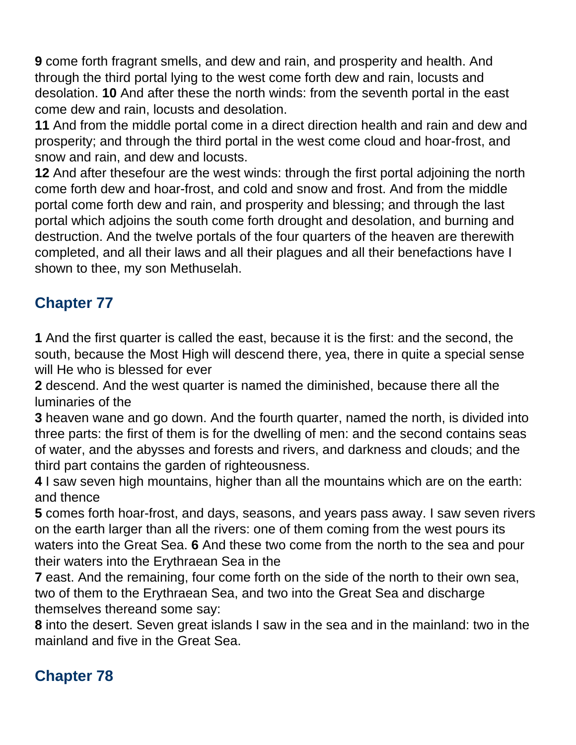**9** come forth fragrant smells, and dew and rain, and prosperity and health. And through the third portal lying to the west come forth dew and rain, locusts and desolation. **10** And after these the north winds: from the seventh portal in the east come dew and rain, locusts and desolation.

**11** And from the middle portal come in a direct direction health and rain and dew and prosperity; and through the third portal in the west come cloud and hoar-frost, and snow and rain, and dew and locusts.

**12** And after thesefour are the west winds: through the first portal adjoining the north come forth dew and hoar-frost, and cold and snow and frost. And from the middle portal come forth dew and rain, and prosperity and blessing; and through the last portal which adjoins the south come forth drought and desolation, and burning and destruction. And the twelve portals of the four quarters of the heaven are therewith completed, and all their laws and all their plagues and all their benefactions have I shown to thee, my son Methuselah.

### **Chapter 77**

**1** And the first quarter is called the east, because it is the first: and the second, the south, because the Most High will descend there, yea, there in quite a special sense will He who is blessed for ever

**2** descend. And the west quarter is named the diminished, because there all the luminaries of the

**3** heaven wane and go down. And the fourth quarter, named the north, is divided into three parts: the first of them is for the dwelling of men: and the second contains seas of water, and the abysses and forests and rivers, and darkness and clouds; and the third part contains the garden of righteousness.

**4** I saw seven high mountains, higher than all the mountains which are on the earth: and thence

**5** comes forth hoar-frost, and days, seasons, and years pass away. I saw seven rivers on the earth larger than all the rivers: one of them coming from the west pours its waters into the Great Sea. **6** And these two come from the north to the sea and pour their waters into the Erythraean Sea in the

**7** east. And the remaining, four come forth on the side of the north to their own sea, two of them to the Erythraean Sea, and two into the Great Sea and discharge themselves thereand some say:

**8** into the desert. Seven great islands I saw in the sea and in the mainland: two in the mainland and five in the Great Sea.

### **Chapter 78**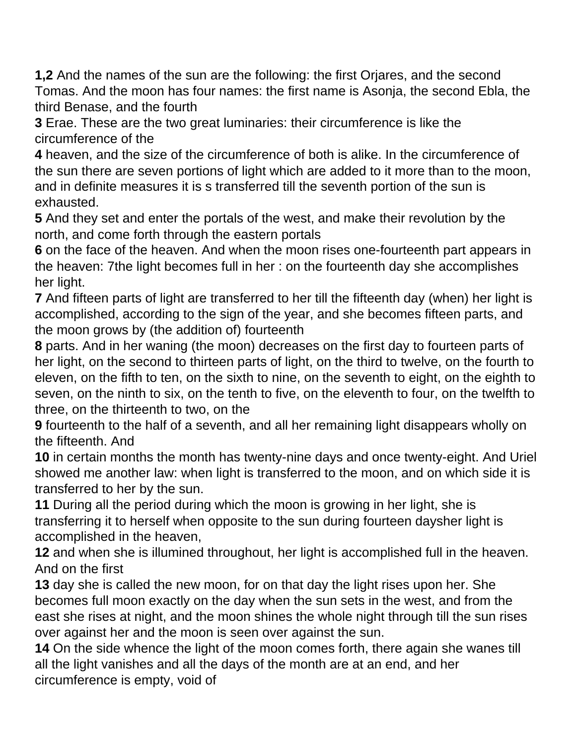**1,2** And the names of the sun are the following: the first Orjares, and the second Tomas. And the moon has four names: the first name is Asonja, the second Ebla, the third Benase, and the fourth

**3** Erae. These are the two great luminaries: their circumference is like the circumference of the

**4** heaven, and the size of the circumference of both is alike. In the circumference of the sun there are seven portions of light which are added to it more than to the moon, and in definite measures it is s transferred till the seventh portion of the sun is exhausted.

**5** And they set and enter the portals of the west, and make their revolution by the north, and come forth through the eastern portals

**6** on the face of the heaven. And when the moon rises one-fourteenth part appears in the heaven: 7the light becomes full in her : on the fourteenth day she accomplishes her light.

**7** And fifteen parts of light are transferred to her till the fifteenth day (when) her light is accomplished, according to the sign of the year, and she becomes fifteen parts, and the moon grows by (the addition of) fourteenth

**8** parts. And in her waning (the moon) decreases on the first day to fourteen parts of her light, on the second to thirteen parts of light, on the third to twelve, on the fourth to eleven, on the fifth to ten, on the sixth to nine, on the seventh to eight, on the eighth to seven, on the ninth to six, on the tenth to five, on the eleventh to four, on the twelfth to three, on the thirteenth to two, on the

**9** fourteenth to the half of a seventh, and all her remaining light disappears wholly on the fifteenth. And

**10** in certain months the month has twenty-nine days and once twenty-eight. And Uriel showed me another law: when light is transferred to the moon, and on which side it is transferred to her by the sun.

**11** During all the period during which the moon is growing in her light, she is transferring it to herself when opposite to the sun during fourteen daysher light is accomplished in the heaven,

**12** and when she is illumined throughout, her light is accomplished full in the heaven. And on the first

**13** day she is called the new moon, for on that day the light rises upon her. She becomes full moon exactly on the day when the sun sets in the west, and from the east she rises at night, and the moon shines the whole night through till the sun rises over against her and the moon is seen over against the sun.

**14** On the side whence the light of the moon comes forth, there again she wanes till all the light vanishes and all the days of the month are at an end, and her circumference is empty, void of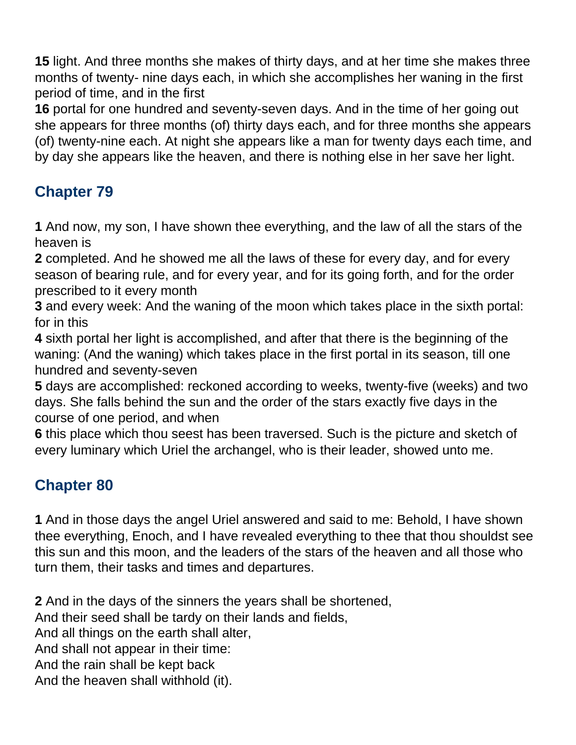**15** light. And three months she makes of thirty days, and at her time she makes three months of twenty- nine days each, in which she accomplishes her waning in the first period of time, and in the first

**16** portal for one hundred and seventy-seven days. And in the time of her going out she appears for three months (of) thirty days each, and for three months she appears (of) twenty-nine each. At night she appears like a man for twenty days each time, and by day she appears like the heaven, and there is nothing else in her save her light.

## **Chapter 79**

**1** And now, my son, I have shown thee everything, and the law of all the stars of the heaven is

**2** completed. And he showed me all the laws of these for every day, and for every season of bearing rule, and for every year, and for its going forth, and for the order prescribed to it every month

**3** and every week: And the waning of the moon which takes place in the sixth portal: for in this

**4** sixth portal her light is accomplished, and after that there is the beginning of the waning: (And the waning) which takes place in the first portal in its season, till one hundred and seventy-seven

**5** days are accomplished: reckoned according to weeks, twenty-five (weeks) and two days. She falls behind the sun and the order of the stars exactly five days in the course of one period, and when

**6** this place which thou seest has been traversed. Such is the picture and sketch of every luminary which Uriel the archangel, who is their leader, showed unto me.

## **Chapter 80**

**1** And in those days the angel Uriel answered and said to me: Behold, I have shown thee everything, Enoch, and I have revealed everything to thee that thou shouldst see this sun and this moon, and the leaders of the stars of the heaven and all those who turn them, their tasks and times and departures.

**2** And in the days of the sinners the years shall be shortened, And their seed shall be tardy on their lands and fields, And all things on the earth shall alter, And shall not appear in their time: And the rain shall be kept back And the heaven shall withhold (it).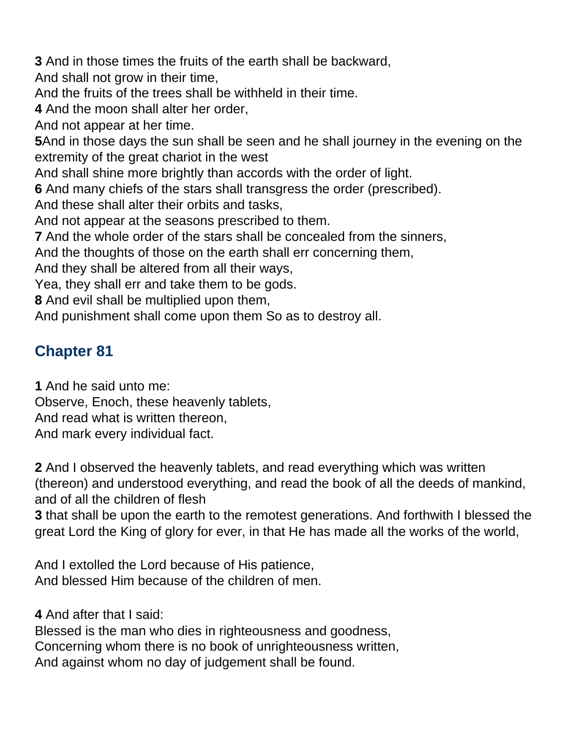**3** And in those times the fruits of the earth shall be backward,

And shall not grow in their time,

And the fruits of the trees shall be withheld in their time.

**4** And the moon shall alter her order,

And not appear at her time.

**5**And in those days the sun shall be seen and he shall journey in the evening on the extremity of the great chariot in the west

And shall shine more brightly than accords with the order of light.

**6** And many chiefs of the stars shall transgress the order (prescribed).

And these shall alter their orbits and tasks,

And not appear at the seasons prescribed to them.

**7** And the whole order of the stars shall be concealed from the sinners,

And the thoughts of those on the earth shall err concerning them,

And they shall be altered from all their ways,

Yea, they shall err and take them to be gods.

**8** And evil shall be multiplied upon them,

And punishment shall come upon them So as to destroy all.

### **Chapter 81**

**1** And he said unto me:

Observe, Enoch, these heavenly tablets,

And read what is written thereon,

And mark every individual fact.

**2** And I observed the heavenly tablets, and read everything which was written (thereon) and understood everything, and read the book of all the deeds of mankind, and of all the children of flesh

**3** that shall be upon the earth to the remotest generations. And forthwith I blessed the great Lord the King of glory for ever, in that He has made all the works of the world,

And I extolled the Lord because of His patience, And blessed Him because of the children of men.

**4** And after that I said:

Blessed is the man who dies in righteousness and goodness, Concerning whom there is no book of unrighteousness written, And against whom no day of judgement shall be found.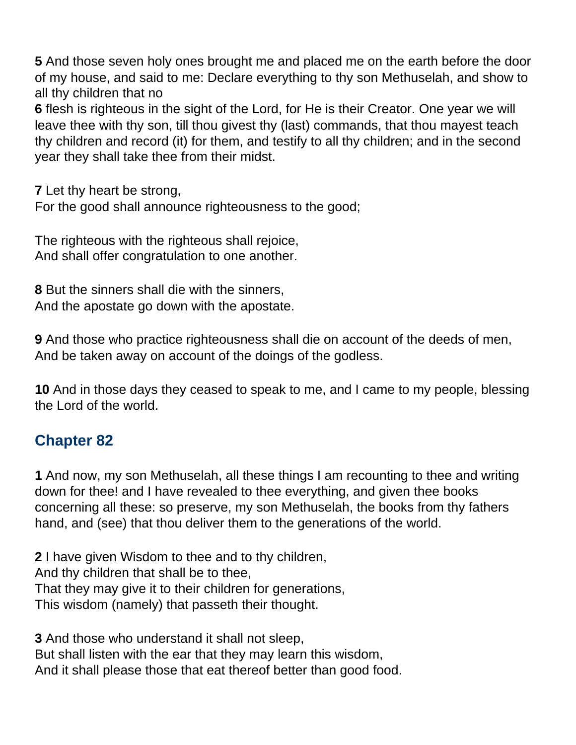**5** And those seven holy ones brought me and placed me on the earth before the door of my house, and said to me: Declare everything to thy son Methuselah, and show to all thy children that no

**6** flesh is righteous in the sight of the Lord, for He is their Creator. One year we will leave thee with thy son, till thou givest thy (last) commands, that thou mayest teach thy children and record (it) for them, and testify to all thy children; and in the second year they shall take thee from their midst.

**7** Let thy heart be strong,

For the good shall announce righteousness to the good;

The righteous with the righteous shall rejoice, And shall offer congratulation to one another.

**8** But the sinners shall die with the sinners, And the apostate go down with the apostate.

**9** And those who practice righteousness shall die on account of the deeds of men, And be taken away on account of the doings of the godless.

**10** And in those days they ceased to speak to me, and I came to my people, blessing the Lord of the world.

### **Chapter 82**

**1** And now, my son Methuselah, all these things I am recounting to thee and writing down for thee! and I have revealed to thee everything, and given thee books concerning all these: so preserve, my son Methuselah, the books from thy fathers hand, and (see) that thou deliver them to the generations of the world.

**2** I have given Wisdom to thee and to thy children, And thy children that shall be to thee, That they may give it to their children for generations, This wisdom (namely) that passeth their thought.

**3** And those who understand it shall not sleep, But shall listen with the ear that they may learn this wisdom, And it shall please those that eat thereof better than good food.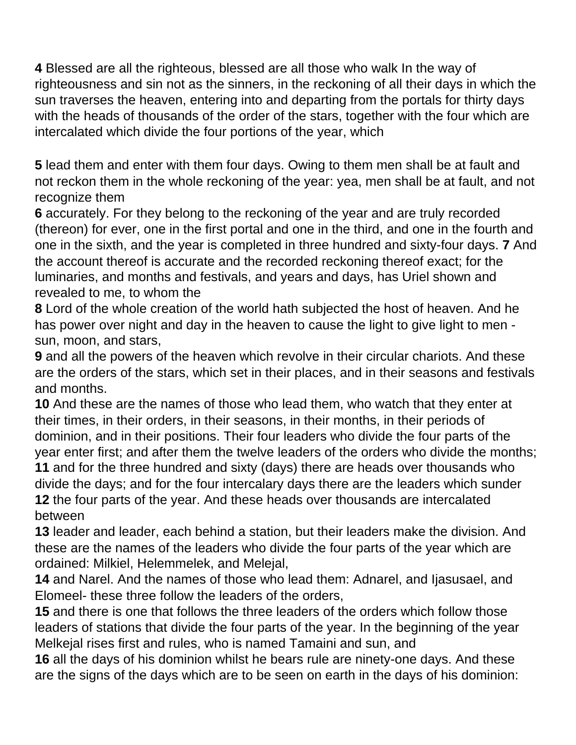**4** Blessed are all the righteous, blessed are all those who walk In the way of righteousness and sin not as the sinners, in the reckoning of all their days in which the sun traverses the heaven, entering into and departing from the portals for thirty days with the heads of thousands of the order of the stars, together with the four which are intercalated which divide the four portions of the year, which

**5** lead them and enter with them four days. Owing to them men shall be at fault and not reckon them in the whole reckoning of the year: yea, men shall be at fault, and not recognize them

**6** accurately. For they belong to the reckoning of the year and are truly recorded (thereon) for ever, one in the first portal and one in the third, and one in the fourth and one in the sixth, and the year is completed in three hundred and sixty-four days. **7** And the account thereof is accurate and the recorded reckoning thereof exact; for the luminaries, and months and festivals, and years and days, has Uriel shown and revealed to me, to whom the

**8** Lord of the whole creation of the world hath subjected the host of heaven. And he has power over night and day in the heaven to cause the light to give light to men sun, moon, and stars,

**9** and all the powers of the heaven which revolve in their circular chariots. And these are the orders of the stars, which set in their places, and in their seasons and festivals and months.

**10** And these are the names of those who lead them, who watch that they enter at their times, in their orders, in their seasons, in their months, in their periods of dominion, and in their positions. Their four leaders who divide the four parts of the year enter first; and after them the twelve leaders of the orders who divide the months; **11** and for the three hundred and sixty (days) there are heads over thousands who divide the days; and for the four intercalary days there are the leaders which sunder **12** the four parts of the year. And these heads over thousands are intercalated between

**13** leader and leader, each behind a station, but their leaders make the division. And these are the names of the leaders who divide the four parts of the year which are ordained: Milkiel, Helemmelek, and Melejal,

**14** and Narel. And the names of those who lead them: Adnarel, and Ijasusael, and Elomeel- these three follow the leaders of the orders,

**15** and there is one that follows the three leaders of the orders which follow those leaders of stations that divide the four parts of the year. In the beginning of the year Melkejal rises first and rules, who is named Tamaini and sun, and

**16** all the days of his dominion whilst he bears rule are ninety-one days. And these are the signs of the days which are to be seen on earth in the days of his dominion: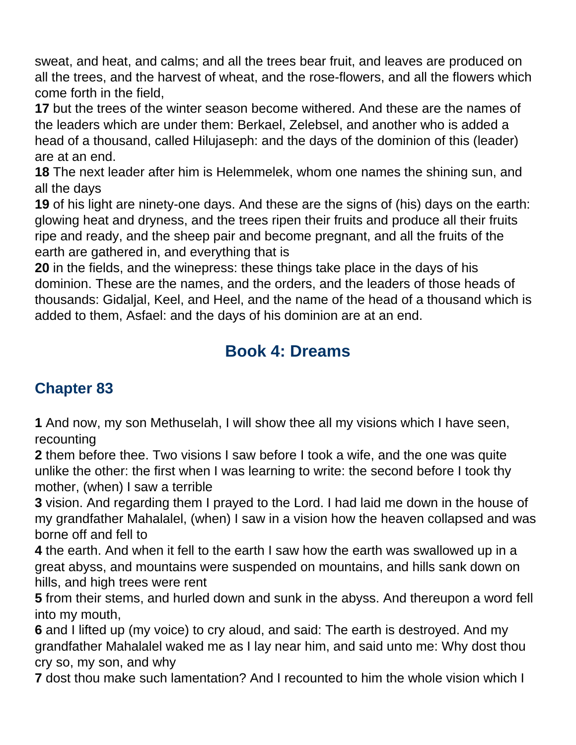sweat, and heat, and calms; and all the trees bear fruit, and leaves are produced on all the trees, and the harvest of wheat, and the rose-flowers, and all the flowers which come forth in the field,

**17** but the trees of the winter season become withered. And these are the names of the leaders which are under them: Berkael, Zelebsel, and another who is added a head of a thousand, called Hilujaseph: and the days of the dominion of this (leader) are at an end.

**18** The next leader after him is Helemmelek, whom one names the shining sun, and all the days

**19** of his light are ninety-one days. And these are the signs of (his) days on the earth: glowing heat and dryness, and the trees ripen their fruits and produce all their fruits ripe and ready, and the sheep pair and become pregnant, and all the fruits of the earth are gathered in, and everything that is

**20** in the fields, and the winepress: these things take place in the days of his dominion. These are the names, and the orders, and the leaders of those heads of thousands: Gidaljal, Keel, and Heel, and the name of the head of a thousand which is added to them, Asfael: and the days of his dominion are at an end.

# **Book 4: Dreams**

### **Chapter 83**

**1** And now, my son Methuselah, I will show thee all my visions which I have seen, recounting

**2** them before thee. Two visions I saw before I took a wife, and the one was quite unlike the other: the first when I was learning to write: the second before I took thy mother, (when) I saw a terrible

**3** vision. And regarding them I prayed to the Lord. I had laid me down in the house of my grandfather Mahalalel, (when) I saw in a vision how the heaven collapsed and was borne off and fell to

**4** the earth. And when it fell to the earth I saw how the earth was swallowed up in a great abyss, and mountains were suspended on mountains, and hills sank down on hills, and high trees were rent

**5** from their stems, and hurled down and sunk in the abyss. And thereupon a word fell into my mouth,

**6** and I lifted up (my voice) to cry aloud, and said: The earth is destroyed. And my grandfather Mahalalel waked me as I lay near him, and said unto me: Why dost thou cry so, my son, and why

**7** dost thou make such lamentation? And I recounted to him the whole vision which I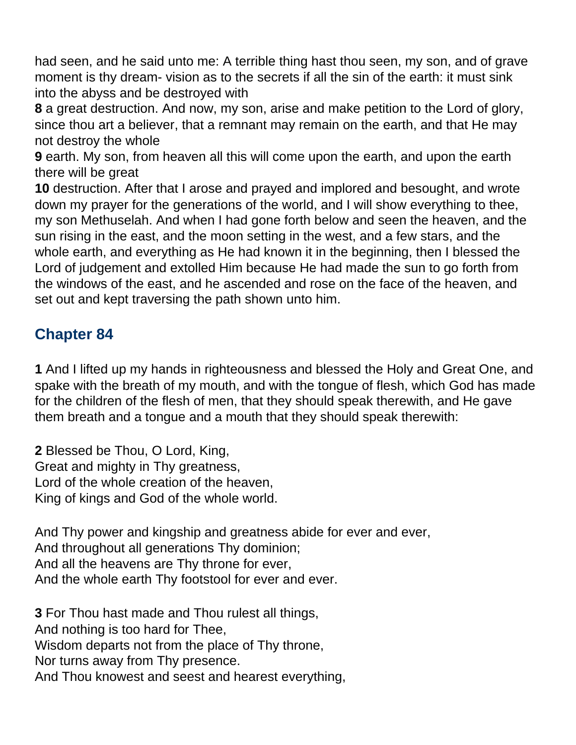had seen, and he said unto me: A terrible thing hast thou seen, my son, and of grave moment is thy dream- vision as to the secrets if all the sin of the earth: it must sink into the abyss and be destroyed with

**8** a great destruction. And now, my son, arise and make petition to the Lord of glory, since thou art a believer, that a remnant may remain on the earth, and that He may not destroy the whole

**9** earth. My son, from heaven all this will come upon the earth, and upon the earth there will be great

**10** destruction. After that I arose and prayed and implored and besought, and wrote down my prayer for the generations of the world, and I will show everything to thee, my son Methuselah. And when I had gone forth below and seen the heaven, and the sun rising in the east, and the moon setting in the west, and a few stars, and the whole earth, and everything as He had known it in the beginning, then I blessed the Lord of judgement and extolled Him because He had made the sun to go forth from the windows of the east, and he ascended and rose on the face of the heaven, and set out and kept traversing the path shown unto him.

#### **Chapter 84**

**1** And I lifted up my hands in righteousness and blessed the Holy and Great One, and spake with the breath of my mouth, and with the tongue of flesh, which God has made for the children of the flesh of men, that they should speak therewith, and He gave them breath and a tongue and a mouth that they should speak therewith:

**2** Blessed be Thou, O Lord, King, Great and mighty in Thy greatness, Lord of the whole creation of the heaven, King of kings and God of the whole world.

And Thy power and kingship and greatness abide for ever and ever, And throughout all generations Thy dominion; And all the heavens are Thy throne for ever, And the whole earth Thy footstool for ever and ever.

**3** For Thou hast made and Thou rulest all things, And nothing is too hard for Thee, Wisdom departs not from the place of Thy throne, Nor turns away from Thy presence. And Thou knowest and seest and hearest everything,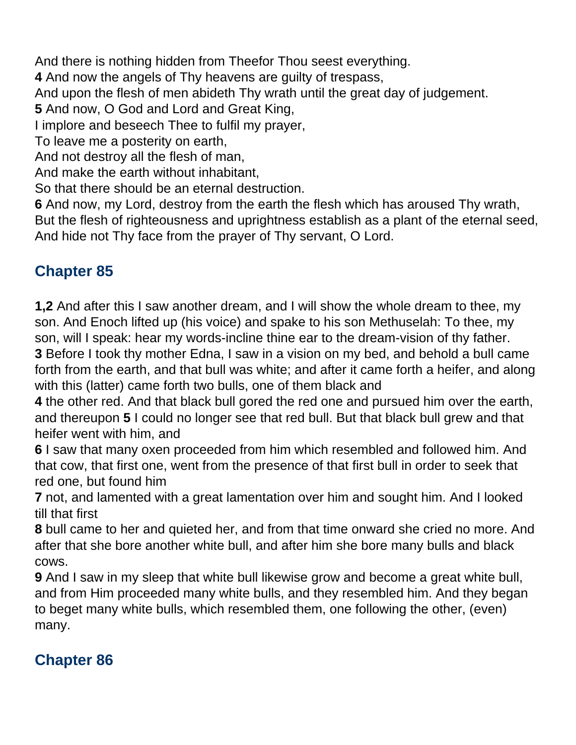And there is nothing hidden from Theefor Thou seest everything.

**4** And now the angels of Thy heavens are guilty of trespass,

And upon the flesh of men abideth Thy wrath until the great day of judgement.

**5** And now, O God and Lord and Great King,

I implore and beseech Thee to fulfil my prayer,

To leave me a posterity on earth,

And not destroy all the flesh of man,

And make the earth without inhabitant,

So that there should be an eternal destruction.

**6** And now, my Lord, destroy from the earth the flesh which has aroused Thy wrath, But the flesh of righteousness and uprightness establish as a plant of the eternal seed, And hide not Thy face from the prayer of Thy servant, O Lord.

### **Chapter 85**

**1,2** And after this I saw another dream, and I will show the whole dream to thee, my son. And Enoch lifted up (his voice) and spake to his son Methuselah: To thee, my son, will I speak: hear my words-incline thine ear to the dream-vision of thy father. **3** Before I took thy mother Edna, I saw in a vision on my bed, and behold a bull came forth from the earth, and that bull was white; and after it came forth a heifer, and along with this (latter) came forth two bulls, one of them black and

**4** the other red. And that black bull gored the red one and pursued him over the earth, and thereupon **5** I could no longer see that red bull. But that black bull grew and that heifer went with him, and

**6** I saw that many oxen proceeded from him which resembled and followed him. And that cow, that first one, went from the presence of that first bull in order to seek that red one, but found him

**7** not, and lamented with a great lamentation over him and sought him. And I looked till that first

**8** bull came to her and quieted her, and from that time onward she cried no more. And after that she bore another white bull, and after him she bore many bulls and black cows.

**9** And I saw in my sleep that white bull likewise grow and become a great white bull, and from Him proceeded many white bulls, and they resembled him. And they began to beget many white bulls, which resembled them, one following the other, (even) many.

### **Chapter 86**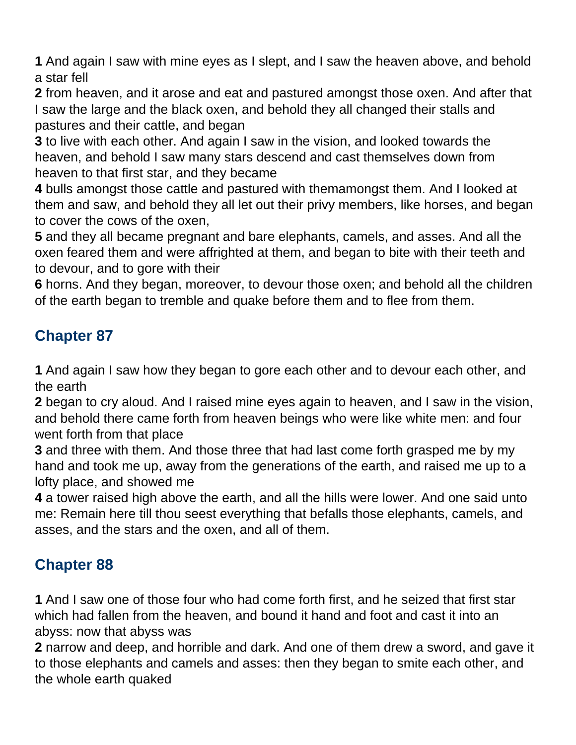**1** And again I saw with mine eyes as I slept, and I saw the heaven above, and behold a star fell

**2** from heaven, and it arose and eat and pastured amongst those oxen. And after that I saw the large and the black oxen, and behold they all changed their stalls and pastures and their cattle, and began

**3** to live with each other. And again I saw in the vision, and looked towards the heaven, and behold I saw many stars descend and cast themselves down from heaven to that first star, and they became

**4** bulls amongst those cattle and pastured with themamongst them. And I looked at them and saw, and behold they all let out their privy members, like horses, and began to cover the cows of the oxen,

**5** and they all became pregnant and bare elephants, camels, and asses. And all the oxen feared them and were affrighted at them, and began to bite with their teeth and to devour, and to gore with their

**6** horns. And they began, moreover, to devour those oxen; and behold all the children of the earth began to tremble and quake before them and to flee from them.

## **Chapter 87**

**1** And again I saw how they began to gore each other and to devour each other, and the earth

**2** began to cry aloud. And I raised mine eyes again to heaven, and I saw in the vision, and behold there came forth from heaven beings who were like white men: and four went forth from that place

**3** and three with them. And those three that had last come forth grasped me by my hand and took me up, away from the generations of the earth, and raised me up to a lofty place, and showed me

**4** a tower raised high above the earth, and all the hills were lower. And one said unto me: Remain here till thou seest everything that befalls those elephants, camels, and asses, and the stars and the oxen, and all of them.

### **Chapter 88**

**1** And I saw one of those four who had come forth first, and he seized that first star which had fallen from the heaven, and bound it hand and foot and cast it into an abyss: now that abyss was

**2** narrow and deep, and horrible and dark. And one of them drew a sword, and gave it to those elephants and camels and asses: then they began to smite each other, and the whole earth quaked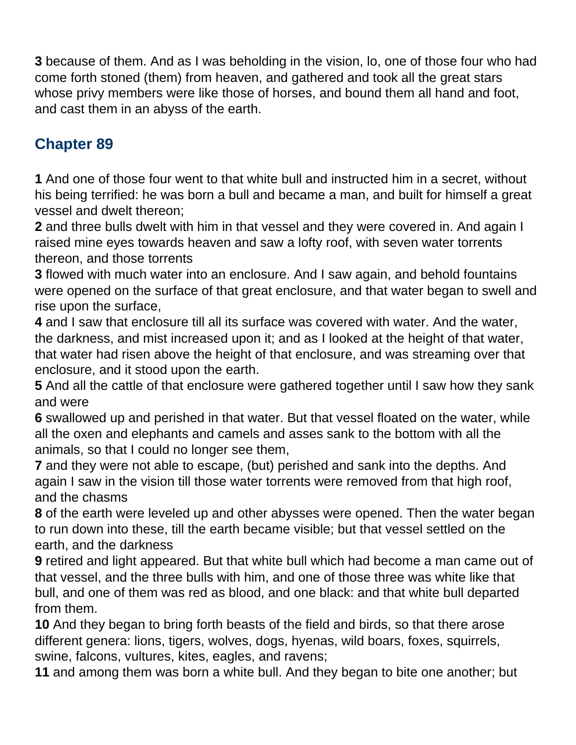**3** because of them. And as I was beholding in the vision, lo, one of those four who had come forth stoned (them) from heaven, and gathered and took all the great stars whose privy members were like those of horses, and bound them all hand and foot, and cast them in an abyss of the earth.

## **Chapter 89**

**1** And one of those four went to that white bull and instructed him in a secret, without his being terrified: he was born a bull and became a man, and built for himself a great vessel and dwelt thereon;

**2** and three bulls dwelt with him in that vessel and they were covered in. And again I raised mine eyes towards heaven and saw a lofty roof, with seven water torrents thereon, and those torrents

**3** flowed with much water into an enclosure. And I saw again, and behold fountains were opened on the surface of that great enclosure, and that water began to swell and rise upon the surface,

**4** and I saw that enclosure till all its surface was covered with water. And the water, the darkness, and mist increased upon it; and as I looked at the height of that water, that water had risen above the height of that enclosure, and was streaming over that enclosure, and it stood upon the earth.

**5** And all the cattle of that enclosure were gathered together until I saw how they sank and were

**6** swallowed up and perished in that water. But that vessel floated on the water, while all the oxen and elephants and camels and asses sank to the bottom with all the animals, so that I could no longer see them,

**7** and they were not able to escape, (but) perished and sank into the depths. And again I saw in the vision till those water torrents were removed from that high roof, and the chasms

**8** of the earth were leveled up and other abysses were opened. Then the water began to run down into these, till the earth became visible; but that vessel settled on the earth, and the darkness

**9** retired and light appeared. But that white bull which had become a man came out of that vessel, and the three bulls with him, and one of those three was white like that bull, and one of them was red as blood, and one black: and that white bull departed from them.

**10** And they began to bring forth beasts of the field and birds, so that there arose different genera: lions, tigers, wolves, dogs, hyenas, wild boars, foxes, squirrels, swine, falcons, vultures, kites, eagles, and ravens;

**11** and among them was born a white bull. And they began to bite one another; but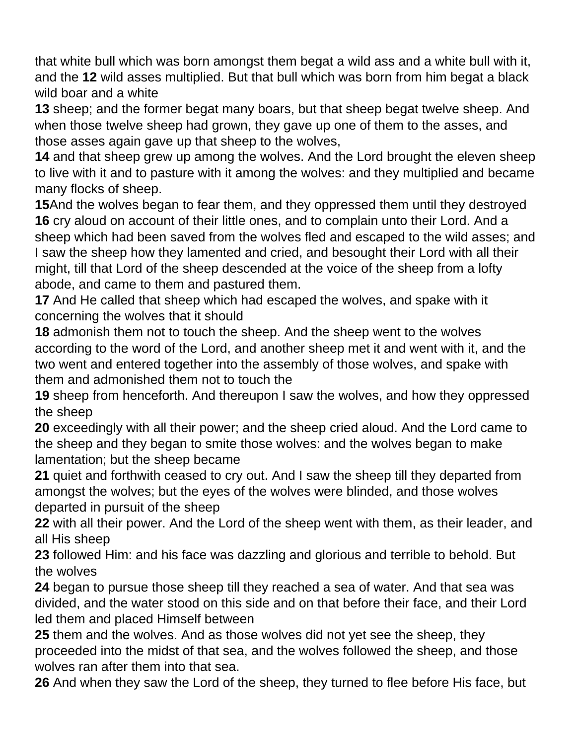that white bull which was born amongst them begat a wild ass and a white bull with it, and the **12** wild asses multiplied. But that bull which was born from him begat a black wild boar and a white

**13** sheep; and the former begat many boars, but that sheep begat twelve sheep. And when those twelve sheep had grown, they gave up one of them to the asses, and those asses again gave up that sheep to the wolves,

**14** and that sheep grew up among the wolves. And the Lord brought the eleven sheep to live with it and to pasture with it among the wolves: and they multiplied and became many flocks of sheep.

**15**And the wolves began to fear them, and they oppressed them until they destroyed **16** cry aloud on account of their little ones, and to complain unto their Lord. And a sheep which had been saved from the wolves fled and escaped to the wild asses; and I saw the sheep how they lamented and cried, and besought their Lord with all their might, till that Lord of the sheep descended at the voice of the sheep from a lofty abode, and came to them and pastured them.

**17** And He called that sheep which had escaped the wolves, and spake with it concerning the wolves that it should

**18** admonish them not to touch the sheep. And the sheep went to the wolves according to the word of the Lord, and another sheep met it and went with it, and the two went and entered together into the assembly of those wolves, and spake with them and admonished them not to touch the

**19** sheep from henceforth. And thereupon I saw the wolves, and how they oppressed the sheep

**20** exceedingly with all their power; and the sheep cried aloud. And the Lord came to the sheep and they began to smite those wolves: and the wolves began to make lamentation; but the sheep became

**21** quiet and forthwith ceased to cry out. And I saw the sheep till they departed from amongst the wolves; but the eyes of the wolves were blinded, and those wolves departed in pursuit of the sheep

**22** with all their power. And the Lord of the sheep went with them, as their leader, and all His sheep

**23** followed Him: and his face was dazzling and glorious and terrible to behold. But the wolves

**24** began to pursue those sheep till they reached a sea of water. And that sea was divided, and the water stood on this side and on that before their face, and their Lord led them and placed Himself between

**25** them and the wolves. And as those wolves did not yet see the sheep, they proceeded into the midst of that sea, and the wolves followed the sheep, and those wolves ran after them into that sea.

**26** And when they saw the Lord of the sheep, they turned to flee before His face, but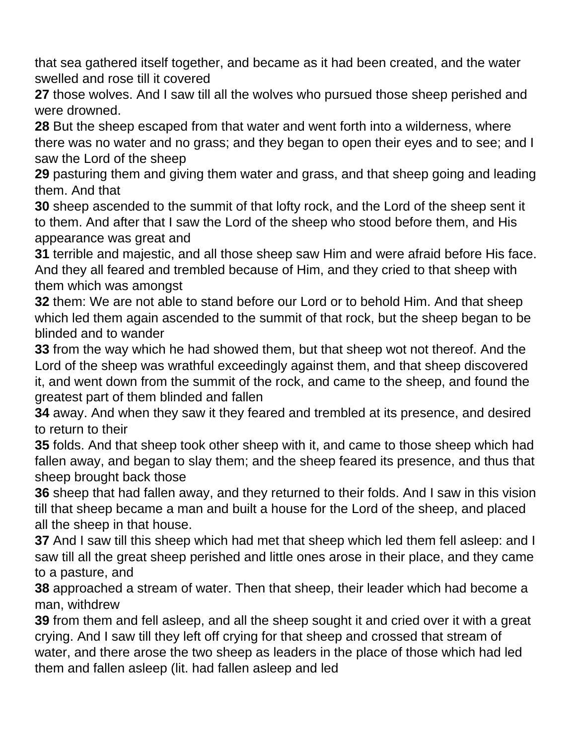that sea gathered itself together, and became as it had been created, and the water swelled and rose till it covered

**27** those wolves. And I saw till all the wolves who pursued those sheep perished and were drowned.

**28** But the sheep escaped from that water and went forth into a wilderness, where there was no water and no grass; and they began to open their eyes and to see; and I saw the Lord of the sheep

**29** pasturing them and giving them water and grass, and that sheep going and leading them. And that

**30** sheep ascended to the summit of that lofty rock, and the Lord of the sheep sent it to them. And after that I saw the Lord of the sheep who stood before them, and His appearance was great and

**31** terrible and majestic, and all those sheep saw Him and were afraid before His face. And they all feared and trembled because of Him, and they cried to that sheep with them which was amongst

**32** them: We are not able to stand before our Lord or to behold Him. And that sheep which led them again ascended to the summit of that rock, but the sheep began to be blinded and to wander

**33** from the way which he had showed them, but that sheep wot not thereof. And the Lord of the sheep was wrathful exceedingly against them, and that sheep discovered it, and went down from the summit of the rock, and came to the sheep, and found the greatest part of them blinded and fallen

**34** away. And when they saw it they feared and trembled at its presence, and desired to return to their

**35** folds. And that sheep took other sheep with it, and came to those sheep which had fallen away, and began to slay them; and the sheep feared its presence, and thus that sheep brought back those

**36** sheep that had fallen away, and they returned to their folds. And I saw in this vision till that sheep became a man and built a house for the Lord of the sheep, and placed all the sheep in that house.

**37** And I saw till this sheep which had met that sheep which led them fell asleep: and I saw till all the great sheep perished and little ones arose in their place, and they came to a pasture, and

**38** approached a stream of water. Then that sheep, their leader which had become a man, withdrew

**39** from them and fell asleep, and all the sheep sought it and cried over it with a great crying. And I saw till they left off crying for that sheep and crossed that stream of water, and there arose the two sheep as leaders in the place of those which had led them and fallen asleep (lit. had fallen asleep and led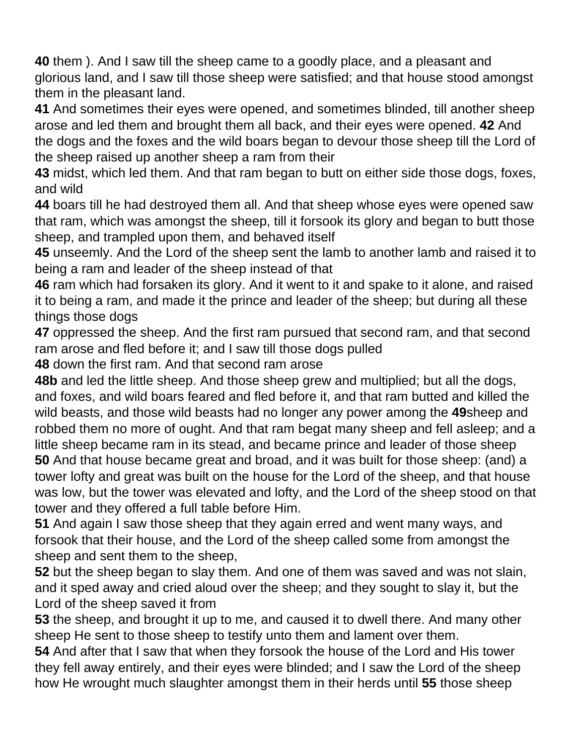**40** them ). And I saw till the sheep came to a goodly place, and a pleasant and glorious land, and I saw till those sheep were satisfied; and that house stood amongst them in the pleasant land.

**41** And sometimes their eyes were opened, and sometimes blinded, till another sheep arose and led them and brought them all back, and their eyes were opened. **42** And the dogs and the foxes and the wild boars began to devour those sheep till the Lord of the sheep raised up another sheep a ram from their

**43** midst, which led them. And that ram began to butt on either side those dogs, foxes, and wild

**44** boars till he had destroyed them all. And that sheep whose eyes were opened saw that ram, which was amongst the sheep, till it forsook its glory and began to butt those sheep, and trampled upon them, and behaved itself

**45** unseemly. And the Lord of the sheep sent the lamb to another lamb and raised it to being a ram and leader of the sheep instead of that

**46** ram which had forsaken its glory. And it went to it and spake to it alone, and raised it to being a ram, and made it the prince and leader of the sheep; but during all these things those dogs

**47** oppressed the sheep. And the first ram pursued that second ram, and that second ram arose and fled before it; and I saw till those dogs pulled

**48** down the first ram. And that second ram arose

**48b** and led the little sheep. And those sheep grew and multiplied; but all the dogs, and foxes, and wild boars feared and fled before it, and that ram butted and killed the wild beasts, and those wild beasts had no longer any power among the **49**sheep and robbed them no more of ought. And that ram begat many sheep and fell asleep; and a little sheep became ram in its stead, and became prince and leader of those sheep **50** And that house became great and broad, and it was built for those sheep: (and) a tower lofty and great was built on the house for the Lord of the sheep, and that house was low, but the tower was elevated and lofty, and the Lord of the sheep stood on that tower and they offered a full table before Him.

**51** And again I saw those sheep that they again erred and went many ways, and forsook that their house, and the Lord of the sheep called some from amongst the sheep and sent them to the sheep,

**52** but the sheep began to slay them. And one of them was saved and was not slain, and it sped away and cried aloud over the sheep; and they sought to slay it, but the Lord of the sheep saved it from

**53** the sheep, and brought it up to me, and caused it to dwell there. And many other sheep He sent to those sheep to testify unto them and lament over them.

**54** And after that I saw that when they forsook the house of the Lord and His tower they fell away entirely, and their eyes were blinded; and I saw the Lord of the sheep how He wrought much slaughter amongst them in their herds until **55** those sheep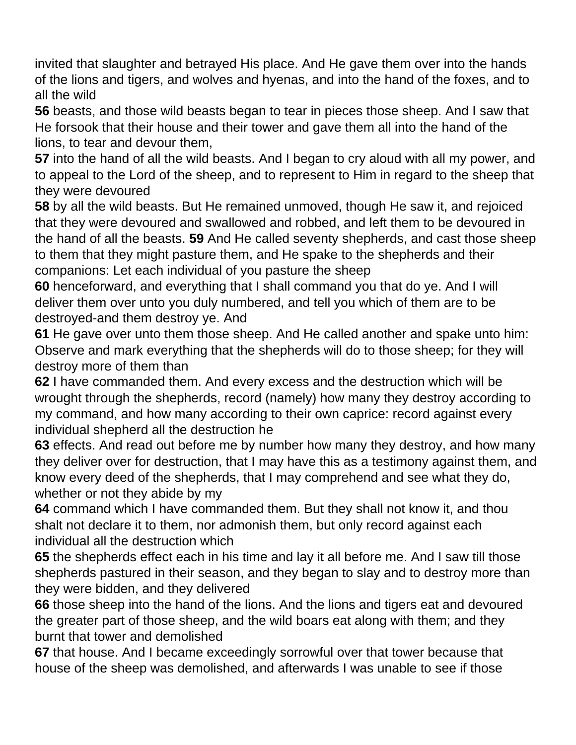invited that slaughter and betrayed His place. And He gave them over into the hands of the lions and tigers, and wolves and hyenas, and into the hand of the foxes, and to all the wild

**56** beasts, and those wild beasts began to tear in pieces those sheep. And I saw that He forsook that their house and their tower and gave them all into the hand of the lions, to tear and devour them,

**57** into the hand of all the wild beasts. And I began to cry aloud with all my power, and to appeal to the Lord of the sheep, and to represent to Him in regard to the sheep that they were devoured

**58** by all the wild beasts. But He remained unmoved, though He saw it, and rejoiced that they were devoured and swallowed and robbed, and left them to be devoured in the hand of all the beasts. **59** And He called seventy shepherds, and cast those sheep to them that they might pasture them, and He spake to the shepherds and their companions: Let each individual of you pasture the sheep

**60** henceforward, and everything that I shall command you that do ye. And I will deliver them over unto you duly numbered, and tell you which of them are to be destroyed-and them destroy ye. And

**61** He gave over unto them those sheep. And He called another and spake unto him: Observe and mark everything that the shepherds will do to those sheep; for they will destroy more of them than

**62** I have commanded them. And every excess and the destruction which will be wrought through the shepherds, record (namely) how many they destroy according to my command, and how many according to their own caprice: record against every individual shepherd all the destruction he

**63** effects. And read out before me by number how many they destroy, and how many they deliver over for destruction, that I may have this as a testimony against them, and know every deed of the shepherds, that I may comprehend and see what they do, whether or not they abide by my

**64** command which I have commanded them. But they shall not know it, and thou shalt not declare it to them, nor admonish them, but only record against each individual all the destruction which

**65** the shepherds effect each in his time and lay it all before me. And I saw till those shepherds pastured in their season, and they began to slay and to destroy more than they were bidden, and they delivered

**66** those sheep into the hand of the lions. And the lions and tigers eat and devoured the greater part of those sheep, and the wild boars eat along with them; and they burnt that tower and demolished

**67** that house. And I became exceedingly sorrowful over that tower because that house of the sheep was demolished, and afterwards I was unable to see if those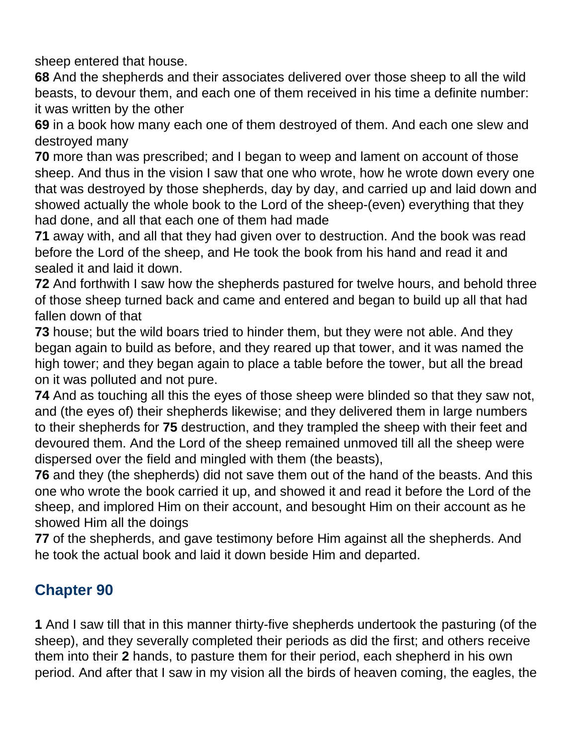sheep entered that house.

**68** And the shepherds and their associates delivered over those sheep to all the wild beasts, to devour them, and each one of them received in his time a definite number: it was written by the other

**69** in a book how many each one of them destroyed of them. And each one slew and destroyed many

**70** more than was prescribed; and I began to weep and lament on account of those sheep. And thus in the vision I saw that one who wrote, how he wrote down every one that was destroyed by those shepherds, day by day, and carried up and laid down and showed actually the whole book to the Lord of the sheep-(even) everything that they had done, and all that each one of them had made

**71** away with, and all that they had given over to destruction. And the book was read before the Lord of the sheep, and He took the book from his hand and read it and sealed it and laid it down.

**72** And forthwith I saw how the shepherds pastured for twelve hours, and behold three of those sheep turned back and came and entered and began to build up all that had fallen down of that

**73** house; but the wild boars tried to hinder them, but they were not able. And they began again to build as before, and they reared up that tower, and it was named the high tower; and they began again to place a table before the tower, but all the bread on it was polluted and not pure.

**74** And as touching all this the eyes of those sheep were blinded so that they saw not, and (the eyes of) their shepherds likewise; and they delivered them in large numbers to their shepherds for **75** destruction, and they trampled the sheep with their feet and devoured them. And the Lord of the sheep remained unmoved till all the sheep were dispersed over the field and mingled with them (the beasts),

**76** and they (the shepherds) did not save them out of the hand of the beasts. And this one who wrote the book carried it up, and showed it and read it before the Lord of the sheep, and implored Him on their account, and besought Him on their account as he showed Him all the doings

**77** of the shepherds, and gave testimony before Him against all the shepherds. And he took the actual book and laid it down beside Him and departed.

# **Chapter 90**

**1** And I saw till that in this manner thirty-five shepherds undertook the pasturing (of the sheep), and they severally completed their periods as did the first; and others receive them into their **2** hands, to pasture them for their period, each shepherd in his own period. And after that I saw in my vision all the birds of heaven coming, the eagles, the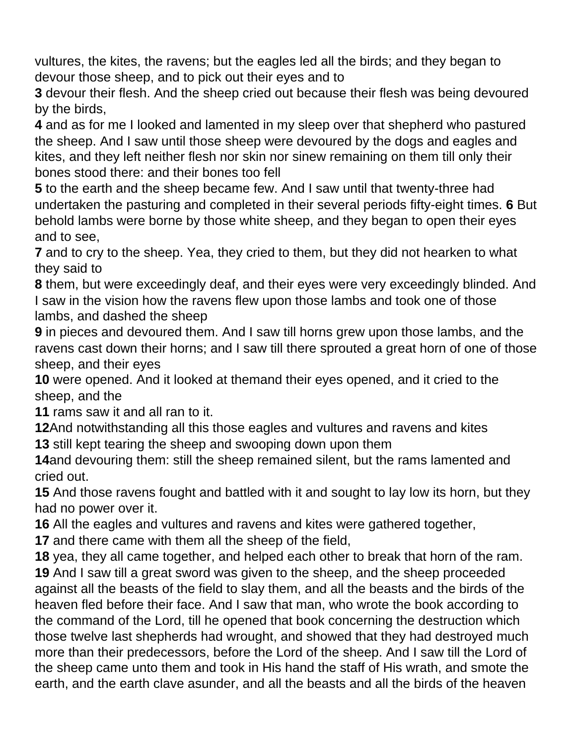vultures, the kites, the ravens; but the eagles led all the birds; and they began to devour those sheep, and to pick out their eyes and to

**3** devour their flesh. And the sheep cried out because their flesh was being devoured by the birds,

**4** and as for me I looked and lamented in my sleep over that shepherd who pastured the sheep. And I saw until those sheep were devoured by the dogs and eagles and kites, and they left neither flesh nor skin nor sinew remaining on them till only their bones stood there: and their bones too fell

**5** to the earth and the sheep became few. And I saw until that twenty-three had undertaken the pasturing and completed in their several periods fifty-eight times. **6** But behold lambs were borne by those white sheep, and they began to open their eyes and to see,

**7** and to cry to the sheep. Yea, they cried to them, but they did not hearken to what they said to

**8** them, but were exceedingly deaf, and their eyes were very exceedingly blinded. And I saw in the vision how the ravens flew upon those lambs and took one of those lambs, and dashed the sheep

**9** in pieces and devoured them. And I saw till horns grew upon those lambs, and the ravens cast down their horns; and I saw till there sprouted a great horn of one of those sheep, and their eyes

**10** were opened. And it looked at themand their eyes opened, and it cried to the sheep, and the

**11** rams saw it and all ran to it.

**12**And notwithstanding all this those eagles and vultures and ravens and kites **13** still kept tearing the sheep and swooping down upon them

**14**and devouring them: still the sheep remained silent, but the rams lamented and cried out.

**15** And those ravens fought and battled with it and sought to lay low its horn, but they had no power over it.

**16** All the eagles and vultures and ravens and kites were gathered together,

**17** and there came with them all the sheep of the field,

**18** yea, they all came together, and helped each other to break that horn of the ram.

**19** And I saw till a great sword was given to the sheep, and the sheep proceeded against all the beasts of the field to slay them, and all the beasts and the birds of the heaven fled before their face. And I saw that man, who wrote the book according to the command of the Lord, till he opened that book concerning the destruction which those twelve last shepherds had wrought, and showed that they had destroyed much more than their predecessors, before the Lord of the sheep. And I saw till the Lord of the sheep came unto them and took in His hand the staff of His wrath, and smote the earth, and the earth clave asunder, and all the beasts and all the birds of the heaven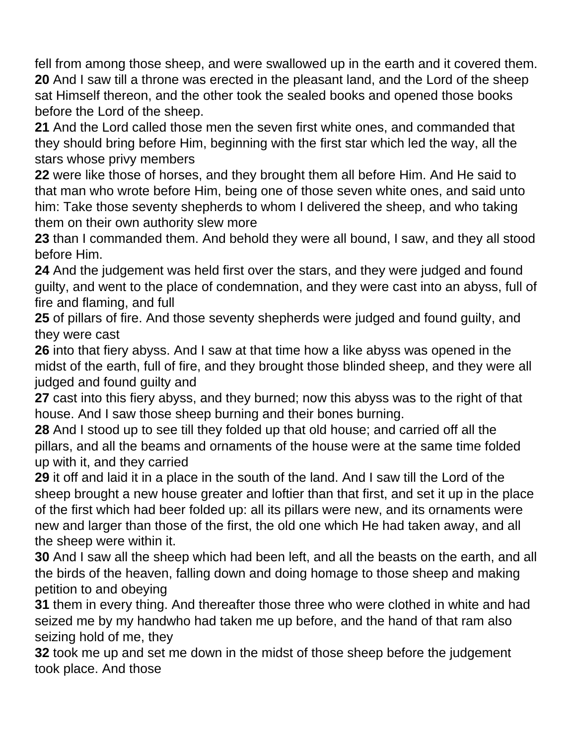fell from among those sheep, and were swallowed up in the earth and it covered them. **20** And I saw till a throne was erected in the pleasant land, and the Lord of the sheep sat Himself thereon, and the other took the sealed books and opened those books before the Lord of the sheep.

**21** And the Lord called those men the seven first white ones, and commanded that they should bring before Him, beginning with the first star which led the way, all the stars whose privy members

**22** were like those of horses, and they brought them all before Him. And He said to that man who wrote before Him, being one of those seven white ones, and said unto him: Take those seventy shepherds to whom I delivered the sheep, and who taking them on their own authority slew more

**23** than I commanded them. And behold they were all bound, I saw, and they all stood before Him.

**24** And the judgement was held first over the stars, and they were judged and found guilty, and went to the place of condemnation, and they were cast into an abyss, full of fire and flaming, and full

**25** of pillars of fire. And those seventy shepherds were judged and found guilty, and they were cast

**26** into that fiery abyss. And I saw at that time how a like abyss was opened in the midst of the earth, full of fire, and they brought those blinded sheep, and they were all judged and found guilty and

**27** cast into this fiery abyss, and they burned; now this abyss was to the right of that house. And I saw those sheep burning and their bones burning.

**28** And I stood up to see till they folded up that old house; and carried off all the pillars, and all the beams and ornaments of the house were at the same time folded up with it, and they carried

**29** it off and laid it in a place in the south of the land. And I saw till the Lord of the sheep brought a new house greater and loftier than that first, and set it up in the place of the first which had beer folded up: all its pillars were new, and its ornaments were new and larger than those of the first, the old one which He had taken away, and all the sheep were within it.

**30** And I saw all the sheep which had been left, and all the beasts on the earth, and all the birds of the heaven, falling down and doing homage to those sheep and making petition to and obeying

**31** them in every thing. And thereafter those three who were clothed in white and had seized me by my handwho had taken me up before, and the hand of that ram also seizing hold of me, they

**32** took me up and set me down in the midst of those sheep before the judgement took place. And those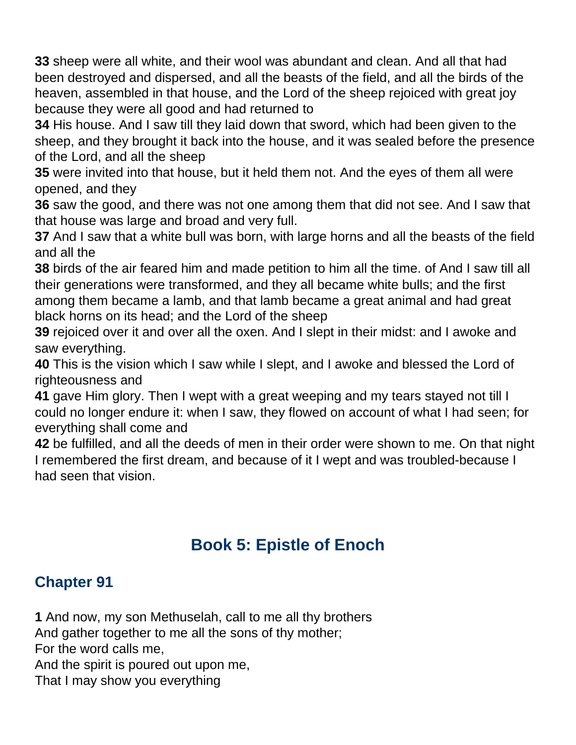**33** sheep were all white, and their wool was abundant and clean. And all that had been destroyed and dispersed, and all the beasts of the field, and all the birds of the heaven, assembled in that house, and the Lord of the sheep rejoiced with great joy because they were all good and had returned to

**34** His house. And I saw till they laid down that sword, which had been given to the sheep, and they brought it back into the house, and it was sealed before the presence of the Lord, and all the sheep

**35** were invited into that house, but it held them not. And the eyes of them all were opened, and they

**36** saw the good, and there was not one among them that did not see. And I saw that that house was large and broad and very full.

**37** And I saw that a white bull was born, with large horns and all the beasts of the field and all the

**38** birds of the air feared him and made petition to him all the time. of And I saw till all their generations were transformed, and they all became white bulls; and the first among them became a lamb, and that lamb became a great animal and had great black horns on its head; and the Lord of the sheep

**39** rejoiced over it and over all the oxen. And I slept in their midst: and I awoke and saw everything.

**40** This is the vision which I saw while I slept, and I awoke and blessed the Lord of righteousness and

**41** gave Him glory. Then I wept with a great weeping and my tears stayed not till I could no longer endure it: when I saw, they flowed on account of what I had seen; for everything shall come and

**42** be fulfilled, and all the deeds of men in their order were shown to me. On that night I remembered the first dream, and because of it I wept and was troubled-because I had seen that vision.

# **Book 5: Epistle of Enoch**

### **Chapter 91**

**1** And now, my son Methuselah, call to me all thy brothers And gather together to me all the sons of thy mother; For the word calls me, And the spirit is poured out upon me, That I may show you everything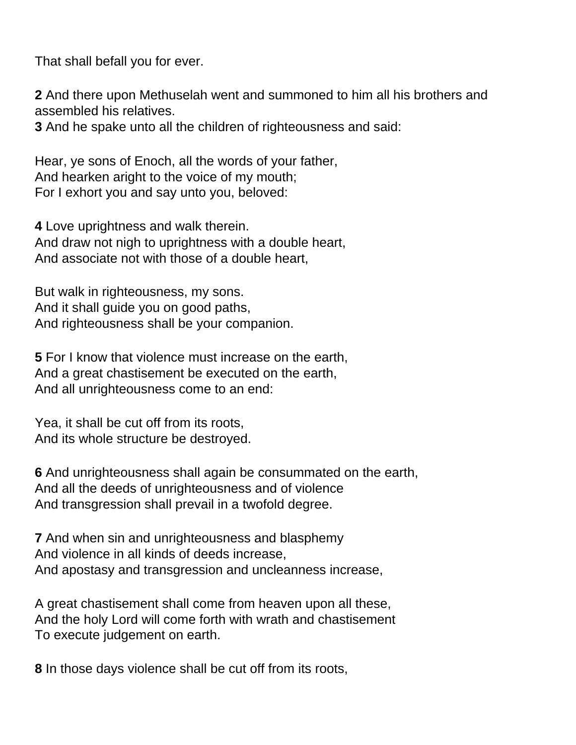That shall befall you for ever.

**2** And there upon Methuselah went and summoned to him all his brothers and assembled his relatives.

**3** And he spake unto all the children of righteousness and said:

Hear, ye sons of Enoch, all the words of your father, And hearken aright to the voice of my mouth; For I exhort you and say unto you, beloved:

**4** Love uprightness and walk therein. And draw not nigh to uprightness with a double heart, And associate not with those of a double heart,

But walk in righteousness, my sons. And it shall guide you on good paths, And righteousness shall be your companion.

**5** For I know that violence must increase on the earth, And a great chastisement be executed on the earth, And all unrighteousness come to an end:

Yea, it shall be cut off from its roots, And its whole structure be destroyed.

**6** And unrighteousness shall again be consummated on the earth, And all the deeds of unrighteousness and of violence And transgression shall prevail in a twofold degree.

**7** And when sin and unrighteousness and blasphemy And violence in all kinds of deeds increase, And apostasy and transgression and uncleanness increase,

A great chastisement shall come from heaven upon all these, And the holy Lord will come forth with wrath and chastisement To execute judgement on earth.

**8** In those days violence shall be cut off from its roots,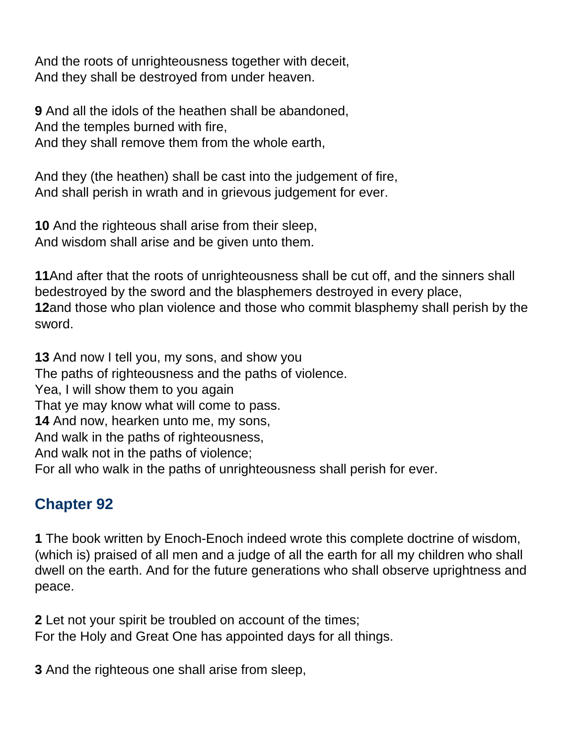And the roots of unrighteousness together with deceit, And they shall be destroyed from under heaven.

**9** And all the idols of the heathen shall be abandoned, And the temples burned with fire, And they shall remove them from the whole earth,

And they (the heathen) shall be cast into the judgement of fire, And shall perish in wrath and in grievous judgement for ever.

**10** And the righteous shall arise from their sleep, And wisdom shall arise and be given unto them.

**11**And after that the roots of unrighteousness shall be cut off, and the sinners shall bedestroyed by the sword and the blasphemers destroyed in every place, **12**and those who plan violence and those who commit blasphemy shall perish by the sword.

**13** And now I tell you, my sons, and show you The paths of righteousness and the paths of violence. Yea, I will show them to you again That ye may know what will come to pass. **14** And now, hearken unto me, my sons, And walk in the paths of righteousness, And walk not in the paths of violence; For all who walk in the paths of unrighteousness shall perish for ever.

### **Chapter 92**

**1** The book written by Enoch-Enoch indeed wrote this complete doctrine of wisdom, (which is) praised of all men and a judge of all the earth for all my children who shall dwell on the earth. And for the future generations who shall observe uprightness and peace.

**2** Let not your spirit be troubled on account of the times; For the Holy and Great One has appointed days for all things.

**3** And the righteous one shall arise from sleep,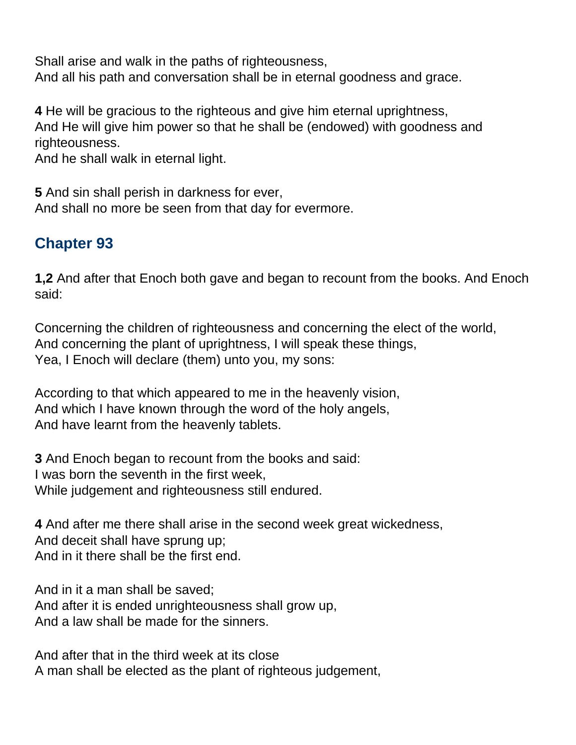Shall arise and walk in the paths of righteousness,

And all his path and conversation shall be in eternal goodness and grace.

**4** He will be gracious to the righteous and give him eternal uprightness, And He will give him power so that he shall be (endowed) with goodness and righteousness.

And he shall walk in eternal light.

**5** And sin shall perish in darkness for ever, And shall no more be seen from that day for evermore.

## **Chapter 93**

**1,2** And after that Enoch both gave and began to recount from the books. And Enoch said:

Concerning the children of righteousness and concerning the elect of the world, And concerning the plant of uprightness, I will speak these things, Yea, I Enoch will declare (them) unto you, my sons:

According to that which appeared to me in the heavenly vision, And which I have known through the word of the holy angels, And have learnt from the heavenly tablets.

**3** And Enoch began to recount from the books and said: I was born the seventh in the first week, While judgement and righteousness still endured.

**4** And after me there shall arise in the second week great wickedness, And deceit shall have sprung up; And in it there shall be the first end.

And in it a man shall be saved; And after it is ended unrighteousness shall grow up, And a law shall be made for the sinners.

And after that in the third week at its close A man shall be elected as the plant of righteous judgement,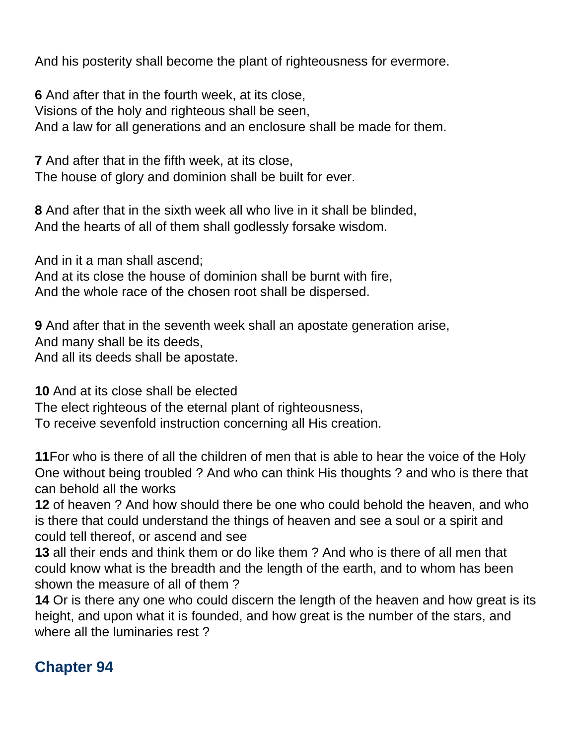And his posterity shall become the plant of righteousness for evermore.

**6** And after that in the fourth week, at its close, Visions of the holy and righteous shall be seen, And a law for all generations and an enclosure shall be made for them.

**7** And after that in the fifth week, at its close, The house of glory and dominion shall be built for ever.

**8** And after that in the sixth week all who live in it shall be blinded, And the hearts of all of them shall godlessly forsake wisdom.

And in it a man shall ascend;

And at its close the house of dominion shall be burnt with fire, And the whole race of the chosen root shall be dispersed.

**9** And after that in the seventh week shall an apostate generation arise, And many shall be its deeds,

And all its deeds shall be apostate.

**10** And at its close shall be elected

The elect righteous of the eternal plant of righteousness,

To receive sevenfold instruction concerning all His creation.

**11**For who is there of all the children of men that is able to hear the voice of the Holy One without being troubled ? And who can think His thoughts ? and who is there that can behold all the works

**12** of heaven ? And how should there be one who could behold the heaven, and who is there that could understand the things of heaven and see a soul or a spirit and could tell thereof, or ascend and see

**13** all their ends and think them or do like them ? And who is there of all men that could know what is the breadth and the length of the earth, and to whom has been shown the measure of all of them ?

**14** Or is there any one who could discern the length of the heaven and how great is its height, and upon what it is founded, and how great is the number of the stars, and where all the luminaries rest?

## **Chapter 94**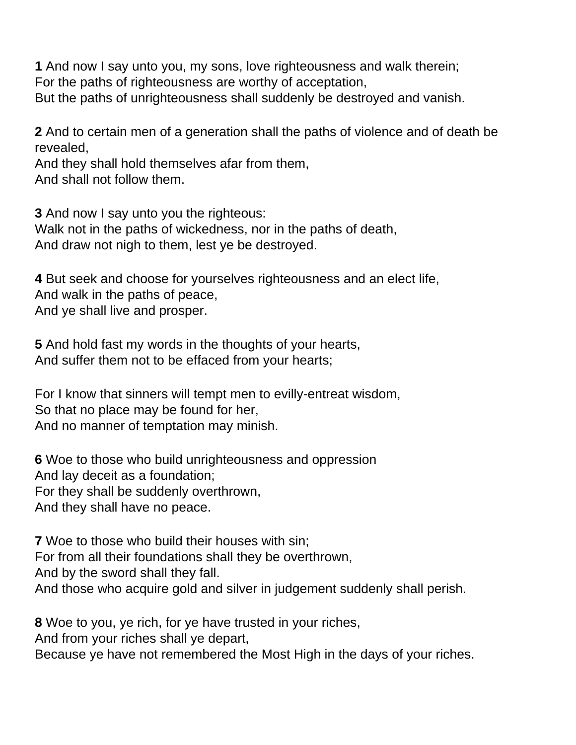**1** And now I say unto you, my sons, love righteousness and walk therein; For the paths of righteousness are worthy of acceptation, But the paths of unrighteousness shall suddenly be destroyed and vanish.

**2** And to certain men of a generation shall the paths of violence and of death be revealed,

And they shall hold themselves afar from them, And shall not follow them.

**3** And now I say unto you the righteous: Walk not in the paths of wickedness, nor in the paths of death, And draw not nigh to them, lest ye be destroyed.

**4** But seek and choose for yourselves righteousness and an elect life, And walk in the paths of peace, And ye shall live and prosper.

**5** And hold fast my words in the thoughts of your hearts, And suffer them not to be effaced from your hearts;

For I know that sinners will tempt men to evilly-entreat wisdom, So that no place may be found for her, And no manner of temptation may minish.

**6** Woe to those who build unrighteousness and oppression And lay deceit as a foundation; For they shall be suddenly overthrown, And they shall have no peace.

**7** Woe to those who build their houses with sin; For from all their foundations shall they be overthrown, And by the sword shall they fall. And those who acquire gold and silver in judgement suddenly shall perish.

**8** Woe to you, ye rich, for ye have trusted in your riches, And from your riches shall ye depart, Because ye have not remembered the Most High in the days of your riches.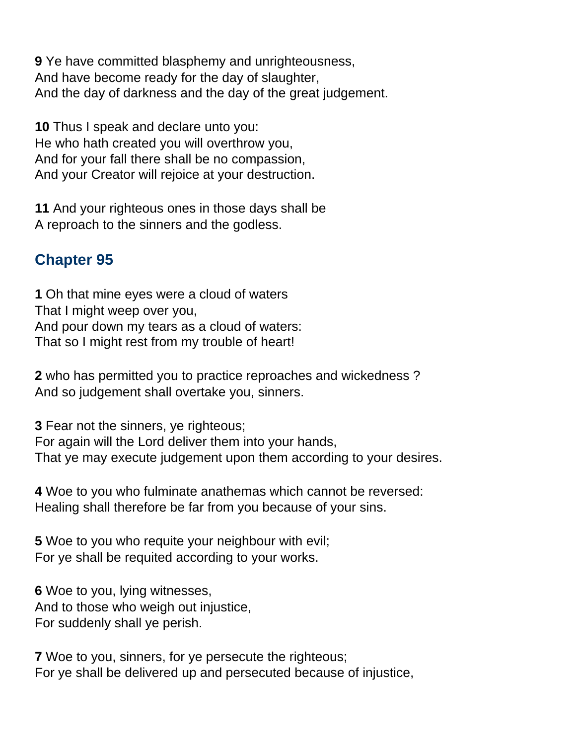**9** Ye have committed blasphemy and unrighteousness, And have become ready for the day of slaughter, And the day of darkness and the day of the great judgement.

**10** Thus I speak and declare unto you: He who hath created you will overthrow you, And for your fall there shall be no compassion, And your Creator will rejoice at your destruction.

**11** And your righteous ones in those days shall be A reproach to the sinners and the godless.

## **Chapter 95**

**1** Oh that mine eyes were a cloud of waters That I might weep over you, And pour down my tears as a cloud of waters: That so I might rest from my trouble of heart!

**2** who has permitted you to practice reproaches and wickedness ? And so judgement shall overtake you, sinners.

**3** Fear not the sinners, ye righteous; For again will the Lord deliver them into your hands, That ye may execute judgement upon them according to your desires.

**4** Woe to you who fulminate anathemas which cannot be reversed: Healing shall therefore be far from you because of your sins.

**5** Woe to you who requite your neighbour with evil; For ye shall be requited according to your works.

**6** Woe to you, lying witnesses, And to those who weigh out injustice, For suddenly shall ye perish.

**7** Woe to you, sinners, for ye persecute the righteous; For ye shall be delivered up and persecuted because of injustice,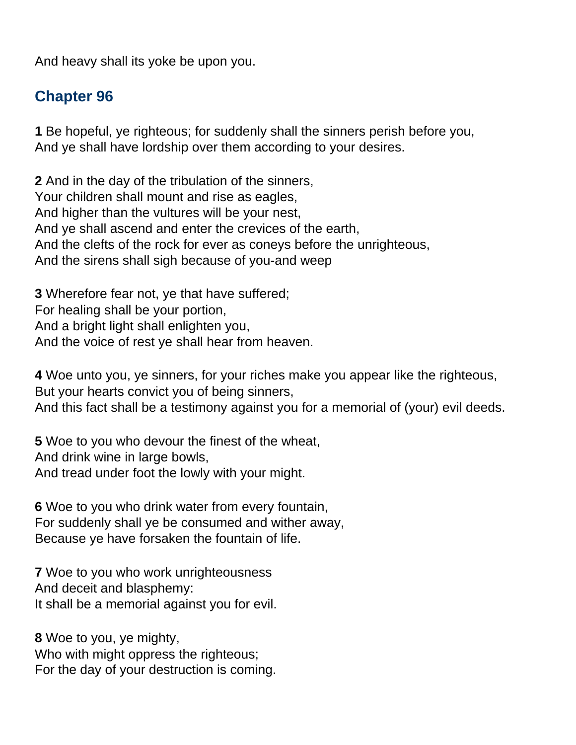And heavy shall its yoke be upon you.

# **Chapter 96**

**1** Be hopeful, ye righteous; for suddenly shall the sinners perish before you, And ye shall have lordship over them according to your desires.

**2** And in the day of the tribulation of the sinners, Your children shall mount and rise as eagles, And higher than the vultures will be your nest, And ye shall ascend and enter the crevices of the earth, And the clefts of the rock for ever as coneys before the unrighteous, And the sirens shall sigh because of you-and weep

**3** Wherefore fear not, ye that have suffered; For healing shall be your portion, And a bright light shall enlighten you, And the voice of rest ye shall hear from heaven.

**4** Woe unto you, ye sinners, for your riches make you appear like the righteous, But your hearts convict you of being sinners, And this fact shall be a testimony against you for a memorial of (your) evil deeds.

**5** Woe to you who devour the finest of the wheat, And drink wine in large bowls, And tread under foot the lowly with your might.

**6** Woe to you who drink water from every fountain, For suddenly shall ye be consumed and wither away, Because ye have forsaken the fountain of life.

**7** Woe to you who work unrighteousness And deceit and blasphemy: It shall be a memorial against you for evil.

**8** Woe to you, ye mighty, Who with might oppress the righteous; For the day of your destruction is coming.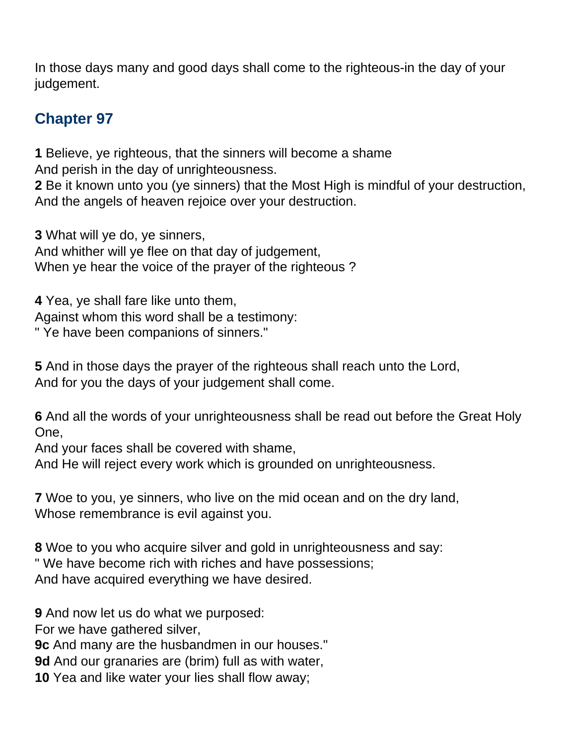In those days many and good days shall come to the righteous-in the day of your judgement.

### **Chapter 97**

**1** Believe, ye righteous, that the sinners will become a shame And perish in the day of unrighteousness.

**2** Be it known unto you (ye sinners) that the Most High is mindful of your destruction, And the angels of heaven rejoice over your destruction.

**3** What will ye do, ye sinners,

And whither will ye flee on that day of judgement, When ye hear the voice of the prayer of the righteous ?

**4** Yea, ye shall fare like unto them, Against whom this word shall be a testimony: " Ye have been companions of sinners."

**5** And in those days the prayer of the righteous shall reach unto the Lord, And for you the days of your judgement shall come.

**6** And all the words of your unrighteousness shall be read out before the Great Holy One,

And your faces shall be covered with shame,

And He will reject every work which is grounded on unrighteousness.

**7** Woe to you, ye sinners, who live on the mid ocean and on the dry land, Whose remembrance is evil against you.

**8** Woe to you who acquire silver and gold in unrighteousness and say: " We have become rich with riches and have possessions; And have acquired everything we have desired.

**9** And now let us do what we purposed:

For we have gathered silver,

**9c** And many are the husbandmen in our houses."

**9d** And our granaries are (brim) full as with water,

**10** Yea and like water your lies shall flow away;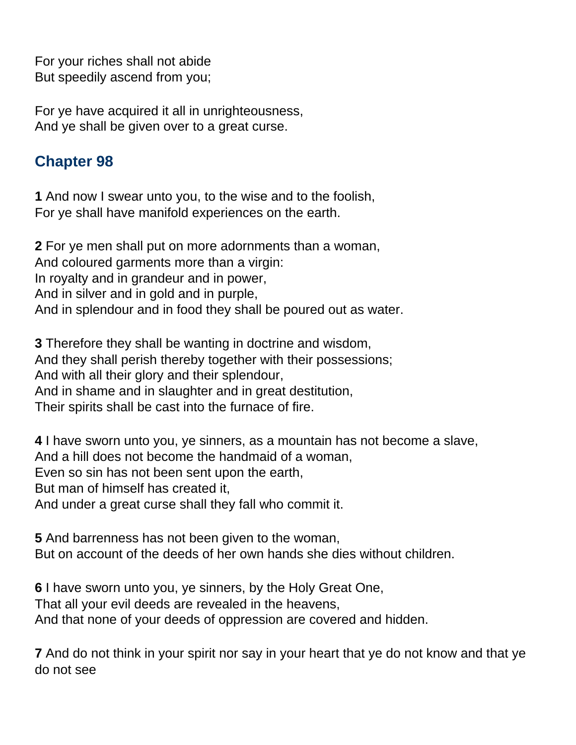For your riches shall not abide But speedily ascend from you;

For ye have acquired it all in unrighteousness, And ye shall be given over to a great curse.

### **Chapter 98**

**1** And now I swear unto you, to the wise and to the foolish, For ye shall have manifold experiences on the earth.

**2** For ye men shall put on more adornments than a woman, And coloured garments more than a virgin: In royalty and in grandeur and in power, And in silver and in gold and in purple, And in splendour and in food they shall be poured out as water.

**3** Therefore they shall be wanting in doctrine and wisdom, And they shall perish thereby together with their possessions; And with all their glory and their splendour, And in shame and in slaughter and in great destitution, Their spirits shall be cast into the furnace of fire.

**4** I have sworn unto you, ye sinners, as a mountain has not become a slave, And a hill does not become the handmaid of a woman, Even so sin has not been sent upon the earth, But man of himself has created it, And under a great curse shall they fall who commit it.

**5** And barrenness has not been given to the woman, But on account of the deeds of her own hands she dies without children.

**6** I have sworn unto you, ye sinners, by the Holy Great One, That all your evil deeds are revealed in the heavens, And that none of your deeds of oppression are covered and hidden.

**7** And do not think in your spirit nor say in your heart that ye do not know and that ye do not see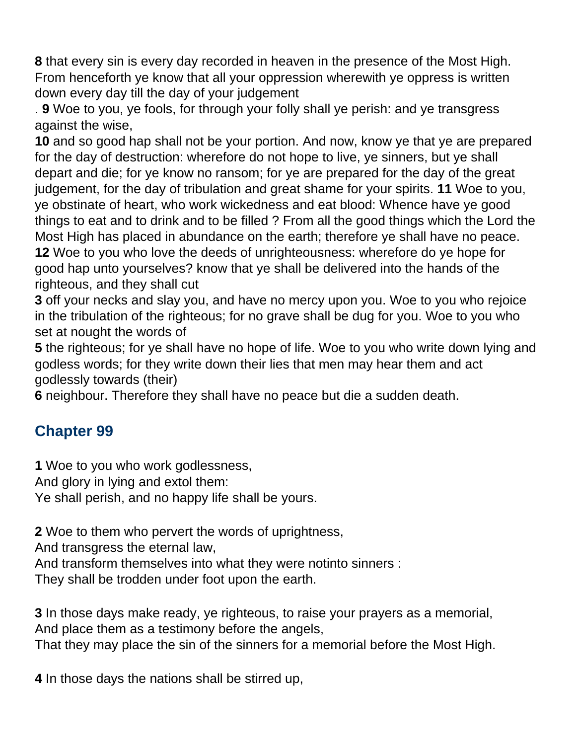**8** that every sin is every day recorded in heaven in the presence of the Most High. From henceforth ye know that all your oppression wherewith ye oppress is written down every day till the day of your judgement

. **9** Woe to you, ye fools, for through your folly shall ye perish: and ye transgress against the wise,

**10** and so good hap shall not be your portion. And now, know ye that ye are prepared for the day of destruction: wherefore do not hope to live, ye sinners, but ye shall depart and die; for ye know no ransom; for ye are prepared for the day of the great judgement, for the day of tribulation and great shame for your spirits. **11** Woe to you, ye obstinate of heart, who work wickedness and eat blood: Whence have ye good things to eat and to drink and to be filled ? From all the good things which the Lord the Most High has placed in abundance on the earth; therefore ye shall have no peace. **12** Woe to you who love the deeds of unrighteousness: wherefore do ye hope for good hap unto yourselves? know that ye shall be delivered into the hands of the righteous, and they shall cut

**3** off your necks and slay you, and have no mercy upon you. Woe to you who rejoice in the tribulation of the righteous; for no grave shall be dug for you. Woe to you who set at nought the words of

**5** the righteous; for ye shall have no hope of life. Woe to you who write down lying and godless words; for they write down their lies that men may hear them and act godlessly towards (their)

**6** neighbour. Therefore they shall have no peace but die a sudden death.

## **Chapter 99**

**1** Woe to you who work godlessness,

And glory in lying and extol them:

Ye shall perish, and no happy life shall be yours.

**2** Woe to them who pervert the words of uprightness,

And transgress the eternal law,

And transform themselves into what they were notinto sinners :

They shall be trodden under foot upon the earth.

**3** In those days make ready, ye righteous, to raise your prayers as a memorial, And place them as a testimony before the angels,

That they may place the sin of the sinners for a memorial before the Most High.

**4** In those days the nations shall be stirred up,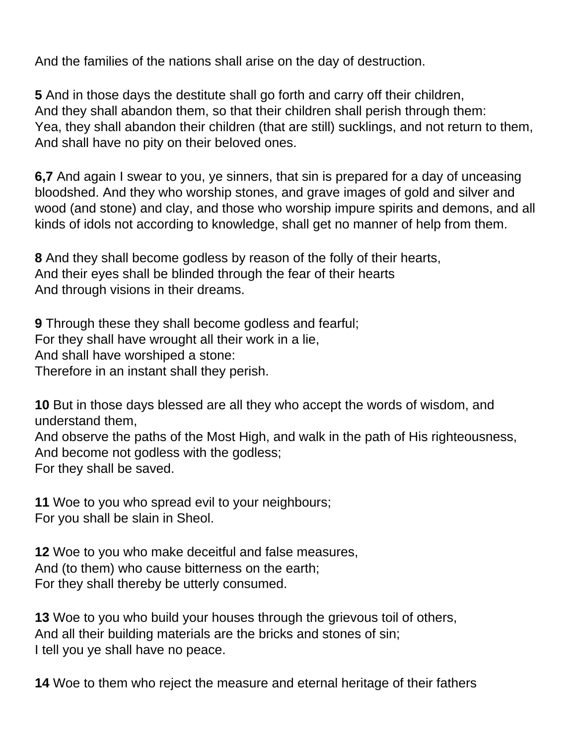And the families of the nations shall arise on the day of destruction.

**5** And in those days the destitute shall go forth and carry off their children, And they shall abandon them, so that their children shall perish through them: Yea, they shall abandon their children (that are still) sucklings, and not return to them, And shall have no pity on their beloved ones.

**6,7** And again I swear to you, ye sinners, that sin is prepared for a day of unceasing bloodshed. And they who worship stones, and grave images of gold and silver and wood (and stone) and clay, and those who worship impure spirits and demons, and all kinds of idols not according to knowledge, shall get no manner of help from them.

**8** And they shall become godless by reason of the folly of their hearts, And their eyes shall be blinded through the fear of their hearts And through visions in their dreams.

**9** Through these they shall become godless and fearful; For they shall have wrought all their work in a lie, And shall have worshiped a stone: Therefore in an instant shall they perish.

**10** But in those days blessed are all they who accept the words of wisdom, and understand them,

And observe the paths of the Most High, and walk in the path of His righteousness, And become not godless with the godless; For they shall be saved.

**11** Woe to you who spread evil to your neighbours; For you shall be slain in Sheol.

**12** Woe to you who make deceitful and false measures, And (to them) who cause bitterness on the earth; For they shall thereby be utterly consumed.

**13** Woe to you who build your houses through the grievous toil of others, And all their building materials are the bricks and stones of sin; I tell you ye shall have no peace.

**14** Woe to them who reject the measure and eternal heritage of their fathers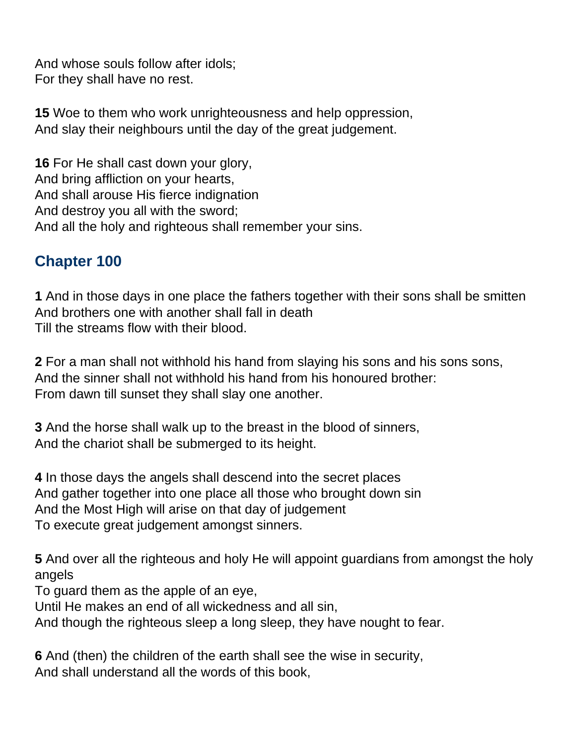And whose souls follow after idols; For they shall have no rest.

**15** Woe to them who work unrighteousness and help oppression, And slay their neighbours until the day of the great judgement.

**16** For He shall cast down your glory, And bring affliction on your hearts, And shall arouse His fierce indignation And destroy you all with the sword; And all the holy and righteous shall remember your sins.

## **Chapter 100**

**1** And in those days in one place the fathers together with their sons shall be smitten And brothers one with another shall fall in death Till the streams flow with their blood.

**2** For a man shall not withhold his hand from slaying his sons and his sons sons, And the sinner shall not withhold his hand from his honoured brother: From dawn till sunset they shall slay one another.

**3** And the horse shall walk up to the breast in the blood of sinners, And the chariot shall be submerged to its height.

**4** In those days the angels shall descend into the secret places And gather together into one place all those who brought down sin And the Most High will arise on that day of judgement To execute great judgement amongst sinners.

**5** And over all the righteous and holy He will appoint guardians from amongst the holy angels

To guard them as the apple of an eye,

Until He makes an end of all wickedness and all sin,

And though the righteous sleep a long sleep, they have nought to fear.

**6** And (then) the children of the earth shall see the wise in security, And shall understand all the words of this book,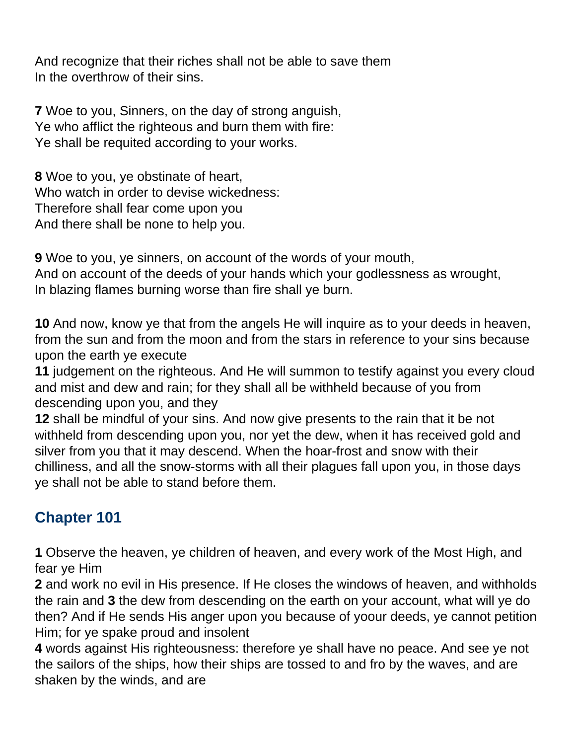And recognize that their riches shall not be able to save them In the overthrow of their sins.

**7** Woe to you, Sinners, on the day of strong anguish, Ye who afflict the righteous and burn them with fire: Ye shall be requited according to your works.

**8** Woe to you, ye obstinate of heart, Who watch in order to devise wickedness: Therefore shall fear come upon you And there shall be none to help you.

**9** Woe to you, ye sinners, on account of the words of your mouth, And on account of the deeds of your hands which your godlessness as wrought, In blazing flames burning worse than fire shall ye burn.

**10** And now, know ye that from the angels He will inquire as to your deeds in heaven, from the sun and from the moon and from the stars in reference to your sins because upon the earth ye execute

**11** judgement on the righteous. And He will summon to testify against you every cloud and mist and dew and rain; for they shall all be withheld because of you from descending upon you, and they

**12** shall be mindful of your sins. And now give presents to the rain that it be not withheld from descending upon you, nor yet the dew, when it has received gold and silver from you that it may descend. When the hoar-frost and snow with their chilliness, and all the snow-storms with all their plagues fall upon you, in those days ye shall not be able to stand before them.

# **Chapter 101**

**1** Observe the heaven, ye children of heaven, and every work of the Most High, and fear ye Him

**2** and work no evil in His presence. If He closes the windows of heaven, and withholds the rain and **3** the dew from descending on the earth on your account, what will ye do then? And if He sends His anger upon you because of yoour deeds, ye cannot petition Him; for ye spake proud and insolent

**4** words against His righteousness: therefore ye shall have no peace. And see ye not the sailors of the ships, how their ships are tossed to and fro by the waves, and are shaken by the winds, and are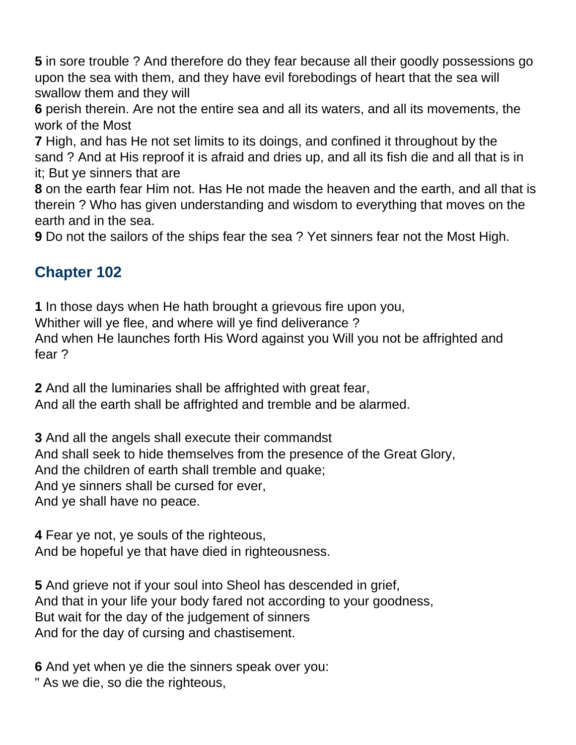**5** in sore trouble ? And therefore do they fear because all their goodly possessions go upon the sea with them, and they have evil forebodings of heart that the sea will swallow them and they will

**6** perish therein. Are not the entire sea and all its waters, and all its movements, the work of the Most

**7** High, and has He not set limits to its doings, and confined it throughout by the sand ? And at His reproof it is afraid and dries up, and all its fish die and all that is in it; But ye sinners that are

**8** on the earth fear Him not. Has He not made the heaven and the earth, and all that is therein ? Who has given understanding and wisdom to everything that moves on the earth and in the sea.

**9** Do not the sailors of the ships fear the sea ? Yet sinners fear not the Most High.

### **Chapter 102**

**1** In those days when He hath brought a grievous fire upon you, Whither will ye flee, and where will ye find deliverance ?

And when He launches forth His Word against you Will you not be affrighted and fear ?

**2** And all the luminaries shall be affrighted with great fear, And all the earth shall be affrighted and tremble and be alarmed.

**3** And all the angels shall execute their commandst And shall seek to hide themselves from the presence of the Great Glory, And the children of earth shall tremble and quake; And ye sinners shall be cursed for ever, And ye shall have no peace.

**4** Fear ye not, ye souls of the righteous, And be hopeful ye that have died in righteousness.

**5** And grieve not if your soul into Sheol has descended in grief, And that in your life your body fared not according to your goodness, But wait for the day of the judgement of sinners And for the day of cursing and chastisement.

**6** And yet when ye die the sinners speak over you: " As we die, so die the righteous,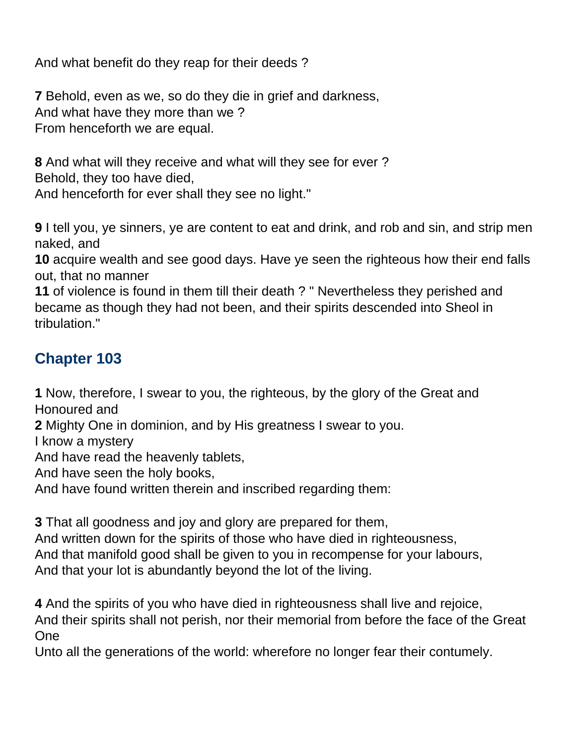And what benefit do they reap for their deeds ?

**7** Behold, even as we, so do they die in grief and darkness, And what have they more than we ? From henceforth we are equal.

**8** And what will they receive and what will they see for ever ?

Behold, they too have died,

And henceforth for ever shall they see no light."

**9** I tell you, ye sinners, ye are content to eat and drink, and rob and sin, and strip men naked, and

**10** acquire wealth and see good days. Have ye seen the righteous how their end falls out, that no manner

**11** of violence is found in them till their death ? " Nevertheless they perished and became as though they had not been, and their spirits descended into Sheol in tribulation."

### **Chapter 103**

**1** Now, therefore, I swear to you, the righteous, by the glory of the Great and Honoured and

**2** Mighty One in dominion, and by His greatness I swear to you.

I know a mystery

And have read the heavenly tablets,

And have seen the holy books,

And have found written therein and inscribed regarding them:

**3** That all goodness and joy and glory are prepared for them,

And written down for the spirits of those who have died in righteousness, And that manifold good shall be given to you in recompense for your labours,

And that your lot is abundantly beyond the lot of the living.

**4** And the spirits of you who have died in righteousness shall live and rejoice, And their spirits shall not perish, nor their memorial from before the face of the Great One

Unto all the generations of the world: wherefore no longer fear their contumely.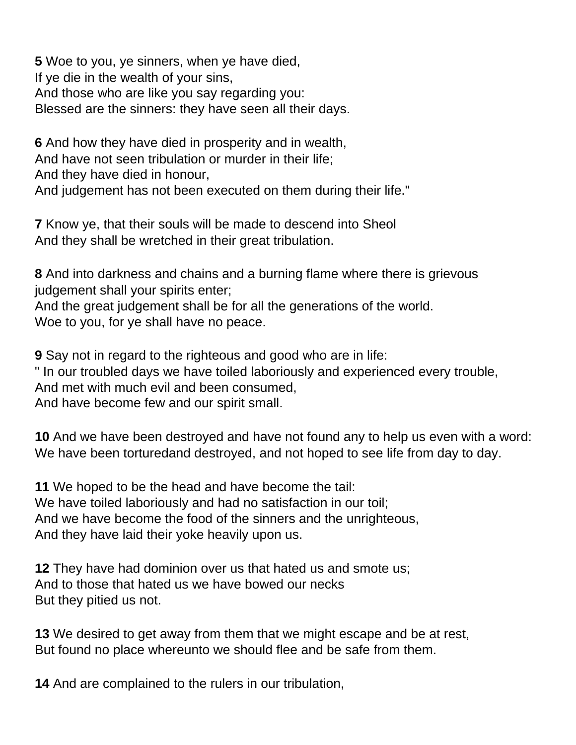**5** Woe to you, ye sinners, when ye have died, If ye die in the wealth of your sins, And those who are like you say regarding you: Blessed are the sinners: they have seen all their days.

**6** And how they have died in prosperity and in wealth, And have not seen tribulation or murder in their life; And they have died in honour, And judgement has not been executed on them during their life."

**7** Know ye, that their souls will be made to descend into Sheol And they shall be wretched in their great tribulation.

**8** And into darkness and chains and a burning flame where there is grievous judgement shall your spirits enter;

And the great judgement shall be for all the generations of the world. Woe to you, for ye shall have no peace.

**9** Say not in regard to the righteous and good who are in life: " In our troubled days we have toiled laboriously and experienced every trouble, And met with much evil and been consumed, And have become few and our spirit small.

**10** And we have been destroyed and have not found any to help us even with a word: We have been torturedand destroyed, and not hoped to see life from day to day.

**11** We hoped to be the head and have become the tail: We have toiled laboriously and had no satisfaction in our toil; And we have become the food of the sinners and the unrighteous, And they have laid their yoke heavily upon us.

**12** They have had dominion over us that hated us and smote us; And to those that hated us we have bowed our necks But they pitied us not.

**13** We desired to get away from them that we might escape and be at rest, But found no place whereunto we should flee and be safe from them.

**14** And are complained to the rulers in our tribulation,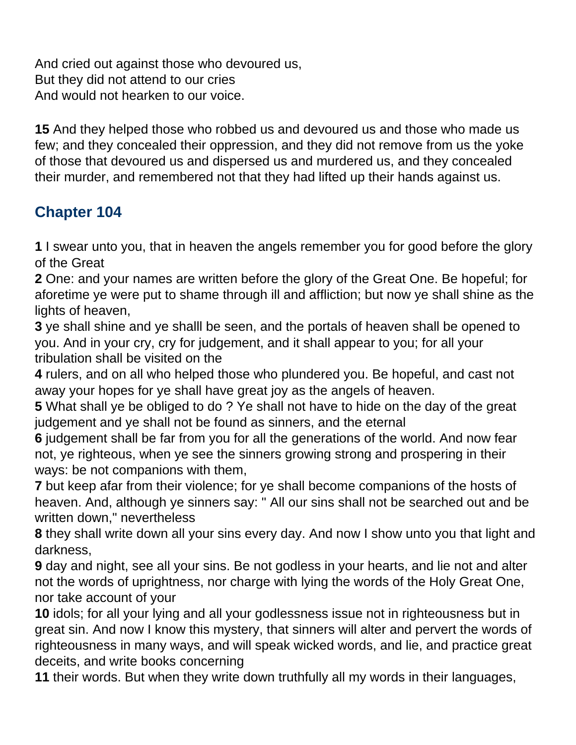And cried out against those who devoured us, But they did not attend to our cries And would not hearken to our voice.

**15** And they helped those who robbed us and devoured us and those who made us few; and they concealed their oppression, and they did not remove from us the yoke of those that devoured us and dispersed us and murdered us, and they concealed their murder, and remembered not that they had lifted up their hands against us.

# **Chapter 104**

**1** I swear unto you, that in heaven the angels remember you for good before the glory of the Great

**2** One: and your names are written before the glory of the Great One. Be hopeful; for aforetime ye were put to shame through ill and affliction; but now ye shall shine as the lights of heaven,

**3** ye shall shine and ye shalll be seen, and the portals of heaven shall be opened to you. And in your cry, cry for judgement, and it shall appear to you; for all your tribulation shall be visited on the

**4** rulers, and on all who helped those who plundered you. Be hopeful, and cast not away your hopes for ye shall have great joy as the angels of heaven.

**5** What shall ye be obliged to do ? Ye shall not have to hide on the day of the great judgement and ye shall not be found as sinners, and the eternal

**6** judgement shall be far from you for all the generations of the world. And now fear not, ye righteous, when ye see the sinners growing strong and prospering in their ways: be not companions with them,

**7** but keep afar from their violence; for ye shall become companions of the hosts of heaven. And, although ye sinners say: " All our sins shall not be searched out and be written down," nevertheless

**8** they shall write down all your sins every day. And now I show unto you that light and darkness,

**9** day and night, see all your sins. Be not godless in your hearts, and lie not and alter not the words of uprightness, nor charge with lying the words of the Holy Great One, nor take account of your

**10** idols; for all your lying and all your godlessness issue not in righteousness but in great sin. And now I know this mystery, that sinners will alter and pervert the words of righteousness in many ways, and will speak wicked words, and lie, and practice great deceits, and write books concerning

**11** their words. But when they write down truthfully all my words in their languages,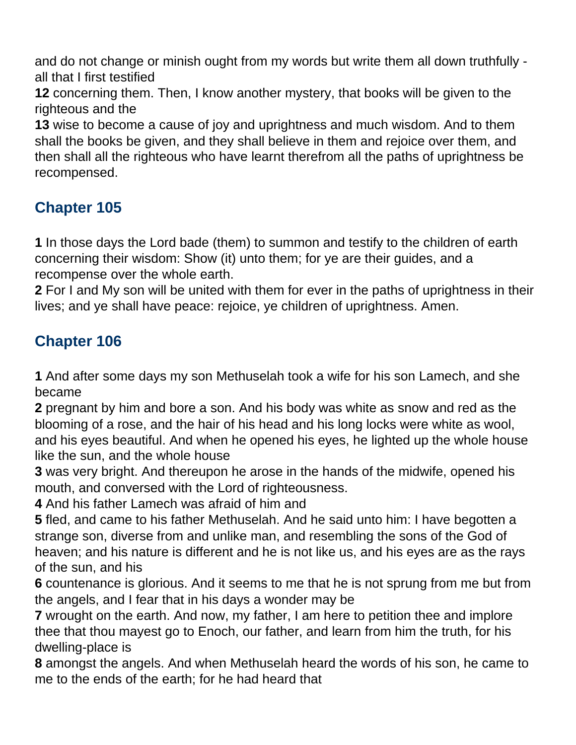and do not change or minish ought from my words but write them all down truthfully all that I first testified

**12** concerning them. Then, I know another mystery, that books will be given to the righteous and the

**13** wise to become a cause of joy and uprightness and much wisdom. And to them shall the books be given, and they shall believe in them and rejoice over them, and then shall all the righteous who have learnt therefrom all the paths of uprightness be recompensed.

### **Chapter 105**

**1** In those days the Lord bade (them) to summon and testify to the children of earth concerning their wisdom: Show (it) unto them; for ye are their guides, and a recompense over the whole earth.

**2** For I and My son will be united with them for ever in the paths of uprightness in their lives; and ye shall have peace: rejoice, ye children of uprightness. Amen.

# **Chapter 106**

**1** And after some days my son Methuselah took a wife for his son Lamech, and she became

**2** pregnant by him and bore a son. And his body was white as snow and red as the blooming of a rose, and the hair of his head and his long locks were white as wool, and his eyes beautiful. And when he opened his eyes, he lighted up the whole house like the sun, and the whole house

**3** was very bright. And thereupon he arose in the hands of the midwife, opened his mouth, and conversed with the Lord of righteousness.

**4** And his father Lamech was afraid of him and

**5** fled, and came to his father Methuselah. And he said unto him: I have begotten a strange son, diverse from and unlike man, and resembling the sons of the God of heaven; and his nature is different and he is not like us, and his eyes are as the rays of the sun, and his

**6** countenance is glorious. And it seems to me that he is not sprung from me but from the angels, and I fear that in his days a wonder may be

**7** wrought on the earth. And now, my father, I am here to petition thee and implore thee that thou mayest go to Enoch, our father, and learn from him the truth, for his dwelling-place is

**8** amongst the angels. And when Methuselah heard the words of his son, he came to me to the ends of the earth; for he had heard that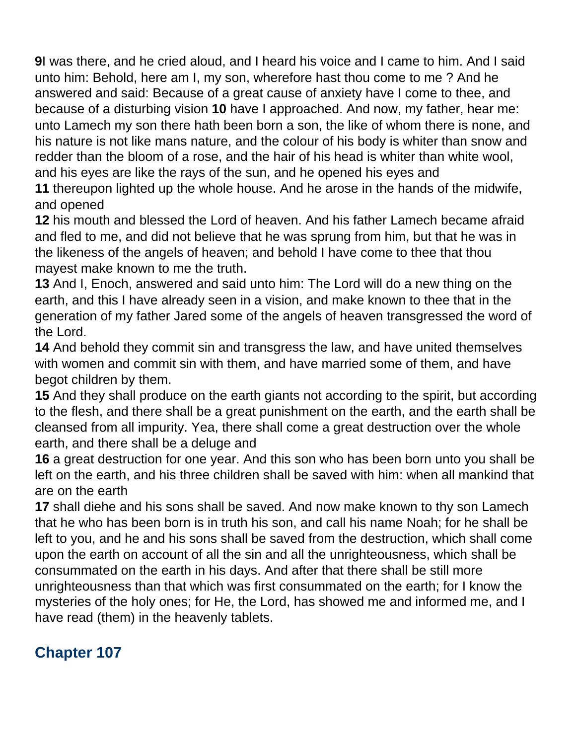**9**I was there, and he cried aloud, and I heard his voice and I came to him. And I said unto him: Behold, here am I, my son, wherefore hast thou come to me ? And he answered and said: Because of a great cause of anxiety have I come to thee, and because of a disturbing vision **10** have I approached. And now, my father, hear me: unto Lamech my son there hath been born a son, the like of whom there is none, and his nature is not like mans nature, and the colour of his body is whiter than snow and redder than the bloom of a rose, and the hair of his head is whiter than white wool, and his eyes are like the rays of the sun, and he opened his eyes and

**11** thereupon lighted up the whole house. And he arose in the hands of the midwife, and opened

**12** his mouth and blessed the Lord of heaven. And his father Lamech became afraid and fled to me, and did not believe that he was sprung from him, but that he was in the likeness of the angels of heaven; and behold I have come to thee that thou mayest make known to me the truth.

**13** And I, Enoch, answered and said unto him: The Lord will do a new thing on the earth, and this I have already seen in a vision, and make known to thee that in the generation of my father Jared some of the angels of heaven transgressed the word of the Lord.

**14** And behold they commit sin and transgress the law, and have united themselves with women and commit sin with them, and have married some of them, and have begot children by them.

**15** And they shall produce on the earth giants not according to the spirit, but according to the flesh, and there shall be a great punishment on the earth, and the earth shall be cleansed from all impurity. Yea, there shall come a great destruction over the whole earth, and there shall be a deluge and

**16** a great destruction for one year. And this son who has been born unto you shall be left on the earth, and his three children shall be saved with him: when all mankind that are on the earth

**17** shall diehe and his sons shall be saved. And now make known to thy son Lamech that he who has been born is in truth his son, and call his name Noah; for he shall be left to you, and he and his sons shall be saved from the destruction, which shall come upon the earth on account of all the sin and all the unrighteousness, which shall be consummated on the earth in his days. And after that there shall be still more unrighteousness than that which was first consummated on the earth; for I know the mysteries of the holy ones; for He, the Lord, has showed me and informed me, and I have read (them) in the heavenly tablets.

## **Chapter 107**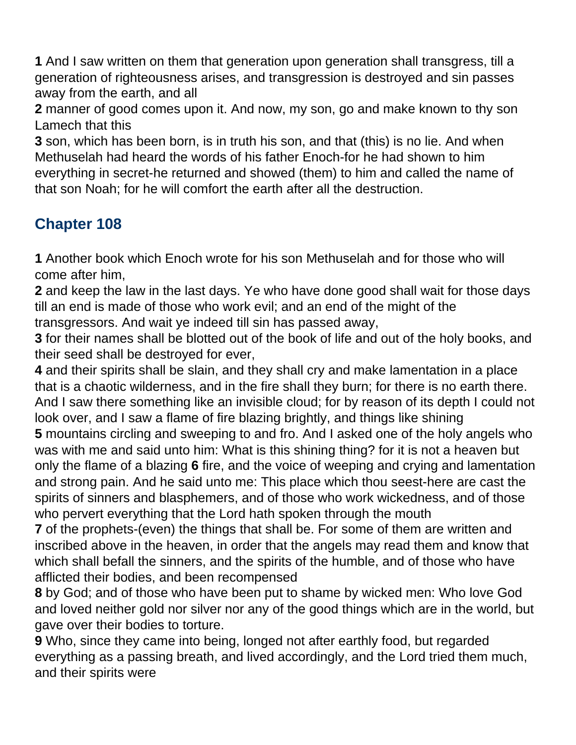**1** And I saw written on them that generation upon generation shall transgress, till a generation of righteousness arises, and transgression is destroyed and sin passes away from the earth, and all

**2** manner of good comes upon it. And now, my son, go and make known to thy son Lamech that this

**3** son, which has been born, is in truth his son, and that (this) is no lie. And when Methuselah had heard the words of his father Enoch-for he had shown to him everything in secret-he returned and showed (them) to him and called the name of that son Noah; for he will comfort the earth after all the destruction.

### **Chapter 108**

**1** Another book which Enoch wrote for his son Methuselah and for those who will come after him,

**2** and keep the law in the last days. Ye who have done good shall wait for those days till an end is made of those who work evil; and an end of the might of the transgressors. And wait ye indeed till sin has passed away,

**3** for their names shall be blotted out of the book of life and out of the holy books, and their seed shall be destroyed for ever,

**4** and their spirits shall be slain, and they shall cry and make lamentation in a place that is a chaotic wilderness, and in the fire shall they burn; for there is no earth there. And I saw there something like an invisible cloud; for by reason of its depth I could not look over, and I saw a flame of fire blazing brightly, and things like shining **5** mountains circling and sweeping to and fro. And I asked one of the holy angels who was with me and said unto him: What is this shining thing? for it is not a heaven but only the flame of a blazing **6** fire, and the voice of weeping and crying and lamentation and strong pain. And he said unto me: This place which thou seest-here are cast the spirits of sinners and blasphemers, and of those who work wickedness, and of those who pervert everything that the Lord hath spoken through the mouth

**7** of the prophets-(even) the things that shall be. For some of them are written and inscribed above in the heaven, in order that the angels may read them and know that which shall befall the sinners, and the spirits of the humble, and of those who have afflicted their bodies, and been recompensed

**8** by God; and of those who have been put to shame by wicked men: Who love God and loved neither gold nor silver nor any of the good things which are in the world, but gave over their bodies to torture.

**9** Who, since they came into being, longed not after earthly food, but regarded everything as a passing breath, and lived accordingly, and the Lord tried them much, and their spirits were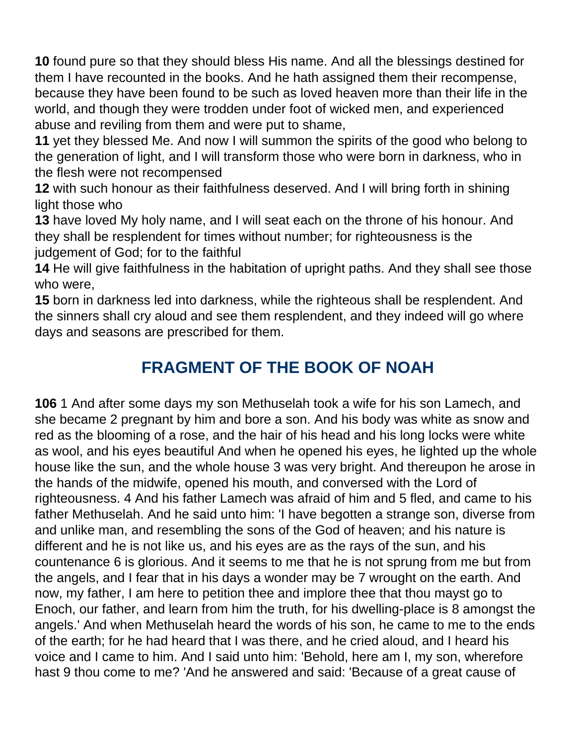**10** found pure so that they should bless His name. And all the blessings destined for them I have recounted in the books. And he hath assigned them their recompense, because they have been found to be such as loved heaven more than their life in the world, and though they were trodden under foot of wicked men, and experienced abuse and reviling from them and were put to shame,

**11** yet they blessed Me. And now I will summon the spirits of the good who belong to the generation of light, and I will transform those who were born in darkness, who in the flesh were not recompensed

**12** with such honour as their faithfulness deserved. And I will bring forth in shining light those who

**13** have loved My holy name, and I will seat each on the throne of his honour. And they shall be resplendent for times without number; for righteousness is the judgement of God; for to the faithful

**14** He will give faithfulness in the habitation of upright paths. And they shall see those who were,

**15** born in darkness led into darkness, while the righteous shall be resplendent. And the sinners shall cry aloud and see them resplendent, and they indeed will go where days and seasons are prescribed for them.

# **FRAGMENT OF THE BOOK OF NOAH**

**106** 1 And after some days my son Methuselah took a wife for his son Lamech, and she became 2 pregnant by him and bore a son. And his body was white as snow and red as the blooming of a rose, and the hair of his head and his long locks were white as wool, and his eyes beautiful And when he opened his eyes, he lighted up the whole house like the sun, and the whole house 3 was very bright. And thereupon he arose in the hands of the midwife, opened his mouth, and conversed with the Lord of righteousness. 4 And his father Lamech was afraid of him and 5 fled, and came to his father Methuselah. And he said unto him: 'I have begotten a strange son, diverse from and unlike man, and resembling the sons of the God of heaven; and his nature is different and he is not like us, and his eyes are as the rays of the sun, and his countenance 6 is glorious. And it seems to me that he is not sprung from me but from the angels, and I fear that in his days a wonder may be 7 wrought on the earth. And now, my father, I am here to petition thee and implore thee that thou mayst go to Enoch, our father, and learn from him the truth, for his dwelling-place is 8 amongst the angels.' And when Methuselah heard the words of his son, he came to me to the ends of the earth; for he had heard that I was there, and he cried aloud, and I heard his voice and I came to him. And I said unto him: 'Behold, here am I, my son, wherefore hast 9 thou come to me? 'And he answered and said: 'Because of a great cause of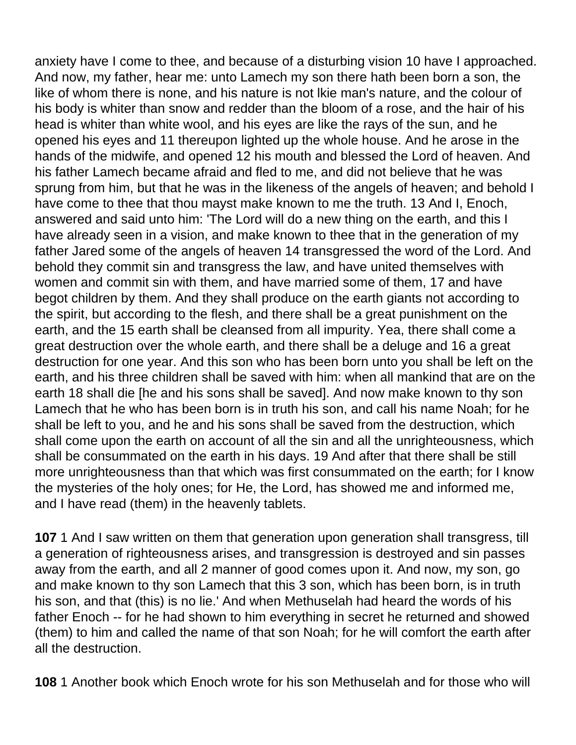anxiety have I come to thee, and because of a disturbing vision 10 have I approached. And now, my father, hear me: unto Lamech my son there hath been born a son, the like of whom there is none, and his nature is not lkie man's nature, and the colour of his body is whiter than snow and redder than the bloom of a rose, and the hair of his head is whiter than white wool, and his eyes are like the rays of the sun, and he opened his eyes and 11 thereupon lighted up the whole house. And he arose in the hands of the midwife, and opened 12 his mouth and blessed the Lord of heaven. And his father Lamech became afraid and fled to me, and did not believe that he was sprung from him, but that he was in the likeness of the angels of heaven; and behold I have come to thee that thou mayst make known to me the truth. 13 And I, Enoch, answered and said unto him: 'The Lord will do a new thing on the earth, and this I have already seen in a vision, and make known to thee that in the generation of my father Jared some of the angels of heaven 14 transgressed the word of the Lord. And behold they commit sin and transgress the law, and have united themselves with women and commit sin with them, and have married some of them, 17 and have begot children by them. And they shall produce on the earth giants not according to the spirit, but according to the flesh, and there shall be a great punishment on the earth, and the 15 earth shall be cleansed from all impurity. Yea, there shall come a great destruction over the whole earth, and there shall be a deluge and 16 a great destruction for one year. And this son who has been born unto you shall be left on the earth, and his three children shall be saved with him: when all mankind that are on the earth 18 shall die [he and his sons shall be saved]. And now make known to thy son Lamech that he who has been born is in truth his son, and call his name Noah; for he shall be left to you, and he and his sons shall be saved from the destruction, which shall come upon the earth on account of all the sin and all the unrighteousness, which shall be consummated on the earth in his days. 19 And after that there shall be still more unrighteousness than that which was first consummated on the earth; for I know the mysteries of the holy ones; for He, the Lord, has showed me and informed me, and I have read (them) in the heavenly tablets.

**107** 1 And I saw written on them that generation upon generation shall transgress, till a generation of righteousness arises, and transgression is destroyed and sin passes away from the earth, and all 2 manner of good comes upon it. And now, my son, go and make known to thy son Lamech that this 3 son, which has been born, is in truth his son, and that (this) is no lie.' And when Methuselah had heard the words of his father Enoch -- for he had shown to him everything in secret he returned and showed (them) to him and called the name of that son Noah; for he will comfort the earth after all the destruction.

**108** 1 Another book which Enoch wrote for his son Methuselah and for those who will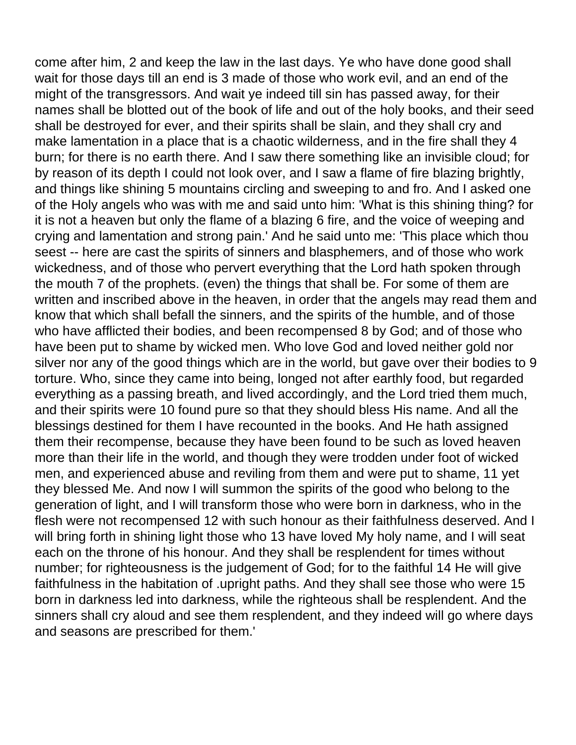come after him, 2 and keep the law in the last days. Ye who have done good shall wait for those days till an end is 3 made of those who work evil, and an end of the might of the transgressors. And wait ye indeed till sin has passed away, for their names shall be blotted out of the book of life and out of the holy books, and their seed shall be destroyed for ever, and their spirits shall be slain, and they shall cry and make lamentation in a place that is a chaotic wilderness, and in the fire shall they 4 burn; for there is no earth there. And I saw there something like an invisible cloud; for by reason of its depth I could not look over, and I saw a flame of fire blazing brightly, and things like shining 5 mountains circling and sweeping to and fro. And I asked one of the Holy angels who was with me and said unto him: 'What is this shining thing? for it is not a heaven but only the flame of a blazing 6 fire, and the voice of weeping and crying and lamentation and strong pain.' And he said unto me: 'This place which thou seest -- here are cast the spirits of sinners and blasphemers, and of those who work wickedness, and of those who pervert everything that the Lord hath spoken through the mouth 7 of the prophets. (even) the things that shall be. For some of them are written and inscribed above in the heaven, in order that the angels may read them and know that which shall befall the sinners, and the spirits of the humble, and of those who have afflicted their bodies, and been recompensed 8 by God; and of those who have been put to shame by wicked men. Who love God and loved neither gold nor silver nor any of the good things which are in the world, but gave over their bodies to 9 torture. Who, since they came into being, longed not after earthly food, but regarded everything as a passing breath, and lived accordingly, and the Lord tried them much, and their spirits were 10 found pure so that they should bless His name. And all the blessings destined for them I have recounted in the books. And He hath assigned them their recompense, because they have been found to be such as loved heaven more than their life in the world, and though they were trodden under foot of wicked men, and experienced abuse and reviling from them and were put to shame, 11 yet they blessed Me. And now I will summon the spirits of the good who belong to the generation of light, and I will transform those who were born in darkness, who in the flesh were not recompensed 12 with such honour as their faithfulness deserved. And I will bring forth in shining light those who 13 have loved My holy name, and I will seat each on the throne of his honour. And they shall be resplendent for times without number; for righteousness is the judgement of God; for to the faithful 14 He will give faithfulness in the habitation of .upright paths. And they shall see those who were 15 born in darkness led into darkness, while the righteous shall be resplendent. And the sinners shall cry aloud and see them resplendent, and they indeed will go where days and seasons are prescribed for them.'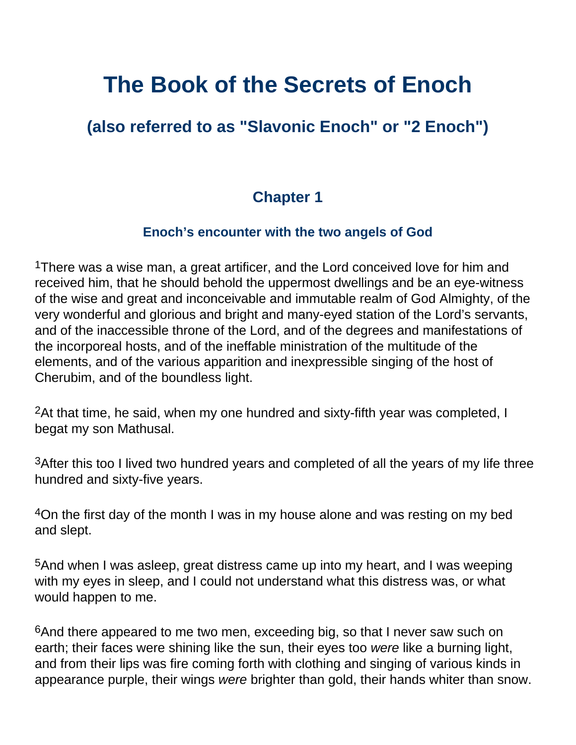# **The Book of the Secrets of Enoch**

## **(also referred to as "Slavonic Enoch" or "2 Enoch")**

### **Chapter 1**

#### **Enoch's encounter with the two angels of God**

1There was a wise man, a great artificer, and the Lord conceived love for him and received him, that he should behold the uppermost dwellings and be an eye-witness of the wise and great and inconceivable and immutable realm of God Almighty, of the very wonderful and glorious and bright and many-eyed station of the Lord's servants, and of the inaccessible throne of the Lord, and of the degrees and manifestations of the incorporeal hosts, and of the ineffable ministration of the multitude of the elements, and of the various apparition and inexpressible singing of the host of Cherubim, and of the boundless light.

2At that time, he said, when my one hundred and sixty-fifth year was completed, I begat my son Mathusal.

<sup>3</sup> After this too I lived two hundred years and completed of all the years of my life three hundred and sixty-five years.

4On the first day of the month I was in my house alone and was resting on my bed and slept.

5And when I was asleep, great distress came up into my heart, and I was weeping with my eyes in sleep, and I could not understand what this distress was, or what would happen to me.

<sup>6</sup>And there appeared to me two men, exceeding big, so that I never saw such on earth; their faces were shining like the sun, their eyes too *were* like a burning light, and from their lips was fire coming forth with clothing and singing of various kinds in appearance purple, their wings *were* brighter than gold, their hands whiter than snow.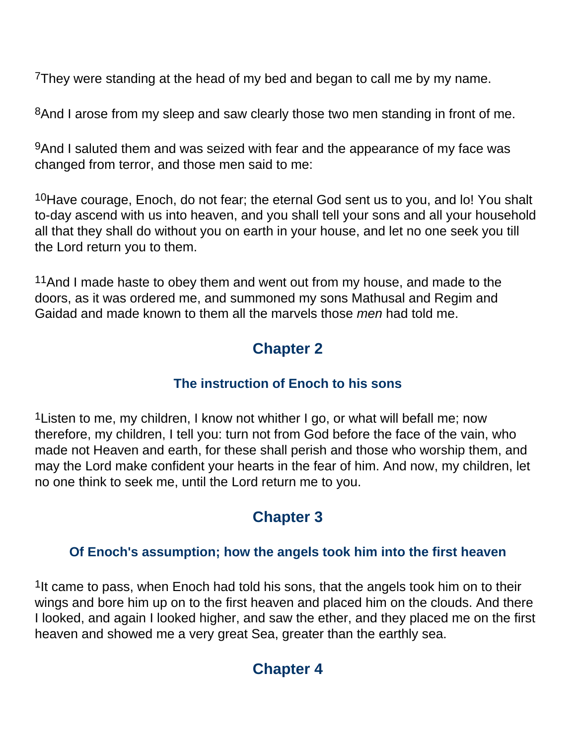<sup>7</sup>They were standing at the head of my bed and began to call me by my name.

8And I arose from my sleep and saw clearly those two men standing in front of me.

9And I saluted them and was seized with fear and the appearance of my face was changed from terror, and those men said to me:

<sup>10</sup>Have courage, Enoch, do not fear; the eternal God sent us to you, and lo! You shalt to-day ascend with us into heaven, and you shall tell your sons and all your household all that they shall do without you on earth in your house, and let no one seek you till the Lord return you to them.

<sup>11</sup>And I made haste to obey them and went out from my house, and made to the doors, as it was ordered me, and summoned my sons Mathusal and Regim and Gaidad and made known to them all the marvels those *men* had told me.

# **Chapter 2**

#### **The instruction of Enoch to his sons**

1Listen to me, my children, I know not whither I go, or what will befall me; now therefore, my children, I tell you: turn not from God before the face of the vain, who made not Heaven and earth, for these shall perish and those who worship them, and may the Lord make confident your hearts in the fear of him. And now, my children, let no one think to seek me, until the Lord return me to you.

# **Chapter 3**

#### **Of Enoch's assumption; how the angels took him into the first heaven**

<sup>1</sup>It came to pass, when Enoch had told his sons, that the angels took him on to their wings and bore him up on to the first heaven and placed him on the clouds. And there I looked, and again I looked higher, and saw the ether, and they placed me on the first heaven and showed me a very great Sea, greater than the earthly sea.

### **Chapter 4**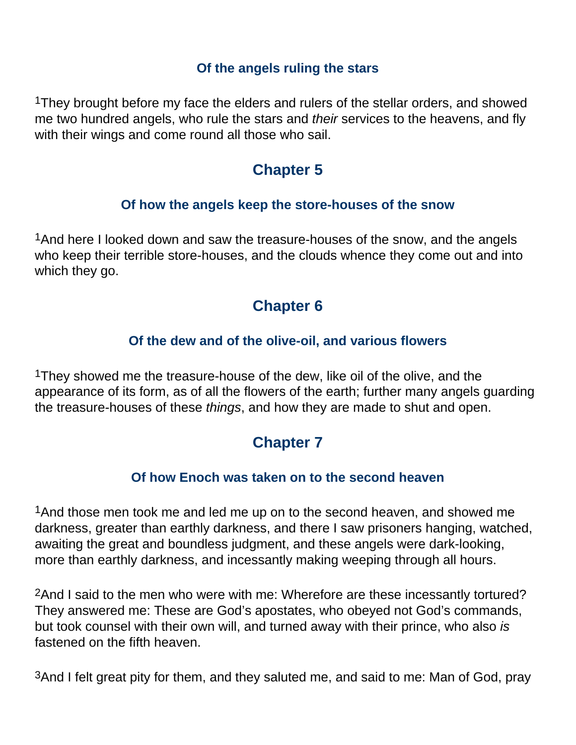#### **Of the angels ruling the stars**

1They brought before my face the elders and rulers of the stellar orders, and showed me two hundred angels, who rule the stars and *their* services to the heavens, and fly with their wings and come round all those who sail.

### **Chapter 5**

#### **Of how the angels keep the store-houses of the snow**

<sup>1</sup> And here I looked down and saw the treasure-houses of the snow, and the angels who keep their terrible store-houses, and the clouds whence they come out and into which they go.

### **Chapter 6**

#### **Of the dew and of the olive-oil, and various flowers**

1They showed me the treasure-house of the dew, like oil of the olive, and the appearance of its form, as of all the flowers of the earth; further many angels guarding the treasure-houses of these *things*, and how they are made to shut and open.

### **Chapter 7**

#### **Of how Enoch was taken on to the second heaven**

1And those men took me and led me up on to the second heaven, and showed me darkness, greater than earthly darkness, and there I saw prisoners hanging, watched, awaiting the great and boundless judgment, and these angels were dark-looking, more than earthly darkness, and incessantly making weeping through all hours.

2And I said to the men who were with me: Wherefore are these incessantly tortured? They answered me: These are God's apostates, who obeyed not God's commands, but took counsel with their own will, and turned away with their prince, who also *is* fastened on the fifth heaven.

<sup>3</sup>And I felt great pity for them, and they saluted me, and said to me: Man of God, pray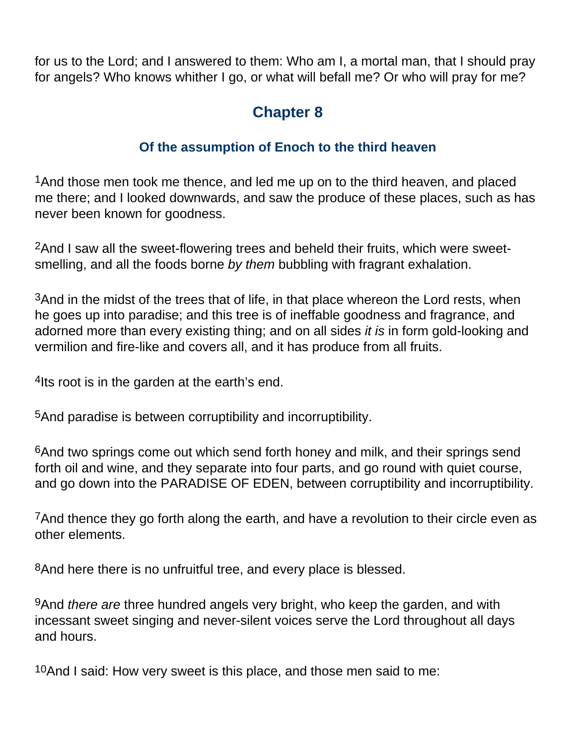for us to the Lord; and I answered to them: Who am I, a mortal man, that I should pray for angels? Who knows whither I go, or what will befall me? Or who will pray for me?

# **Chapter 8**

### **Of the assumption of Enoch to the third heaven**

<sup>1</sup> And those men took me thence, and led me up on to the third heaven, and placed me there; and I looked downwards, and saw the produce of these places, such as has never been known for goodness.

2And I saw all the sweet-flowering trees and beheld their fruits, which were sweetsmelling, and all the foods borne *by them* bubbling with fragrant exhalation.

<sup>3</sup>And in the midst of the trees that of life, in that place whereon the Lord rests, when he goes up into paradise; and this tree is of ineffable goodness and fragrance, and adorned more than every existing thing; and on all sides *it is* in form gold-looking and vermilion and fire-like and covers all, and it has produce from all fruits.

4Its root is in the garden at the earth's end.

5And paradise is between corruptibility and incorruptibility.

<sup>6</sup>And two springs come out which send forth honey and milk, and their springs send forth oil and wine, and they separate into four parts, and go round with quiet course, and go down into the PARADISE OF EDEN, between corruptibility and incorruptibility.

<sup>7</sup>And thence they go forth along the earth, and have a revolution to their circle even as other elements.

<sup>8</sup>And here there is no unfruitful tree, and every place is blessed.

9And *there are* three hundred angels very bright, who keep the garden, and with incessant sweet singing and never-silent voices serve the Lord throughout all days and hours.

10And I said: How very sweet is this place, and those men said to me: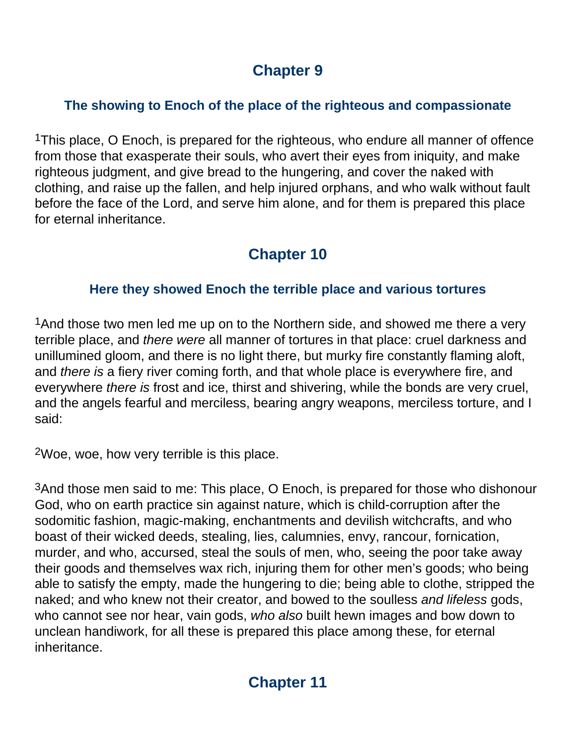# **Chapter 9**

#### **The showing to Enoch of the place of the righteous and compassionate**

1This place, O Enoch, is prepared for the righteous, who endure all manner of offence from those that exasperate their souls, who avert their eyes from iniquity, and make righteous judgment, and give bread to the hungering, and cover the naked with clothing, and raise up the fallen, and help injured orphans, and who walk without fault before the face of the Lord, and serve him alone, and for them is prepared this place for eternal inheritance.

# **Chapter 10**

#### **Here they showed Enoch the terrible place and various tortures**

<sup>1</sup> And those two men led me up on to the Northern side, and showed me there a very terrible place, and *there were* all manner of tortures in that place: cruel darkness and unillumined gloom, and there is no light there, but murky fire constantly flaming aloft, and *there is* a fiery river coming forth, and that whole place is everywhere fire, and everywhere *there is* frost and ice, thirst and shivering, while the bonds are very cruel, and the angels fearful and merciless, bearing angry weapons, merciless torture, and I said:

2Woe, woe, how very terrible is this place.

3And those men said to me: This place, O Enoch, is prepared for those who dishonour God, who on earth practice sin against nature, which is child-corruption after the sodomitic fashion, magic-making, enchantments and devilish witchcrafts, and who boast of their wicked deeds, stealing, lies, calumnies, envy, rancour, fornication, murder, and who, accursed, steal the souls of men, who, seeing the poor take away their goods and themselves wax rich, injuring them for other men's goods; who being able to satisfy the empty, made the hungering to die; being able to clothe, stripped the naked; and who knew not their creator, and bowed to the soulless *and lifeless* gods, who cannot see nor hear, vain gods, *who also* built hewn images and bow down to unclean handiwork, for all these is prepared this place among these, for eternal inheritance.

### **Chapter 11**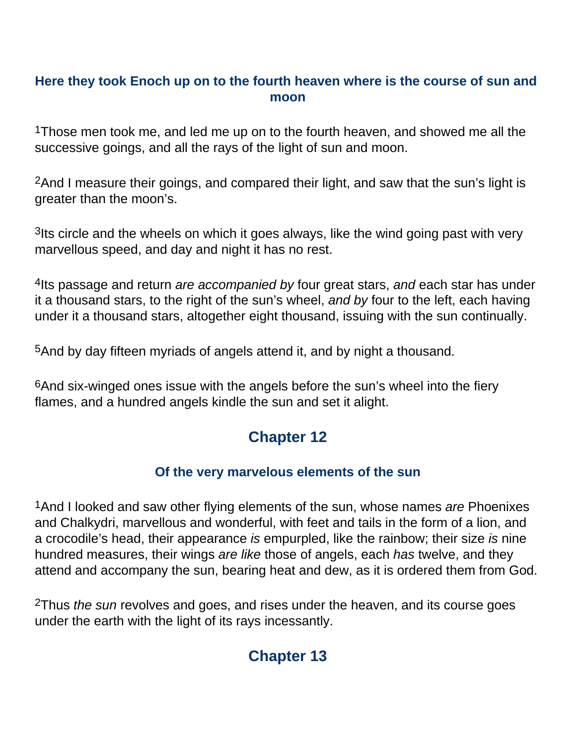#### **Here they took Enoch up on to the fourth heaven where is the course of sun and moon**

<sup>1</sup>Those men took me, and led me up on to the fourth heaven, and showed me all the successive goings, and all the rays of the light of sun and moon.

2And I measure their goings, and compared their light, and saw that the sun's light is greater than the moon's.

<sup>3</sup> Its circle and the wheels on which it goes always, like the wind going past with very marvellous speed, and day and night it has no rest.

4Its passage and return *are accompanied by* four great stars, *and* each star has under it a thousand stars, to the right of the sun's wheel, *and by* four to the left, each having under it a thousand stars, altogether eight thousand, issuing with the sun continually.

5And by day fifteen myriads of angels attend it, and by night a thousand.

<sup>6</sup>And six-winged ones issue with the angels before the sun's wheel into the fiery flames, and a hundred angels kindle the sun and set it alight.

## **Chapter 12**

#### **Of the very marvelous elements of the sun**

1And I looked and saw other flying elements of the sun, whose names *are* Phoenixes and Chalkydri, marvellous and wonderful, with feet and tails in the form of a lion, and a crocodile's head, their appearance *is* empurpled, like the rainbow; their size *is* nine hundred measures, their wings *are like* those of angels, each *has* twelve, and they attend and accompany the sun, bearing heat and dew, as it is ordered them from God.

2Thus *the sun* revolves and goes, and rises under the heaven, and its course goes under the earth with the light of its rays incessantly.

## **Chapter 13**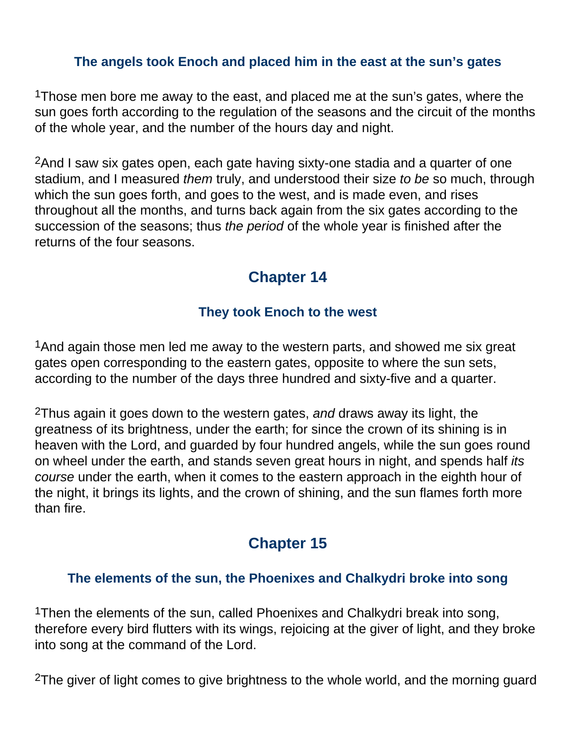#### **The angels took Enoch and placed him in the east at the sun's gates**

<sup>1</sup>Those men bore me away to the east, and placed me at the sun's gates, where the sun goes forth according to the regulation of the seasons and the circuit of the months of the whole year, and the number of the hours day and night.

2And I saw six gates open, each gate having sixty-one stadia and a quarter of one stadium, and I measured *them* truly, and understood their size *to be* so much, through which the sun goes forth, and goes to the west, and is made even, and rises throughout all the months, and turns back again from the six gates according to the succession of the seasons; thus *the period* of the whole year is finished after the returns of the four seasons.

# **Chapter 14**

#### **They took Enoch to the west**

<sup>1</sup> And again those men led me away to the western parts, and showed me six great gates open corresponding to the eastern gates, opposite to where the sun sets, according to the number of the days three hundred and sixty-five and a quarter.

2Thus again it goes down to the western gates, *and* draws away its light, the greatness of its brightness, under the earth; for since the crown of its shining is in heaven with the Lord, and guarded by four hundred angels, while the sun goes round on wheel under the earth, and stands seven great hours in night, and spends half *its course* under the earth, when it comes to the eastern approach in the eighth hour of the night, it brings its lights, and the crown of shining, and the sun flames forth more than fire.

## **Chapter 15**

#### **The elements of the sun, the Phoenixes and Chalkydri broke into song**

1Then the elements of the sun, called Phoenixes and Chalkydri break into song, therefore every bird flutters with its wings, rejoicing at the giver of light, and they broke into song at the command of the Lord.

<sup>2</sup>The giver of light comes to give brightness to the whole world, and the morning guard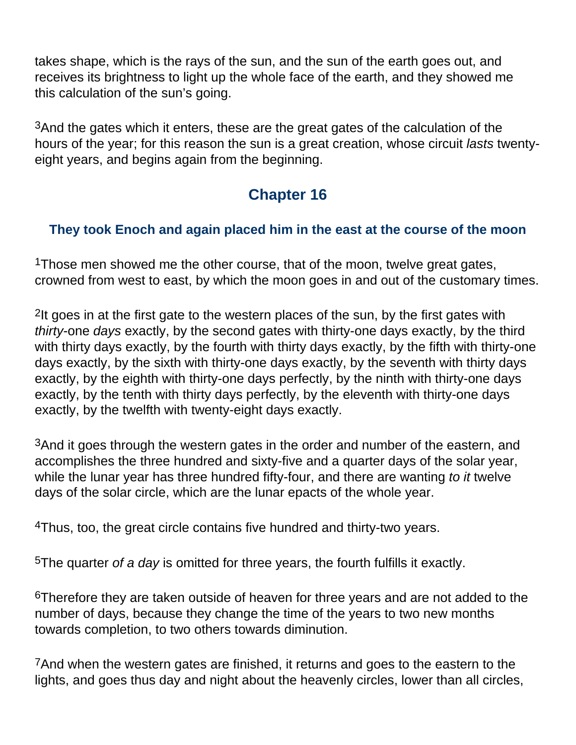takes shape, which is the rays of the sun, and the sun of the earth goes out, and receives its brightness to light up the whole face of the earth, and they showed me this calculation of the sun's going.

3And the gates which it enters, these are the great gates of the calculation of the hours of the year; for this reason the sun is a great creation, whose circuit *lasts* twentyeight years, and begins again from the beginning.

# **Chapter 16**

#### **They took Enoch and again placed him in the east at the course of the moon**

1Those men showed me the other course, that of the moon, twelve great gates, crowned from west to east, by which the moon goes in and out of the customary times.

<sup>2</sup>It goes in at the first gate to the western places of the sun, by the first gates with *thirty*-one *days* exactly, by the second gates with thirty-one days exactly, by the third with thirty days exactly, by the fourth with thirty days exactly, by the fifth with thirty-one days exactly, by the sixth with thirty-one days exactly, by the seventh with thirty days exactly, by the eighth with thirty-one days perfectly, by the ninth with thirty-one days exactly, by the tenth with thirty days perfectly, by the eleventh with thirty-one days exactly, by the twelfth with twenty-eight days exactly.

<sup>3</sup>And it goes through the western gates in the order and number of the eastern, and accomplishes the three hundred and sixty-five and a quarter days of the solar year, while the lunar year has three hundred fifty-four, and there are wanting *to it* twelve days of the solar circle, which are the lunar epacts of the whole year.

<sup>4</sup>Thus, too, the great circle contains five hundred and thirty-two years.

5The quarter *of a day* is omitted for three years, the fourth fulfills it exactly.

<sup>6</sup>Therefore they are taken outside of heaven for three years and are not added to the number of days, because they change the time of the years to two new months towards completion, to two others towards diminution.

<sup>7</sup> And when the western gates are finished, it returns and goes to the eastern to the lights, and goes thus day and night about the heavenly circles, lower than all circles,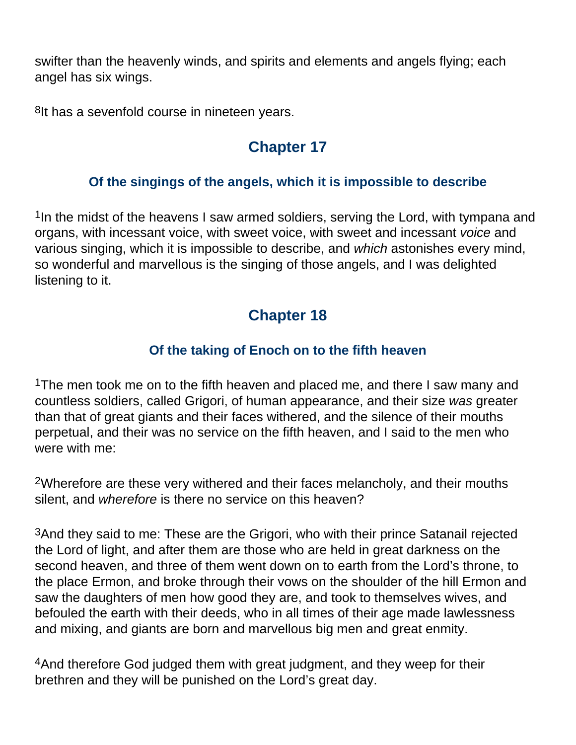swifter than the heavenly winds, and spirits and elements and angels flying; each angel has six wings.

<sup>8</sup>It has a sevenfold course in nineteen years.

# **Chapter 17**

### **Of the singings of the angels, which it is impossible to describe**

<sup>1</sup>In the midst of the heavens I saw armed soldiers, serving the Lord, with tympana and organs, with incessant voice, with sweet voice, with sweet and incessant *voice* and various singing, which it is impossible to describe, and *which* astonishes every mind, so wonderful and marvellous is the singing of those angels, and I was delighted listening to it.

# **Chapter 18**

### **Of the taking of Enoch on to the fifth heaven**

<sup>1</sup>The men took me on to the fifth heaven and placed me, and there I saw many and countless soldiers, called Grigori, of human appearance, and their size *was* greater than that of great giants and their faces withered, and the silence of their mouths perpetual, and their was no service on the fifth heaven, and I said to the men who were with me:

2Wherefore are these very withered and their faces melancholy, and their mouths silent, and *wherefore* is there no service on this heaven?

3And they said to me: These are the Grigori, who with their prince Satanail rejected the Lord of light, and after them are those who are held in great darkness on the second heaven, and three of them went down on to earth from the Lord's throne, to the place Ermon, and broke through their vows on the shoulder of the hill Ermon and saw the daughters of men how good they are, and took to themselves wives, and befouled the earth with their deeds, who in all times of their age made lawlessness and mixing, and giants are born and marvellous big men and great enmity.

<sup>4</sup>And therefore God judged them with great judgment, and they weep for their brethren and they will be punished on the Lord's great day.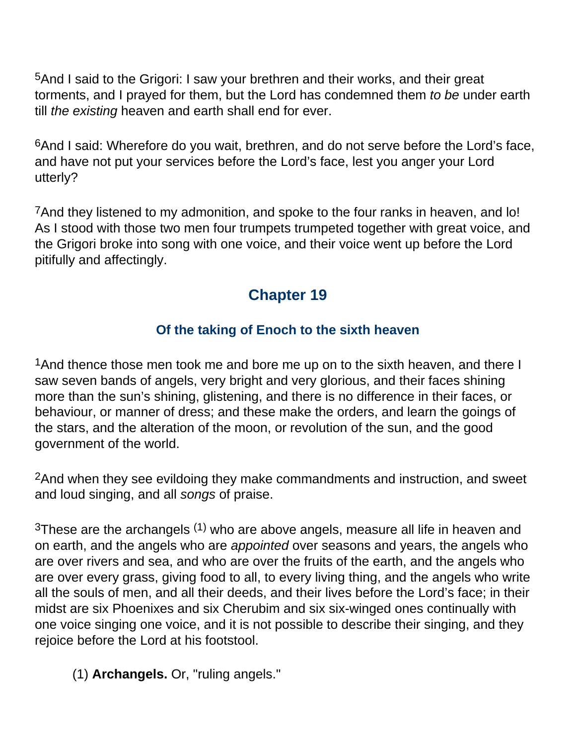5And I said to the Grigori: I saw your brethren and their works, and their great torments, and I prayed for them, but the Lord has condemned them *to be* under earth till *the existing* heaven and earth shall end for ever.

6And I said: Wherefore do you wait, brethren, and do not serve before the Lord's face, and have not put your services before the Lord's face, lest you anger your Lord utterly?

7And they listened to my admonition, and spoke to the four ranks in heaven, and lo! As I stood with those two men four trumpets trumpeted together with great voice, and the Grigori broke into song with one voice, and their voice went up before the Lord pitifully and affectingly.

## **Chapter 19**

### **Of the taking of Enoch to the sixth heaven**

<sup>1</sup> And thence those men took me and bore me up on to the sixth heaven, and there I saw seven bands of angels, very bright and very glorious, and their faces shining more than the sun's shining, glistening, and there is no difference in their faces, or behaviour, or manner of dress; and these make the orders, and learn the goings of the stars, and the alteration of the moon, or revolution of the sun, and the good government of the world.

2And when they see evildoing they make commandments and instruction, and sweet and loud singing, and all *songs* of praise.

 $3$ These are the archangels  $(1)$  who are above angels, measure all life in heaven and on earth, and the angels who are *appointed* over seasons and years, the angels who are over rivers and sea, and who are over the fruits of the earth, and the angels who are over every grass, giving food to all, to every living thing, and the angels who write all the souls of men, and all their deeds, and their lives before the Lord's face; in their midst are six Phoenixes and six Cherubim and six six-winged ones continually with one voice singing one voice, and it is not possible to describe their singing, and they rejoice before the Lord at his footstool.

(1) **Archangels.** Or, "ruling angels."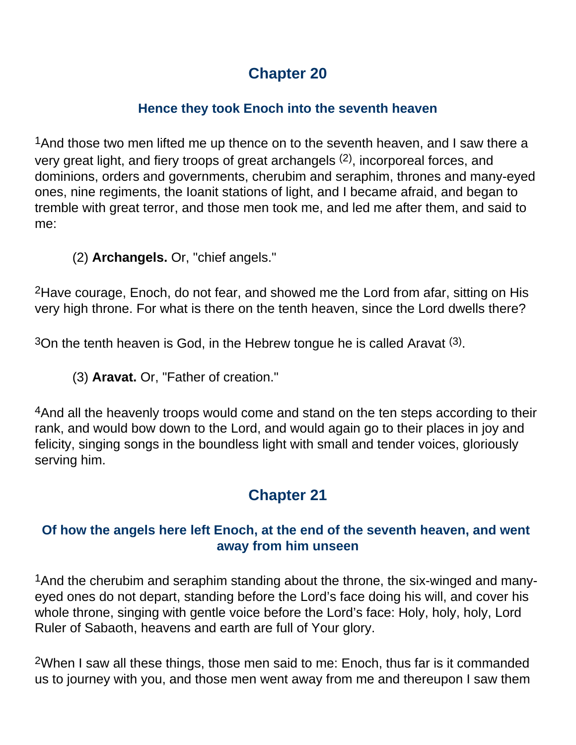# **Chapter 20**

### **Hence they took Enoch into the seventh heaven**

<sup>1</sup> And those two men lifted me up thence on to the seventh heaven, and I saw there a very great light, and fiery troops of great archangels (2), incorporeal forces, and dominions, orders and governments, cherubim and seraphim, thrones and many-eyed ones, nine regiments, the Ioanit stations of light, and I became afraid, and began to tremble with great terror, and those men took me, and led me after them, and said to me:

### (2) **Archangels.** Or, "chief angels."

2Have courage, Enoch, do not fear, and showed me the Lord from afar, sitting on His very high throne. For what is there on the tenth heaven, since the Lord dwells there?

 $3$ On the tenth heaven is God, in the Hebrew tongue he is called Aravat  $(3)$ .

(3) **Aravat.** Or, "Father of creation."

<sup>4</sup>And all the heavenly troops would come and stand on the ten steps according to their rank, and would bow down to the Lord, and would again go to their places in joy and felicity, singing songs in the boundless light with small and tender voices, gloriously serving him.

# **Chapter 21**

### **Of how the angels here left Enoch, at the end of the seventh heaven, and went away from him unseen**

1And the cherubim and seraphim standing about the throne, the six-winged and manyeyed ones do not depart, standing before the Lord's face doing his will, and cover his whole throne, singing with gentle voice before the Lord's face: Holy, holy, holy, Lord Ruler of Sabaoth, heavens and earth are full of Your glory.

2When I saw all these things, those men said to me: Enoch, thus far is it commanded us to journey with you, and those men went away from me and thereupon I saw them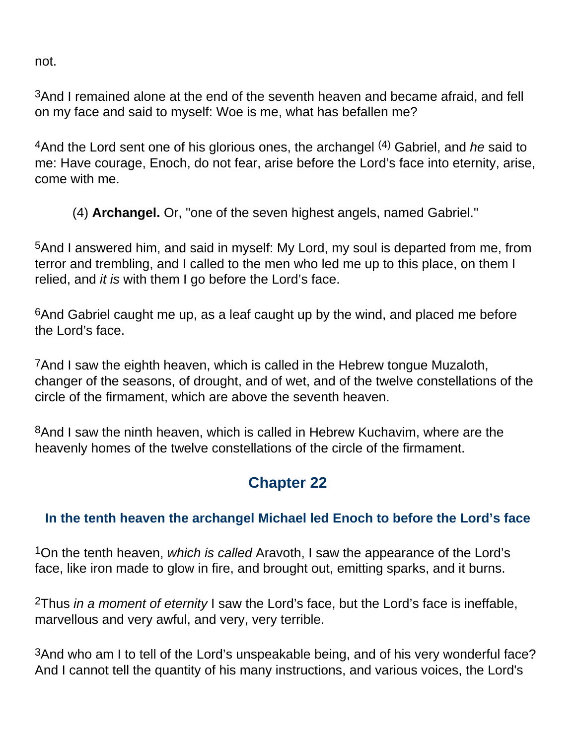not.

3And I remained alone at the end of the seventh heaven and became afraid, and fell on my face and said to myself: Woe is me, what has befallen me?

4And the Lord sent one of his glorious ones, the archangel (4) Gabriel, and *he* said to me: Have courage, Enoch, do not fear, arise before the Lord's face into eternity, arise, come with me.

(4) **Archangel.** Or, "one of the seven highest angels, named Gabriel."

5And I answered him, and said in myself: My Lord, my soul is departed from me, from terror and trembling, and I called to the men who led me up to this place, on them I relied, and *it is* with them I go before the Lord's face.

<sup>6</sup>And Gabriel caught me up, as a leaf caught up by the wind, and placed me before the Lord's face.

7And I saw the eighth heaven, which is called in the Hebrew tongue Muzaloth, changer of the seasons, of drought, and of wet, and of the twelve constellations of the circle of the firmament, which are above the seventh heaven.

8And I saw the ninth heaven, which is called in Hebrew Kuchavim, where are the heavenly homes of the twelve constellations of the circle of the firmament.

# **Chapter 22**

### **In the tenth heaven the archangel Michael led Enoch to before the Lord's face**

1On the tenth heaven, *which is called* Aravoth, I saw the appearance of the Lord's face, like iron made to glow in fire, and brought out, emitting sparks, and it burns.

2Thus *in a moment of eternity* I saw the Lord's face, but the Lord's face is ineffable, marvellous and very awful, and very, very terrible.

3And who am I to tell of the Lord's unspeakable being, and of his very wonderful face? And I cannot tell the quantity of his many instructions, and various voices, the Lord's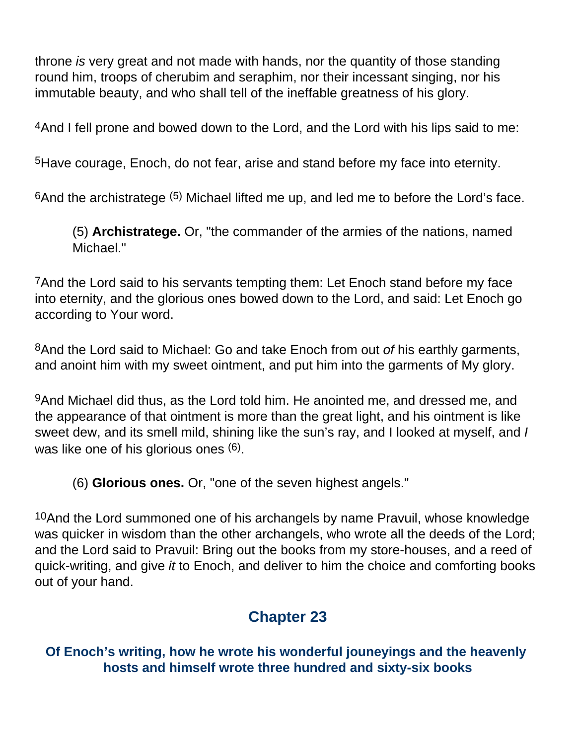throne *is* very great and not made with hands, nor the quantity of those standing round him, troops of cherubim and seraphim, nor their incessant singing, nor his immutable beauty, and who shall tell of the ineffable greatness of his glory.

4And I fell prone and bowed down to the Lord, and the Lord with his lips said to me:

5Have courage, Enoch, do not fear, arise and stand before my face into eternity.

6And the archistratege (5) Michael lifted me up, and led me to before the Lord's face.

(5) **Archistratege.** Or, "the commander of the armies of the nations, named Michael."

7And the Lord said to his servants tempting them: Let Enoch stand before my face into eternity, and the glorious ones bowed down to the Lord, and said: Let Enoch go according to Your word.

8And the Lord said to Michael: Go and take Enoch from out *of* his earthly garments, and anoint him with my sweet ointment, and put him into the garments of My glory.

9And Michael did thus, as the Lord told him. He anointed me, and dressed me, and the appearance of that ointment is more than the great light, and his ointment is like sweet dew, and its smell mild, shining like the sun's ray, and I looked at myself, and *I* was like one of his glorious ones (6).

(6) **Glorious ones.** Or, "one of the seven highest angels."

10And the Lord summoned one of his archangels by name Pravuil, whose knowledge was quicker in wisdom than the other archangels, who wrote all the deeds of the Lord; and the Lord said to Pravuil: Bring out the books from my store-houses, and a reed of quick-writing, and give *it* to Enoch, and deliver to him the choice and comforting books out of your hand.

# **Chapter 23**

### **Of Enoch's writing, how he wrote his wonderful jouneyings and the heavenly hosts and himself wrote three hundred and sixty-six books**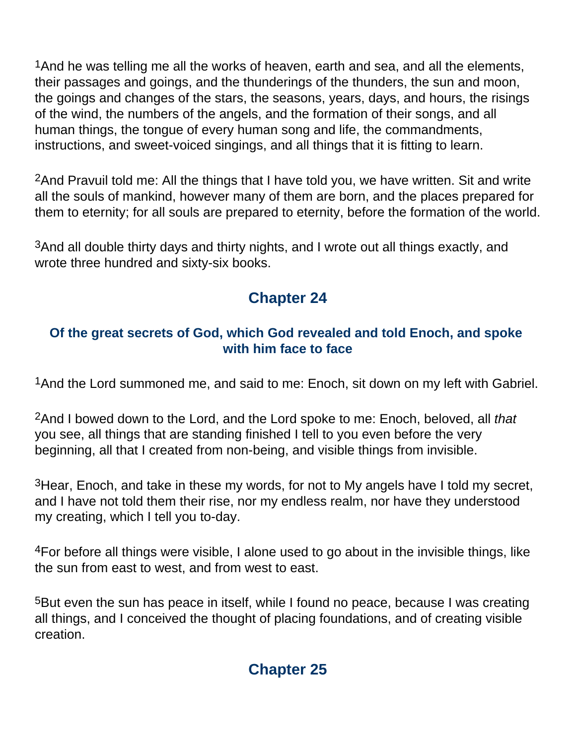1And he was telling me all the works of heaven, earth and sea, and all the elements, their passages and goings, and the thunderings of the thunders, the sun and moon, the goings and changes of the stars, the seasons, years, days, and hours, the risings of the wind, the numbers of the angels, and the formation of their songs, and all human things, the tongue of every human song and life, the commandments, instructions, and sweet-voiced singings, and all things that it is fitting to learn.

2And Pravuil told me: All the things that I have told you, we have written. Sit and write all the souls of mankind, however many of them are born, and the places prepared for them to eternity; for all souls are prepared to eternity, before the formation of the world.

3And all double thirty days and thirty nights, and I wrote out all things exactly, and wrote three hundred and sixty-six books.

# **Chapter 24**

### **Of the great secrets of God, which God revealed and told Enoch, and spoke with him face to face**

1And the Lord summoned me, and said to me: Enoch, sit down on my left with Gabriel.

2And I bowed down to the Lord, and the Lord spoke to me: Enoch, beloved, all *that* you see, all things that are standing finished I tell to you even before the very beginning, all that I created from non-being, and visible things from invisible.

<sup>3</sup>Hear, Enoch, and take in these my words, for not to My angels have I told my secret, and I have not told them their rise, nor my endless realm, nor have they understood my creating, which I tell you to-day.

4For before all things were visible, I alone used to go about in the invisible things, like the sun from east to west, and from west to east.

5But even the sun has peace in itself, while I found no peace, because I was creating all things, and I conceived the thought of placing foundations, and of creating visible creation.

### **Chapter 25**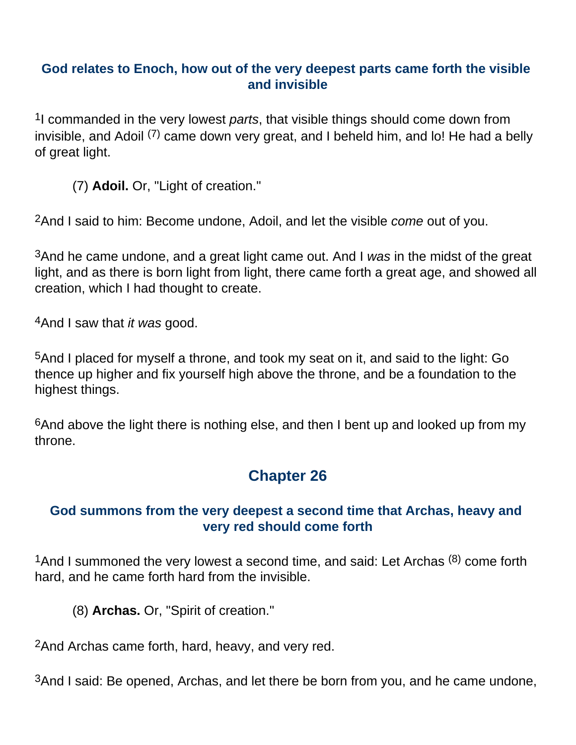#### **God relates to Enoch, how out of the very deepest parts came forth the visible and invisible**

1I commanded in the very lowest *parts*, that visible things should come down from invisible, and Adoil  $(7)$  came down very great, and I beheld him, and lo! He had a belly of great light.

(7) **Adoil.** Or, "Light of creation."

2And I said to him: Become undone, Adoil, and let the visible *come* out of you.

3And he came undone, and a great light came out. And I *was* in the midst of the great light, and as there is born light from light, there came forth a great age, and showed all creation, which I had thought to create.

4And I saw that *it was* good.

5And I placed for myself a throne, and took my seat on it, and said to the light: Go thence up higher and fix yourself high above the throne, and be a foundation to the highest things.

<sup>6</sup>And above the light there is nothing else, and then I bent up and looked up from my throne.

# **Chapter 26**

### **God summons from the very deepest a second time that Archas, heavy and very red should come forth**

<sup>1</sup>And I summoned the very lowest a second time, and said: Let Archas  $(8)$  come forth hard, and he came forth hard from the invisible.

(8) **Archas.** Or, "Spirit of creation."

2And Archas came forth, hard, heavy, and very red.

3And I said: Be opened, Archas, and let there be born from you, and he came undone,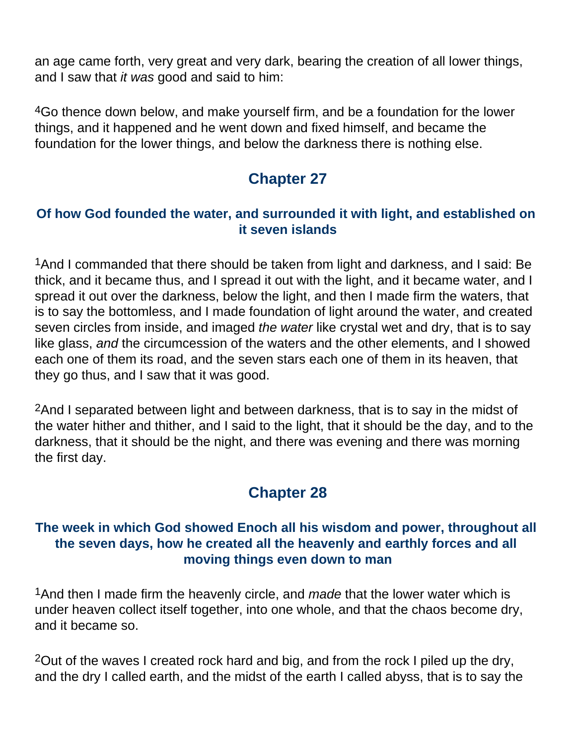an age came forth, very great and very dark, bearing the creation of all lower things, and I saw that *it was* good and said to him:

<sup>4</sup>Go thence down below, and make yourself firm, and be a foundation for the lower things, and it happened and he went down and fixed himself, and became the foundation for the lower things, and below the darkness there is nothing else.

### **Chapter 27**

#### **Of how God founded the water, and surrounded it with light, and established on it seven islands**

1And I commanded that there should be taken from light and darkness, and I said: Be thick, and it became thus, and I spread it out with the light, and it became water, and I spread it out over the darkness, below the light, and then I made firm the waters, that is to say the bottomless, and I made foundation of light around the water, and created seven circles from inside, and imaged *the water* like crystal wet and dry, that is to say like glass, *and* the circumcession of the waters and the other elements, and I showed each one of them its road, and the seven stars each one of them in its heaven, that they go thus, and I saw that it was good.

<sup>2</sup>And I separated between light and between darkness, that is to say in the midst of the water hither and thither, and I said to the light, that it should be the day, and to the darkness, that it should be the night, and there was evening and there was morning the first day.

### **Chapter 28**

#### **The week in which God showed Enoch all his wisdom and power, throughout all the seven days, how he created all the heavenly and earthly forces and all moving things even down to man**

1And then I made firm the heavenly circle, and *made* that the lower water which is under heaven collect itself together, into one whole, and that the chaos become dry, and it became so.

2Out of the waves I created rock hard and big, and from the rock I piled up the dry, and the dry I called earth, and the midst of the earth I called abyss, that is to say the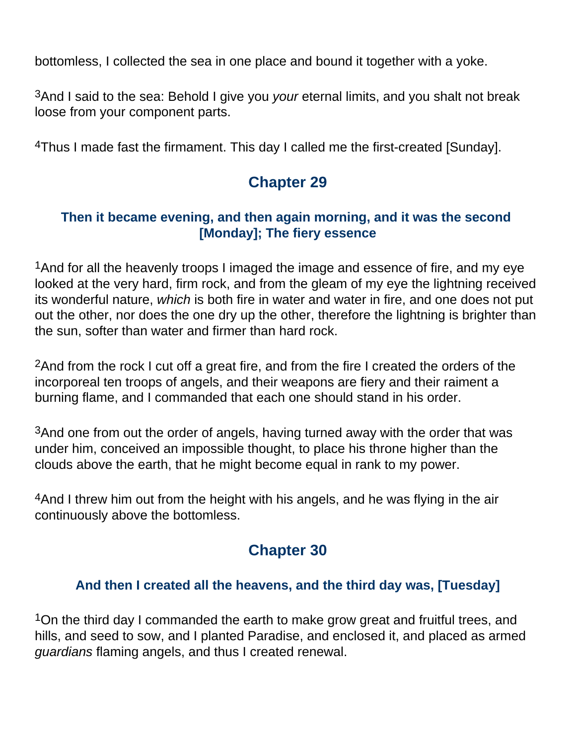bottomless, I collected the sea in one place and bound it together with a yoke.

3And I said to the sea: Behold I give you *your* eternal limits, and you shalt not break loose from your component parts.

4Thus I made fast the firmament. This day I called me the first-created [Sunday].

### **Chapter 29**

### **Then it became evening, and then again morning, and it was the second [Monday]; The fiery essence**

1And for all the heavenly troops I imaged the image and essence of fire, and my eye looked at the very hard, firm rock, and from the gleam of my eye the lightning received its wonderful nature, *which* is both fire in water and water in fire, and one does not put out the other, nor does the one dry up the other, therefore the lightning is brighter than the sun, softer than water and firmer than hard rock.

2And from the rock I cut off a great fire, and from the fire I created the orders of the incorporeal ten troops of angels, and their weapons are fiery and their raiment a burning flame, and I commanded that each one should stand in his order.

<sup>3</sup>And one from out the order of angels, having turned away with the order that was under him, conceived an impossible thought, to place his throne higher than the clouds above the earth, that he might become equal in rank to my power.

<sup>4</sup>And I threw him out from the height with his angels, and he was flying in the air continuously above the bottomless.

### **Chapter 30**

### **And then I created all the heavens, and the third day was, [Tuesday]**

<sup>1</sup>On the third day I commanded the earth to make grow great and fruitful trees, and hills, and seed to sow, and I planted Paradise, and enclosed it, and placed as armed *guardians* flaming angels, and thus I created renewal.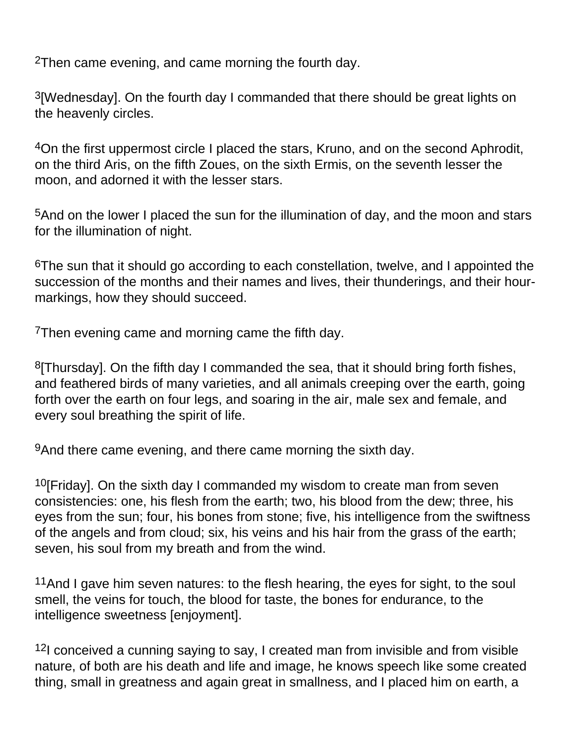2Then came evening, and came morning the fourth day.

3[Wednesday]. On the fourth day I commanded that there should be great lights on the heavenly circles.

4On the first uppermost circle I placed the stars, Kruno, and on the second Aphrodit, on the third Aris, on the fifth Zoues, on the sixth Ermis, on the seventh lesser the moon, and adorned it with the lesser stars.

5And on the lower I placed the sun for the illumination of day, and the moon and stars for the illumination of night.

<sup>6</sup>The sun that it should go according to each constellation, twelve, and I appointed the succession of the months and their names and lives, their thunderings, and their hourmarkings, how they should succeed.

7Then evening came and morning came the fifth day.

 $\frac{8}{7}$ Thursday]. On the fifth day I commanded the sea, that it should bring forth fishes, and feathered birds of many varieties, and all animals creeping over the earth, going forth over the earth on four legs, and soaring in the air, male sex and female, and every soul breathing the spirit of life.

9And there came evening, and there came morning the sixth day.

 $10$ [Friday]. On the sixth day I commanded my wisdom to create man from seven consistencies: one, his flesh from the earth; two, his blood from the dew; three, his eyes from the sun; four, his bones from stone; five, his intelligence from the swiftness of the angels and from cloud; six, his veins and his hair from the grass of the earth; seven, his soul from my breath and from the wind.

11And I gave him seven natures: to the flesh hearing, the eyes for sight, to the soul smell, the veins for touch, the blood for taste, the bones for endurance, to the intelligence sweetness [enjoyment].

12I conceived a cunning saying to say, I created man from invisible and from visible nature, of both are his death and life and image, he knows speech like some created thing, small in greatness and again great in smallness, and I placed him on earth, a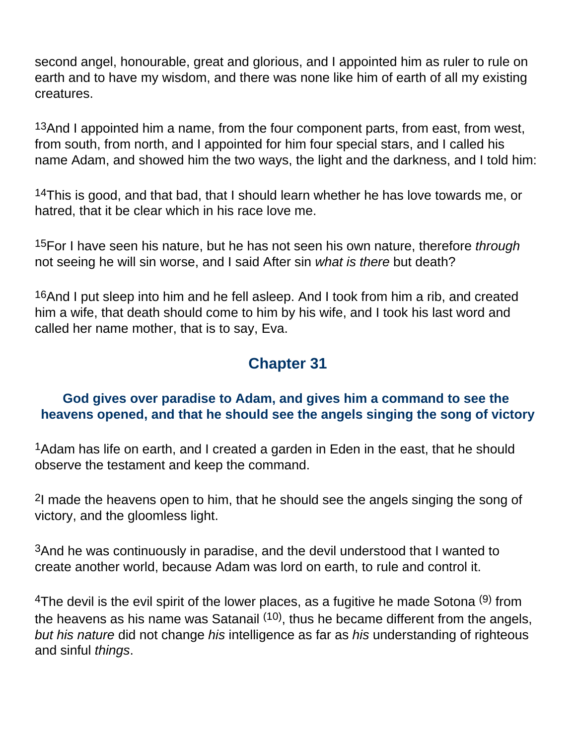second angel, honourable, great and glorious, and I appointed him as ruler to rule on earth and to have my wisdom, and there was none like him of earth of all my existing creatures.

<sup>13</sup>And I appointed him a name, from the four component parts, from east, from west, from south, from north, and I appointed for him four special stars, and I called his name Adam, and showed him the two ways, the light and the darkness, and I told him:

<sup>14</sup>This is good, and that bad, that I should learn whether he has love towards me, or hatred, that it be clear which in his race love me.

15For I have seen his nature, but he has not seen his own nature, therefore *through* not seeing he will sin worse, and I said After sin *what is there* but death?

<sup>16</sup>And I put sleep into him and he fell asleep. And I took from him a rib, and created him a wife, that death should come to him by his wife, and I took his last word and called her name mother, that is to say, Eva.

### **Chapter 31**

#### **God gives over paradise to Adam, and gives him a command to see the heavens opened, and that he should see the angels singing the song of victory**

1Adam has life on earth, and I created a garden in Eden in the east, that he should observe the testament and keep the command.

2I made the heavens open to him, that he should see the angels singing the song of victory, and the gloomless light.

3And he was continuously in paradise, and the devil understood that I wanted to create another world, because Adam was lord on earth, to rule and control it.

<sup>4</sup>The devil is the evil spirit of the lower places, as a fugitive he made Sotona  $(9)$  from the heavens as his name was Satanail (10), thus he became different from the angels, *but his nature* did not change *his* intelligence as far as *his* understanding of righteous and sinful *things*.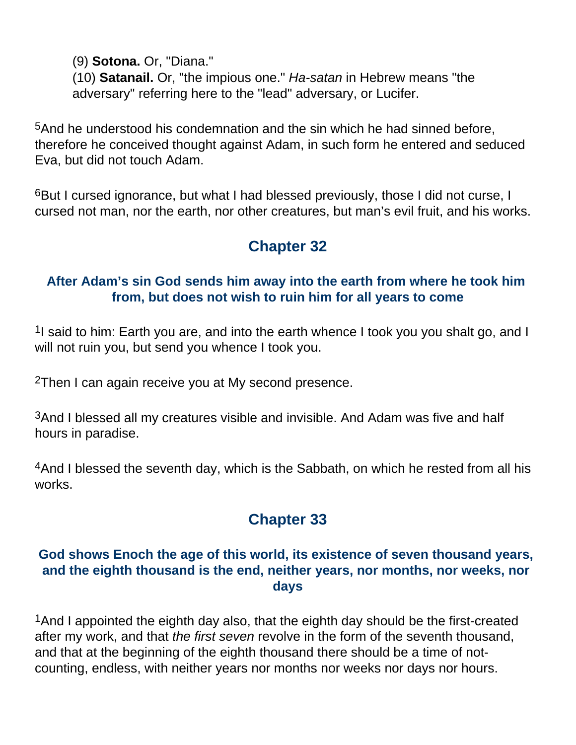(9) **Sotona.** Or, "Diana."

(10) **Satanail.** Or, "the impious one." *Ha-satan* in Hebrew means "the adversary" referring here to the "lead" adversary, or Lucifer.

5And he understood his condemnation and the sin which he had sinned before, therefore he conceived thought against Adam, in such form he entered and seduced Eva, but did not touch Adam.

<sup>6</sup>But I cursed ignorance, but what I had blessed previously, those I did not curse, I cursed not man, nor the earth, nor other creatures, but man's evil fruit, and his works.

# **Chapter 32**

### **After Adam's sin God sends him away into the earth from where he took him from, but does not wish to ruin him for all years to come**

1I said to him: Earth you are, and into the earth whence I took you you shalt go, and I will not ruin you, but send you whence I took you.

2Then I can again receive you at My second presence.

3And I blessed all my creatures visible and invisible. And Adam was five and half hours in paradise.

4And I blessed the seventh day, which is the Sabbath, on which he rested from all his works.

# **Chapter 33**

### **God shows Enoch the age of this world, its existence of seven thousand years, and the eighth thousand is the end, neither years, nor months, nor weeks, nor days**

<sup>1</sup> And I appointed the eighth day also, that the eighth day should be the first-created after my work, and that *the first seven* revolve in the form of the seventh thousand, and that at the beginning of the eighth thousand there should be a time of notcounting, endless, with neither years nor months nor weeks nor days nor hours.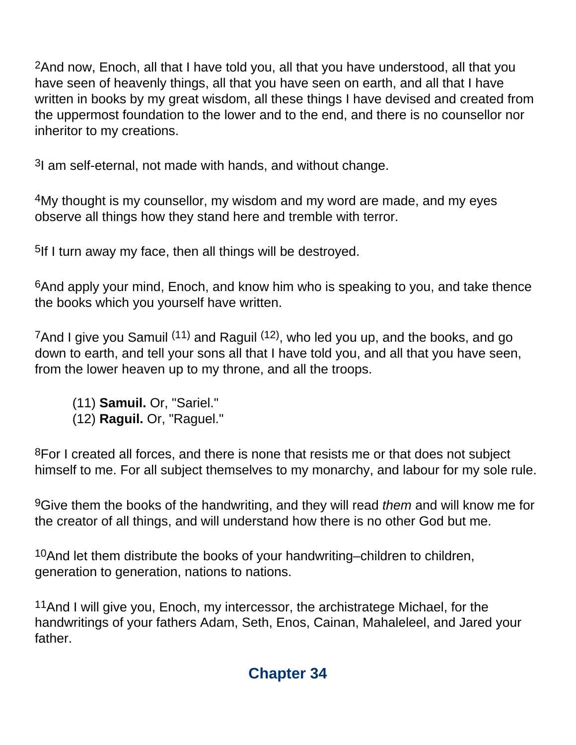2And now, Enoch, all that I have told you, all that you have understood, all that you have seen of heavenly things, all that you have seen on earth, and all that I have written in books by my great wisdom, all these things I have devised and created from the uppermost foundation to the lower and to the end, and there is no counsellor nor inheritor to my creations.

3I am self-eternal, not made with hands, and without change.

<sup>4</sup>My thought is my counsellor, my wisdom and my word are made, and my eyes observe all things how they stand here and tremble with terror.

5If I turn away my face, then all things will be destroyed.

6And apply your mind, Enoch, and know him who is speaking to you, and take thence the books which you yourself have written.

 $7$ And I give you Samuil  $(11)$  and Raguil  $(12)$ , who led you up, and the books, and go down to earth, and tell your sons all that I have told you, and all that you have seen, from the lower heaven up to my throne, and all the troops.

- (11) **Samuil.** Or, "Sariel."
- (12) **Raguil.** Or, "Raguel."

<sup>8</sup>For I created all forces, and there is none that resists me or that does not subject himself to me. For all subject themselves to my monarchy, and labour for my sole rule.

9Give them the books of the handwriting, and they will read *them* and will know me for the creator of all things, and will understand how there is no other God but me.

10And let them distribute the books of your handwriting–children to children, generation to generation, nations to nations.

11And I will give you, Enoch, my intercessor, the archistratege Michael, for the handwritings of your fathers Adam, Seth, Enos, Cainan, Mahaleleel, and Jared your father.

# **Chapter 34**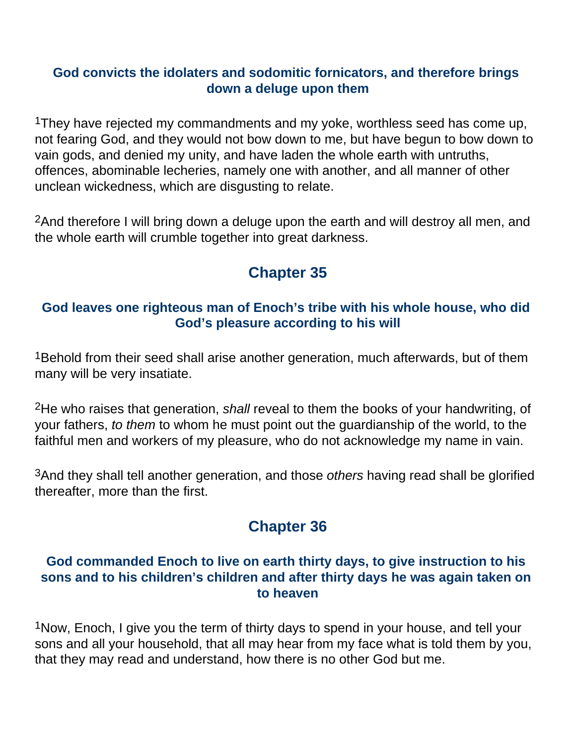#### **God convicts the idolaters and sodomitic fornicators, and therefore brings down a deluge upon them**

1They have rejected my commandments and my yoke, worthless seed has come up, not fearing God, and they would not bow down to me, but have begun to bow down to vain gods, and denied my unity, and have laden the whole earth with untruths, offences, abominable lecheries, namely one with another, and all manner of other unclean wickedness, which are disgusting to relate.

<sup>2</sup>And therefore I will bring down a deluge upon the earth and will destroy all men, and the whole earth will crumble together into great darkness.

### **Chapter 35**

### **God leaves one righteous man of Enoch's tribe with his whole house, who did God's pleasure according to his will**

1Behold from their seed shall arise another generation, much afterwards, but of them many will be very insatiate.

2He who raises that generation, *shall* reveal to them the books of your handwriting, of your fathers, *to them* to whom he must point out the guardianship of the world, to the faithful men and workers of my pleasure, who do not acknowledge my name in vain.

3And they shall tell another generation, and those *others* having read shall be glorified thereafter, more than the first.

# **Chapter 36**

#### **God commanded Enoch to live on earth thirty days, to give instruction to his sons and to his children's children and after thirty days he was again taken on to heaven**

1Now, Enoch, I give you the term of thirty days to spend in your house, and tell your sons and all your household, that all may hear from my face what is told them by you, that they may read and understand, how there is no other God but me.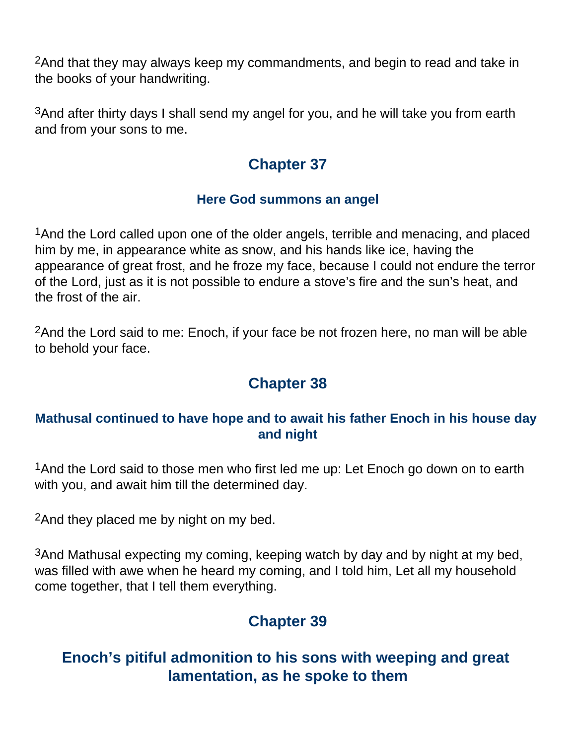2And that they may always keep my commandments, and begin to read and take in the books of your handwriting.

3And after thirty days I shall send my angel for you, and he will take you from earth and from your sons to me.

# **Chapter 37**

### **Here God summons an angel**

<sup>1</sup> And the Lord called upon one of the older angels, terrible and menacing, and placed him by me, in appearance white as snow, and his hands like ice, having the appearance of great frost, and he froze my face, because I could not endure the terror of the Lord, just as it is not possible to endure a stove's fire and the sun's heat, and the frost of the air.

2And the Lord said to me: Enoch, if your face be not frozen here, no man will be able to behold your face.

### **Chapter 38**

### **Mathusal continued to have hope and to await his father Enoch in his house day and night**

1And the Lord said to those men who first led me up: Let Enoch go down on to earth with you, and await him till the determined day.

2And they placed me by night on my bed.

3And Mathusal expecting my coming, keeping watch by day and by night at my bed, was filled with awe when he heard my coming, and I told him, Let all my household come together, that I tell them everything.

# **Chapter 39**

### **Enoch's pitiful admonition to his sons with weeping and great lamentation, as he spoke to them**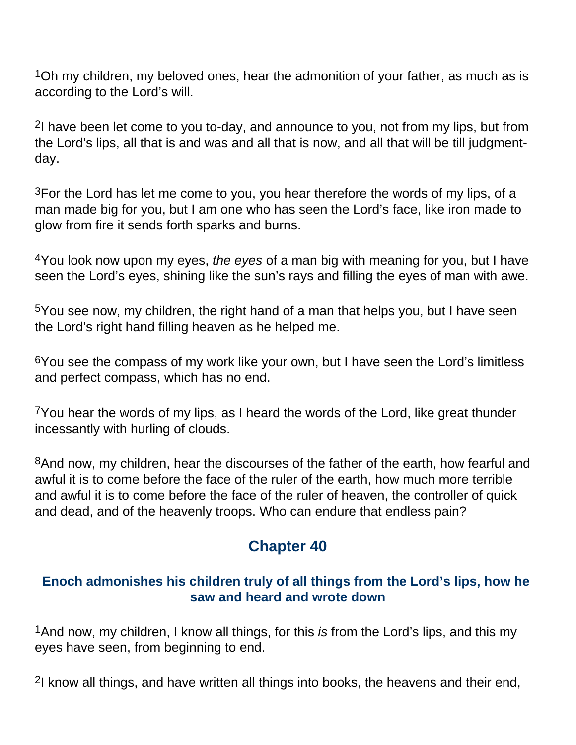1Oh my children, my beloved ones, hear the admonition of your father, as much as is according to the Lord's will.

2I have been let come to you to-day, and announce to you, not from my lips, but from the Lord's lips, all that is and was and all that is now, and all that will be till judgmentday.

 $3$ For the Lord has let me come to you, you hear therefore the words of my lips, of a man made big for you, but I am one who has seen the Lord's face, like iron made to glow from fire it sends forth sparks and burns.

4You look now upon my eyes, *the eyes* of a man big with meaning for you, but I have seen the Lord's eyes, shining like the sun's rays and filling the eyes of man with awe.

5You see now, my children, the right hand of a man that helps you, but I have seen the Lord's right hand filling heaven as he helped me.

<sup>6</sup>You see the compass of my work like your own, but I have seen the Lord's limitless and perfect compass, which has no end.

7You hear the words of my lips, as I heard the words of the Lord, like great thunder incessantly with hurling of clouds.

8And now, my children, hear the discourses of the father of the earth, how fearful and awful it is to come before the face of the ruler of the earth, how much more terrible and awful it is to come before the face of the ruler of heaven, the controller of quick and dead, and of the heavenly troops. Who can endure that endless pain?

### **Chapter 40**

### **Enoch admonishes his children truly of all things from the Lord's lips, how he saw and heard and wrote down**

1And now, my children, I know all things, for this *is* from the Lord's lips, and this my eyes have seen, from beginning to end.

2I know all things, and have written all things into books, the heavens and their end,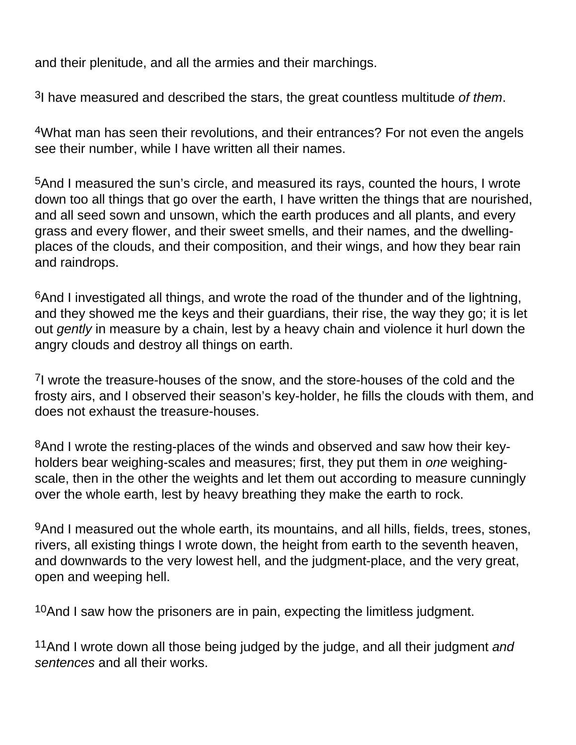and their plenitude, and all the armies and their marchings.

3I have measured and described the stars, the great countless multitude *of them*.

4What man has seen their revolutions, and their entrances? For not even the angels see their number, while I have written all their names.

5And I measured the sun's circle, and measured its rays, counted the hours, I wrote down too all things that go over the earth, I have written the things that are nourished, and all seed sown and unsown, which the earth produces and all plants, and every grass and every flower, and their sweet smells, and their names, and the dwellingplaces of the clouds, and their composition, and their wings, and how they bear rain and raindrops.

6And I investigated all things, and wrote the road of the thunder and of the lightning, and they showed me the keys and their guardians, their rise, the way they go; it is let out *gently* in measure by a chain, lest by a heavy chain and violence it hurl down the angry clouds and destroy all things on earth.

7I wrote the treasure-houses of the snow, and the store-houses of the cold and the frosty airs, and I observed their season's key-holder, he fills the clouds with them, and does not exhaust the treasure-houses.

8And I wrote the resting-places of the winds and observed and saw how their keyholders bear weighing-scales and measures; first, they put them in *one* weighingscale, then in the other the weights and let them out according to measure cunningly over the whole earth, lest by heavy breathing they make the earth to rock.

9And I measured out the whole earth, its mountains, and all hills, fields, trees, stones, rivers, all existing things I wrote down, the height from earth to the seventh heaven, and downwards to the very lowest hell, and the judgment-place, and the very great, open and weeping hell.

10And I saw how the prisoners are in pain, expecting the limitless judgment.

11And I wrote down all those being judged by the judge, and all their judgment *and sentences* and all their works.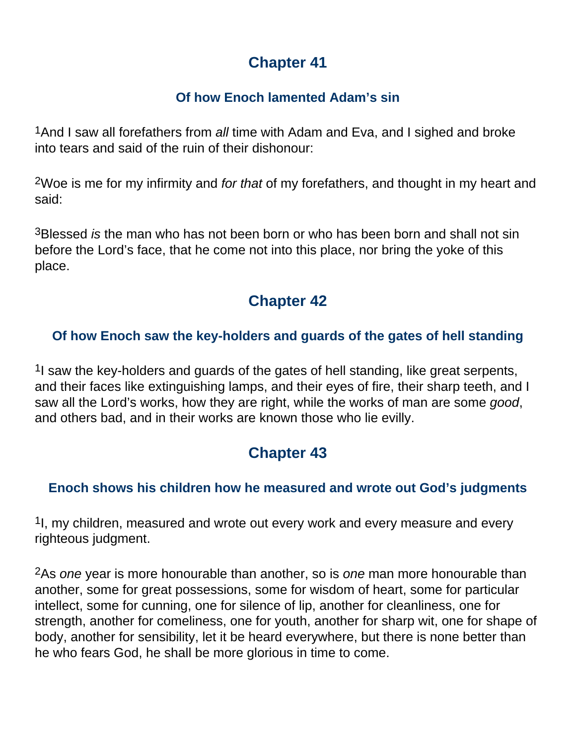# **Chapter 41**

### **Of how Enoch lamented Adam's sin**

1And I saw all forefathers from *all* time with Adam and Eva, and I sighed and broke into tears and said of the ruin of their dishonour:

2Woe is me for my infirmity and *for that* of my forefathers, and thought in my heart and said:

3Blessed *is* the man who has not been born or who has been born and shall not sin before the Lord's face, that he come not into this place, nor bring the yoke of this place.

## **Chapter 42**

### **Of how Enoch saw the key-holders and guards of the gates of hell standing**

1I saw the key-holders and guards of the gates of hell standing, like great serpents, and their faces like extinguishing lamps, and their eyes of fire, their sharp teeth, and I saw all the Lord's works, how they are right, while the works of man are some *good*, and others bad, and in their works are known those who lie evilly.

# **Chapter 43**

### **Enoch shows his children how he measured and wrote out God's judgments**

1I, my children, measured and wrote out every work and every measure and every righteous judgment.

2As *one* year is more honourable than another, so is *one* man more honourable than another, some for great possessions, some for wisdom of heart, some for particular intellect, some for cunning, one for silence of lip, another for cleanliness, one for strength, another for comeliness, one for youth, another for sharp wit, one for shape of body, another for sensibility, let it be heard everywhere, but there is none better than he who fears God, he shall be more glorious in time to come.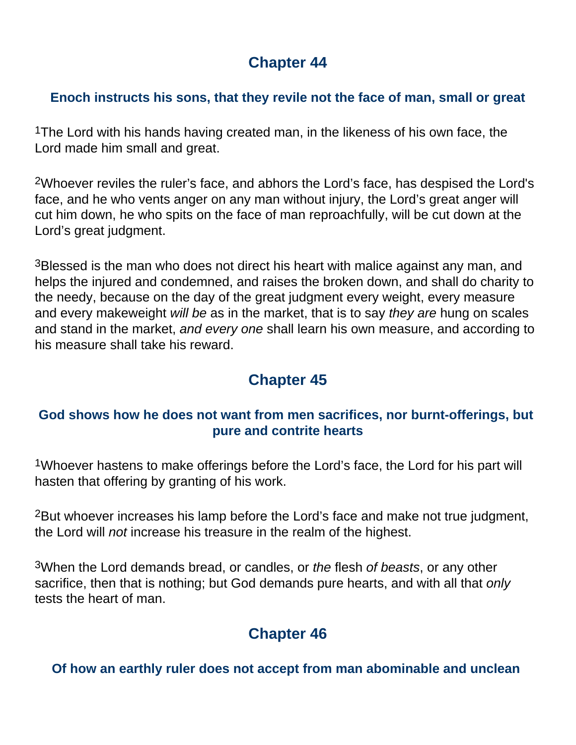# **Chapter 44**

### **Enoch instructs his sons, that they revile not the face of man, small or great**

1The Lord with his hands having created man, in the likeness of his own face, the Lord made him small and great.

2Whoever reviles the ruler's face, and abhors the Lord's face, has despised the Lord's face, and he who vents anger on any man without injury, the Lord's great anger will cut him down, he who spits on the face of man reproachfully, will be cut down at the Lord's great judgment.

<sup>3</sup>Blessed is the man who does not direct his heart with malice against any man, and helps the injured and condemned, and raises the broken down, and shall do charity to the needy, because on the day of the great judgment every weight, every measure and every makeweight *will be* as in the market, that is to say *they are* hung on scales and stand in the market, *and every one* shall learn his own measure, and according to his measure shall take his reward.

### **Chapter 45**

### **God shows how he does not want from men sacrifices, nor burnt-offerings, but pure and contrite hearts**

1Whoever hastens to make offerings before the Lord's face, the Lord for his part will hasten that offering by granting of his work.

2But whoever increases his lamp before the Lord's face and make not true judgment, the Lord will *not* increase his treasure in the realm of the highest.

3When the Lord demands bread, or candles, or *the* flesh *of beasts*, or any other sacrifice, then that is nothing; but God demands pure hearts, and with all that *only* tests the heart of man.

# **Chapter 46**

**Of how an earthly ruler does not accept from man abominable and unclean**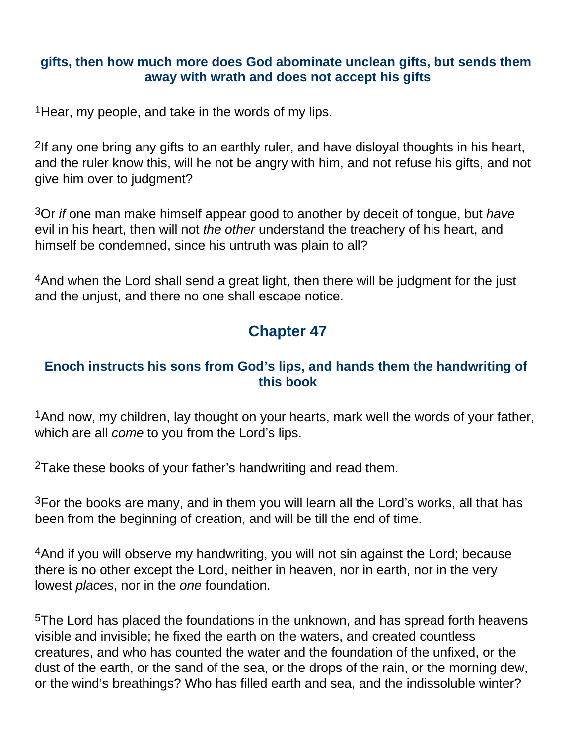#### **gifts, then how much more does God abominate unclean gifts, but sends them away with wrath and does not accept his gifts**

<sup>1</sup>Hear, my people, and take in the words of my lips.

2If any one bring any gifts to an earthly ruler, and have disloyal thoughts in his heart, and the ruler know this, will he not be angry with him, and not refuse his gifts, and not give him over to judgment?

3Or *if* one man make himself appear good to another by deceit of tongue, but *have* evil in his heart, then will not *the other* understand the treachery of his heart, and himself be condemned, since his untruth was plain to all?

4And when the Lord shall send a great light, then there will be judgment for the just and the unjust, and there no one shall escape notice.

## **Chapter 47**

### **Enoch instructs his sons from God's lips, and hands them the handwriting of this book**

<sup>1</sup> And now, my children, lay thought on your hearts, mark well the words of your father, which are all *come* to you from the Lord's lips.

2Take these books of your father's handwriting and read them.

 $3$ For the books are many, and in them you will learn all the Lord's works, all that has been from the beginning of creation, and will be till the end of time.

4And if you will observe my handwriting, you will not sin against the Lord; because there is no other except the Lord, neither in heaven, nor in earth, nor in the very lowest *places*, nor in the *one* foundation.

5The Lord has placed the foundations in the unknown, and has spread forth heavens visible and invisible; he fixed the earth on the waters, and created countless creatures, and who has counted the water and the foundation of the unfixed, or the dust of the earth, or the sand of the sea, or the drops of the rain, or the morning dew, or the wind's breathings? Who has filled earth and sea, and the indissoluble winter?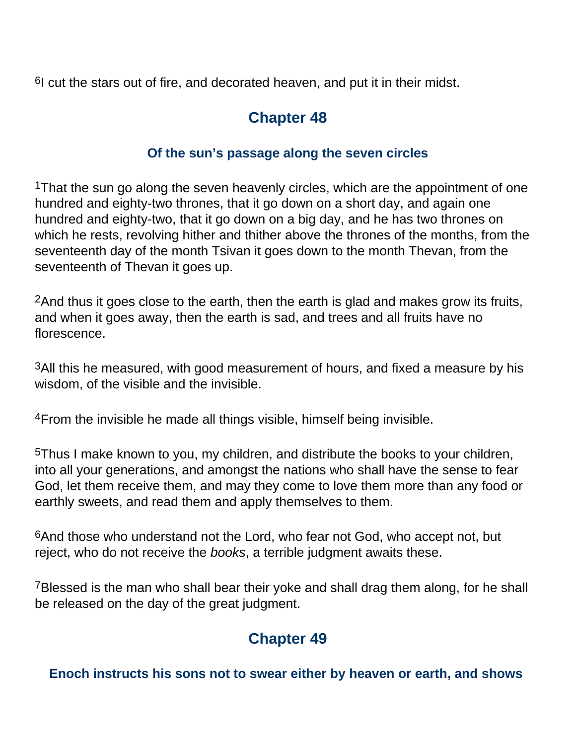6I cut the stars out of fire, and decorated heaven, and put it in their midst.

## **Chapter 48**

#### **Of the sun's passage along the seven circles**

<sup>1</sup>That the sun go along the seven heavenly circles, which are the appointment of one hundred and eighty-two thrones, that it go down on a short day, and again one hundred and eighty-two, that it go down on a big day, and he has two thrones on which he rests, revolving hither and thither above the thrones of the months, from the seventeenth day of the month Tsivan it goes down to the month Thevan, from the seventeenth of Thevan it goes up.

2And thus it goes close to the earth, then the earth is glad and makes grow its fruits, and when it goes away, then the earth is sad, and trees and all fruits have no florescence.

3All this he measured, with good measurement of hours, and fixed a measure by his wisdom, of the visible and the invisible.

4From the invisible he made all things visible, himself being invisible.

5Thus I make known to you, my children, and distribute the books to your children, into all your generations, and amongst the nations who shall have the sense to fear God, let them receive them, and may they come to love them more than any food or earthly sweets, and read them and apply themselves to them.

<sup>6</sup>And those who understand not the Lord, who fear not God, who accept not, but reject, who do not receive the *books*, a terrible judgment awaits these.

<sup>7</sup>Blessed is the man who shall bear their yoke and shall drag them along, for he shall be released on the day of the great judgment.

# **Chapter 49**

**Enoch instructs his sons not to swear either by heaven or earth, and shows**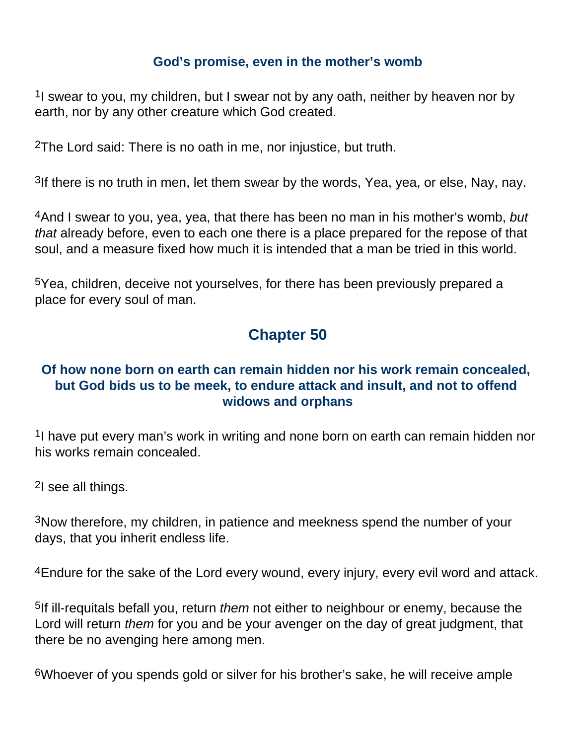#### **God's promise, even in the mother's womb**

1I swear to you, my children, but I swear not by any oath, neither by heaven nor by earth, nor by any other creature which God created.

2The Lord said: There is no oath in me, nor injustice, but truth.

<sup>3</sup>If there is no truth in men, let them swear by the words, Yea, yea, or else, Nay, nay.

4And I swear to you, yea, yea, that there has been no man in his mother's womb, *but that* already before, even to each one there is a place prepared for the repose of that soul, and a measure fixed how much it is intended that a man be tried in this world.

5Yea, children, deceive not yourselves, for there has been previously prepared a place for every soul of man.

### **Chapter 50**

#### **Of how none born on earth can remain hidden nor his work remain concealed, but God bids us to be meek, to endure attack and insult, and not to offend widows and orphans**

1I have put every man's work in writing and none born on earth can remain hidden nor his works remain concealed.

2I see all things.

3Now therefore, my children, in patience and meekness spend the number of your days, that you inherit endless life.

4Endure for the sake of the Lord every wound, every injury, every evil word and attack.

5If ill-requitals befall you, return *them* not either to neighbour or enemy, because the Lord will return *them* for you and be your avenger on the day of great judgment, that there be no avenging here among men.

6Whoever of you spends gold or silver for his brother's sake, he will receive ample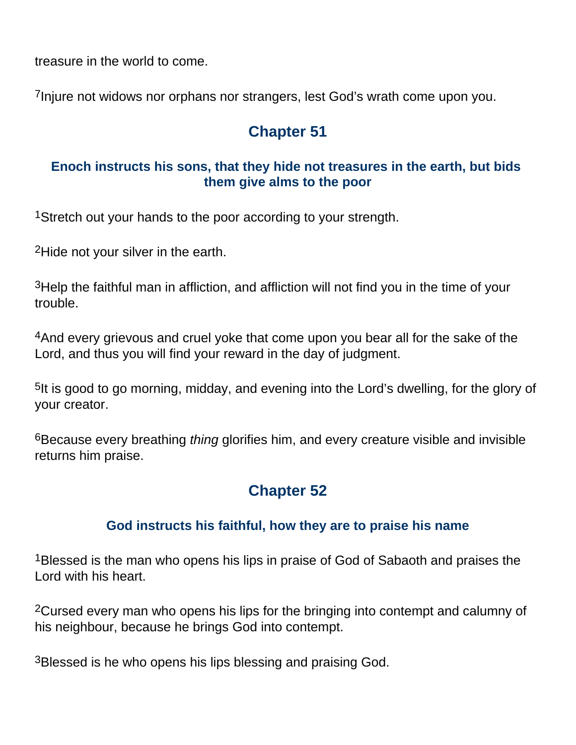treasure in the world to come.

7Injure not widows nor orphans nor strangers, lest God's wrath come upon you.

# **Chapter 51**

### **Enoch instructs his sons, that they hide not treasures in the earth, but bids them give alms to the poor**

<sup>1</sup>Stretch out your hands to the poor according to your strength.

2Hide not your silver in the earth.

<sup>3</sup>Help the faithful man in affliction, and affliction will not find you in the time of your trouble.

<sup>4</sup>And every grievous and cruel yoke that come upon you bear all for the sake of the Lord, and thus you will find your reward in the day of judgment.

5It is good to go morning, midday, and evening into the Lord's dwelling, for the glory of your creator.

6Because every breathing *thing* glorifies him, and every creature visible and invisible returns him praise.

# **Chapter 52**

### **God instructs his faithful, how they are to praise his name**

1Blessed is the man who opens his lips in praise of God of Sabaoth and praises the Lord with his heart.

<sup>2</sup>Cursed every man who opens his lips for the bringing into contempt and calumny of his neighbour, because he brings God into contempt.

<sup>3</sup>Blessed is he who opens his lips blessing and praising God.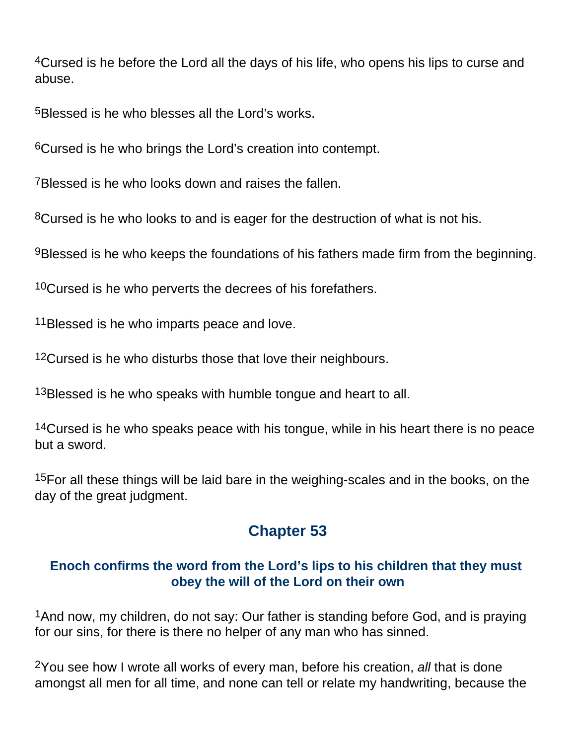<sup>4</sup>Cursed is he before the Lord all the days of his life, who opens his lips to curse and abuse.

5Blessed is he who blesses all the Lord's works.

6Cursed is he who brings the Lord's creation into contempt.

7Blessed is he who looks down and raises the fallen.

<sup>8</sup>Cursed is he who looks to and is eager for the destruction of what is not his.

9Blessed is he who keeps the foundations of his fathers made firm from the beginning.

<sup>10</sup>Cursed is he who perverts the decrees of his forefathers.

<sup>11</sup>Blessed is he who imparts peace and love.

<sup>12</sup>Cursed is he who disturbs those that love their neighbours.

<sup>13</sup>Blessed is he who speaks with humble tongue and heart to all.

<sup>14</sup>Cursed is he who speaks peace with his tongue, while in his heart there is no peace but a sword.

15For all these things will be laid bare in the weighing-scales and in the books, on the day of the great judgment.

# **Chapter 53**

### **Enoch confirms the word from the Lord's lips to his children that they must obey the will of the Lord on their own**

1And now, my children, do not say: Our father is standing before God, and is praying for our sins, for there is there no helper of any man who has sinned.

2You see how I wrote all works of every man, before his creation, *all* that is done amongst all men for all time, and none can tell or relate my handwriting, because the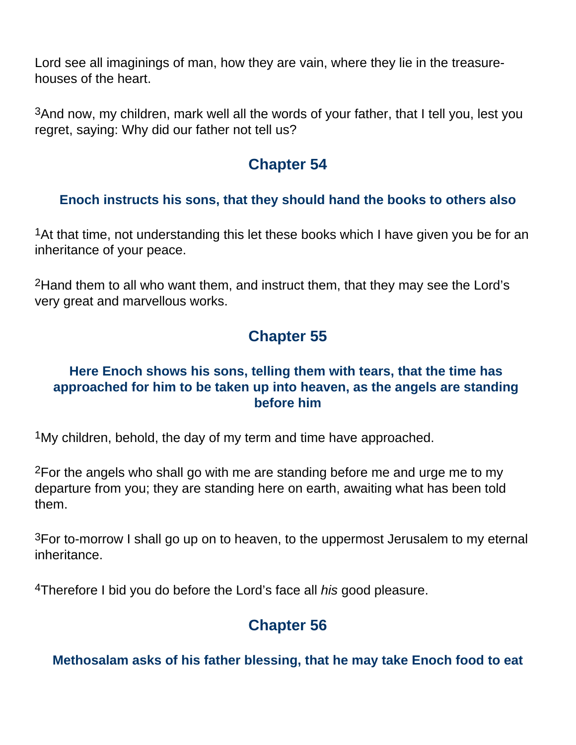Lord see all imaginings of man, how they are vain, where they lie in the treasurehouses of the heart.

3And now, my children, mark well all the words of your father, that I tell you, lest you regret, saying: Why did our father not tell us?

### **Chapter 54**

### **Enoch instructs his sons, that they should hand the books to others also**

<sup>1</sup>At that time, not understanding this let these books which I have given you be for an inheritance of your peace.

2Hand them to all who want them, and instruct them, that they may see the Lord's very great and marvellous works.

## **Chapter 55**

#### **Here Enoch shows his sons, telling them with tears, that the time has approached for him to be taken up into heaven, as the angels are standing before him**

1My children, behold, the day of my term and time have approached.

<sup>2</sup>For the angels who shall go with me are standing before me and urge me to my departure from you; they are standing here on earth, awaiting what has been told them.

<sup>3</sup>For to-morrow I shall go up on to heaven, to the uppermost Jerusalem to my eternal inheritance.

4Therefore I bid you do before the Lord's face all *his* good pleasure.

# **Chapter 56**

#### **Methosalam asks of his father blessing, that he may take Enoch food to eat**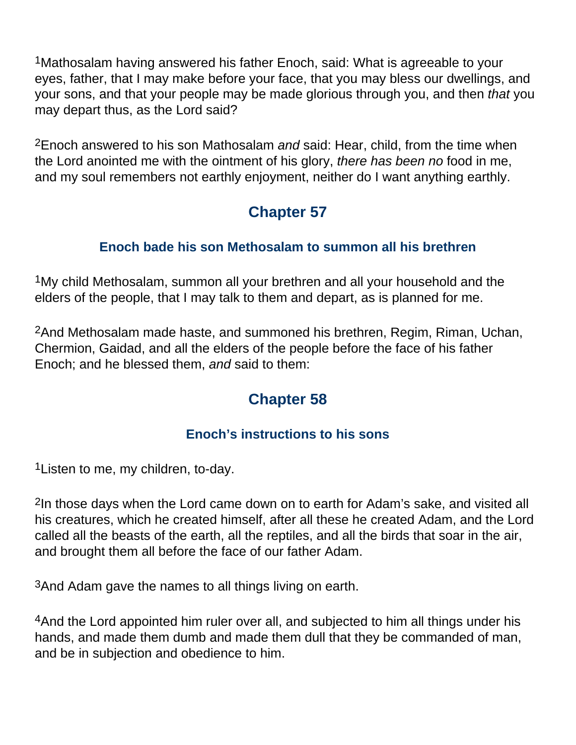1Mathosalam having answered his father Enoch, said: What is agreeable to your eyes, father, that I may make before your face, that you may bless our dwellings, and your sons, and that your people may be made glorious through you, and then *that* you may depart thus, as the Lord said?

2Enoch answered to his son Mathosalam *and* said: Hear, child, from the time when the Lord anointed me with the ointment of his glory, *there has been no* food in me, and my soul remembers not earthly enjoyment, neither do I want anything earthly.

# **Chapter 57**

### **Enoch bade his son Methosalam to summon all his brethren**

1My child Methosalam, summon all your brethren and all your household and the elders of the people, that I may talk to them and depart, as is planned for me.

2And Methosalam made haste, and summoned his brethren, Regim, Riman, Uchan, Chermion, Gaidad, and all the elders of the people before the face of his father Enoch; and he blessed them, *and* said to them:

# **Chapter 58**

### **Enoch's instructions to his sons**

1Listen to me, my children, to-day.

2In those days when the Lord came down on to earth for Adam's sake, and visited all his creatures, which he created himself, after all these he created Adam, and the Lord called all the beasts of the earth, all the reptiles, and all the birds that soar in the air, and brought them all before the face of our father Adam.

3And Adam gave the names to all things living on earth.

4And the Lord appointed him ruler over all, and subjected to him all things under his hands, and made them dumb and made them dull that they be commanded of man, and be in subjection and obedience to him.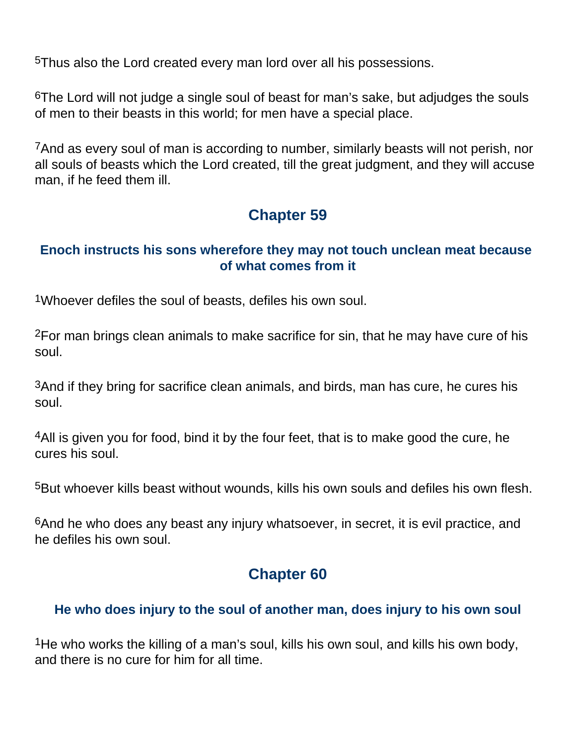5Thus also the Lord created every man lord over all his possessions.

<sup>6</sup>The Lord will not judge a single soul of beast for man's sake, but adjudges the souls of men to their beasts in this world; for men have a special place.

7And as every soul of man is according to number, similarly beasts will not perish, nor all souls of beasts which the Lord created, till the great judgment, and they will accuse man, if he feed them ill.

# **Chapter 59**

#### **Enoch instructs his sons wherefore they may not touch unclean meat because of what comes from it**

1Whoever defiles the soul of beasts, defiles his own soul.

2For man brings clean animals to make sacrifice for sin, that he may have cure of his soul.

3And if they bring for sacrifice clean animals, and birds, man has cure, he cures his soul.

4All is given you for food, bind it by the four feet, that is to make good the cure, he cures his soul.

5But whoever kills beast without wounds, kills his own souls and defiles his own flesh.

6And he who does any beast any injury whatsoever, in secret, it is evil practice, and he defiles his own soul.

# **Chapter 60**

### **He who does injury to the soul of another man, does injury to his own soul**

<sup>1</sup>He who works the killing of a man's soul, kills his own soul, and kills his own body, and there is no cure for him for all time.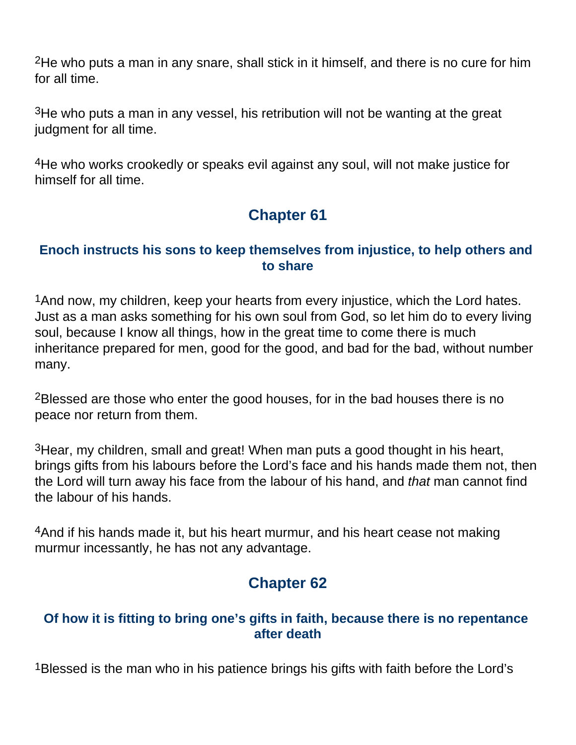2He who puts a man in any snare, shall stick in it himself, and there is no cure for him for all time.

<sup>3</sup>He who puts a man in any vessel, his retribution will not be wanting at the great judgment for all time.

<sup>4</sup>He who works crookedly or speaks evil against any soul, will not make justice for himself for all time.

# **Chapter 61**

#### **Enoch instructs his sons to keep themselves from injustice, to help others and to share**

<sup>1</sup>And now, my children, keep your hearts from every injustice, which the Lord hates. Just as a man asks something for his own soul from God, so let him do to every living soul, because I know all things, how in the great time to come there is much inheritance prepared for men, good for the good, and bad for the bad, without number many.

2Blessed are those who enter the good houses, for in the bad houses there is no peace nor return from them.

3Hear, my children, small and great! When man puts a good thought in his heart, brings gifts from his labours before the Lord's face and his hands made them not, then the Lord will turn away his face from the labour of his hand, and *that* man cannot find the labour of his hands.

4And if his hands made it, but his heart murmur, and his heart cease not making murmur incessantly, he has not any advantage.

### **Chapter 62**

#### **Of how it is fitting to bring one's gifts in faith, because there is no repentance after death**

1Blessed is the man who in his patience brings his gifts with faith before the Lord's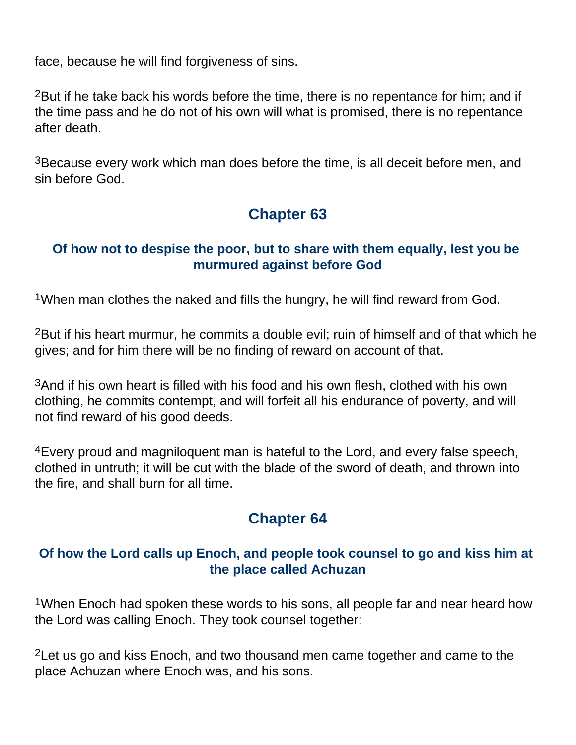face, because he will find forgiveness of sins.

<sup>2</sup>But if he take back his words before the time, there is no repentance for him; and if the time pass and he do not of his own will what is promised, there is no repentance after death.

<sup>3</sup>Because every work which man does before the time, is all deceit before men, and sin before God.

# **Chapter 63**

#### **Of how not to despise the poor, but to share with them equally, lest you be murmured against before God**

1When man clothes the naked and fills the hungry, he will find reward from God.

2But if his heart murmur, he commits a double evil; ruin of himself and of that which he gives; and for him there will be no finding of reward on account of that.

3And if his own heart is filled with his food and his own flesh, clothed with his own clothing, he commits contempt, and will forfeit all his endurance of poverty, and will not find reward of his good deeds.

4Every proud and magniloquent man is hateful to the Lord, and every false speech, clothed in untruth; it will be cut with the blade of the sword of death, and thrown into the fire, and shall burn for all time.

# **Chapter 64**

### **Of how the Lord calls up Enoch, and people took counsel to go and kiss him at the place called Achuzan**

1When Enoch had spoken these words to his sons, all people far and near heard how the Lord was calling Enoch. They took counsel together:

2Let us go and kiss Enoch, and two thousand men came together and came to the place Achuzan where Enoch was, and his sons.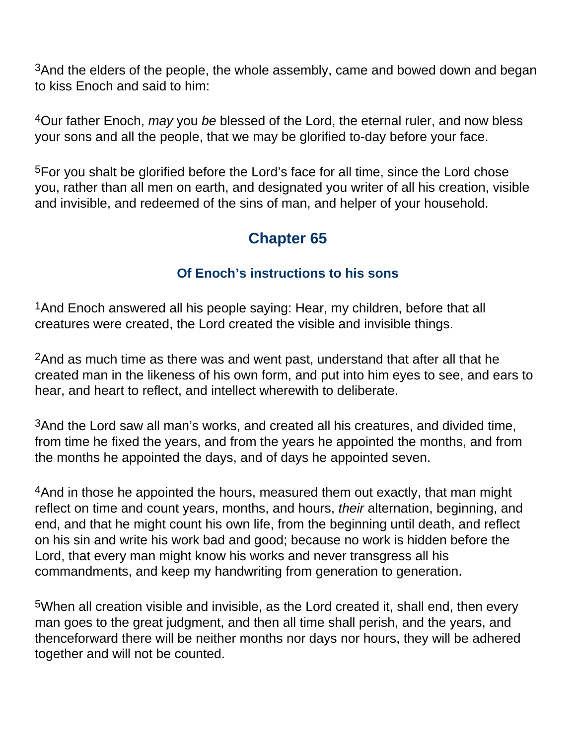<sup>3</sup>And the elders of the people, the whole assembly, came and bowed down and began to kiss Enoch and said to him:

4Our father Enoch, *may* you *be* blessed of the Lord, the eternal ruler, and now bless your sons and all the people, that we may be glorified to-day before your face.

<sup>5</sup>For you shalt be glorified before the Lord's face for all time, since the Lord chose you, rather than all men on earth, and designated you writer of all his creation, visible and invisible, and redeemed of the sins of man, and helper of your household.

# **Chapter 65**

### **Of Enoch's instructions to his sons**

1And Enoch answered all his people saying: Hear, my children, before that all creatures were created, the Lord created the visible and invisible things.

2And as much time as there was and went past, understand that after all that he created man in the likeness of his own form, and put into him eyes to see, and ears to hear, and heart to reflect, and intellect wherewith to deliberate.

3And the Lord saw all man's works, and created all his creatures, and divided time, from time he fixed the years, and from the years he appointed the months, and from the months he appointed the days, and of days he appointed seven.

<sup>4</sup>And in those he appointed the hours, measured them out exactly, that man might reflect on time and count years, months, and hours, *their* alternation, beginning, and end, and that he might count his own life, from the beginning until death, and reflect on his sin and write his work bad and good; because no work is hidden before the Lord, that every man might know his works and never transgress all his commandments, and keep my handwriting from generation to generation.

5When all creation visible and invisible, as the Lord created it, shall end, then every man goes to the great judgment, and then all time shall perish, and the years, and thenceforward there will be neither months nor days nor hours, they will be adhered together and will not be counted.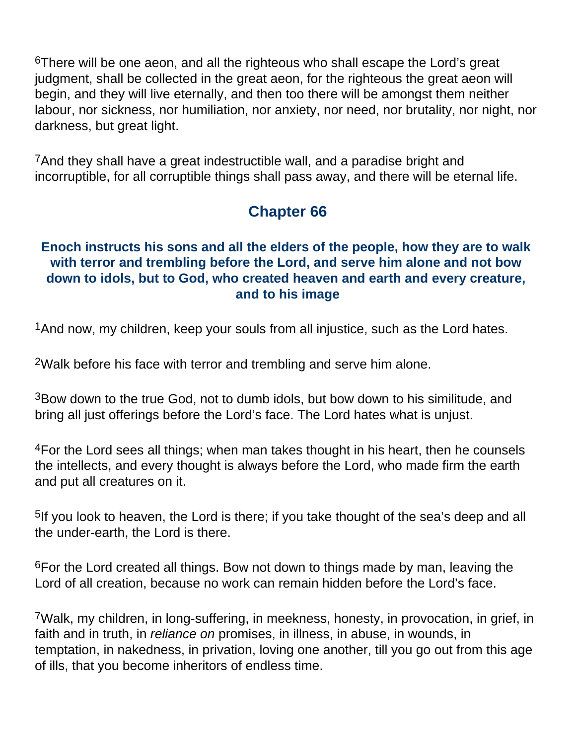<sup>6</sup>There will be one aeon, and all the righteous who shall escape the Lord's great judgment, shall be collected in the great aeon, for the righteous the great aeon will begin, and they will live eternally, and then too there will be amongst them neither labour, nor sickness, nor humiliation, nor anxiety, nor need, nor brutality, nor night, nor darkness, but great light.

7And they shall have a great indestructible wall, and a paradise bright and incorruptible, for all corruptible things shall pass away, and there will be eternal life.

# **Chapter 66**

#### **Enoch instructs his sons and all the elders of the people, how they are to walk with terror and trembling before the Lord, and serve him alone and not bow down to idols, but to God, who created heaven and earth and every creature, and to his image**

<sup>1</sup>And now, my children, keep your souls from all injustice, such as the Lord hates.

2Walk before his face with terror and trembling and serve him alone.

3Bow down to the true God, not to dumb idols, but bow down to his similitude, and bring all just offerings before the Lord's face. The Lord hates what is unjust.

4For the Lord sees all things; when man takes thought in his heart, then he counsels the intellects, and every thought is always before the Lord, who made firm the earth and put all creatures on it.

<sup>5</sup>If you look to heaven, the Lord is there; if you take thought of the sea's deep and all the under-earth, the Lord is there.

 $6$ For the Lord created all things. Bow not down to things made by man, leaving the Lord of all creation, because no work can remain hidden before the Lord's face.

7Walk, my children, in long-suffering, in meekness, honesty, in provocation, in grief, in faith and in truth, in *reliance on* promises, in illness, in abuse, in wounds, in temptation, in nakedness, in privation, loving one another, till you go out from this age of ills, that you become inheritors of endless time.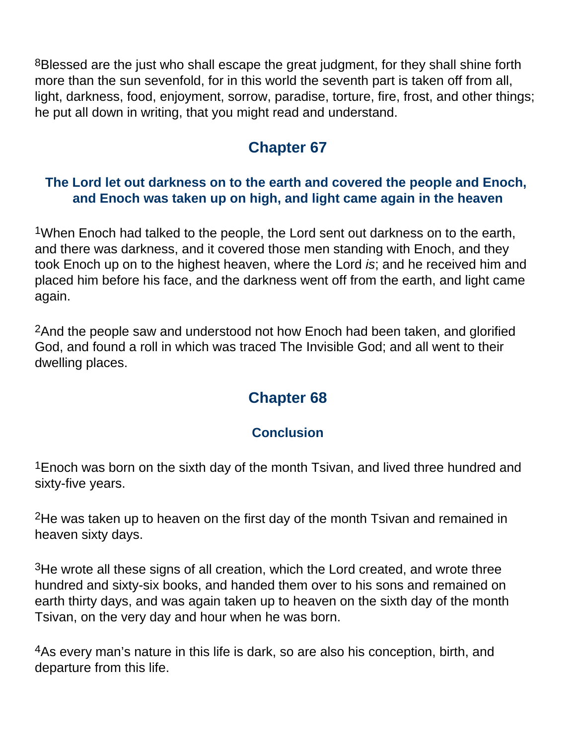<sup>8</sup>Blessed are the just who shall escape the great judgment, for they shall shine forth more than the sun sevenfold, for in this world the seventh part is taken off from all, light, darkness, food, enjoyment, sorrow, paradise, torture, fire, frost, and other things; he put all down in writing, that you might read and understand.

## **Chapter 67**

#### **The Lord let out darkness on to the earth and covered the people and Enoch, and Enoch was taken up on high, and light came again in the heaven**

1When Enoch had talked to the people, the Lord sent out darkness on to the earth, and there was darkness, and it covered those men standing with Enoch, and they took Enoch up on to the highest heaven, where the Lord *is*; and he received him and placed him before his face, and the darkness went off from the earth, and light came again.

2And the people saw and understood not how Enoch had been taken, and glorified God, and found a roll in which was traced The Invisible God; and all went to their dwelling places.

### **Chapter 68**

### **Conclusion**

<sup>1</sup> Enoch was born on the sixth day of the month Tsivan, and lived three hundred and sixty-five years.

<sup>2</sup>He was taken up to heaven on the first day of the month Tsivan and remained in heaven sixty days.

3He wrote all these signs of all creation, which the Lord created, and wrote three hundred and sixty-six books, and handed them over to his sons and remained on earth thirty days, and was again taken up to heaven on the sixth day of the month Tsivan, on the very day and hour when he was born.

<sup>4</sup>As every man's nature in this life is dark, so are also his conception, birth, and departure from this life.